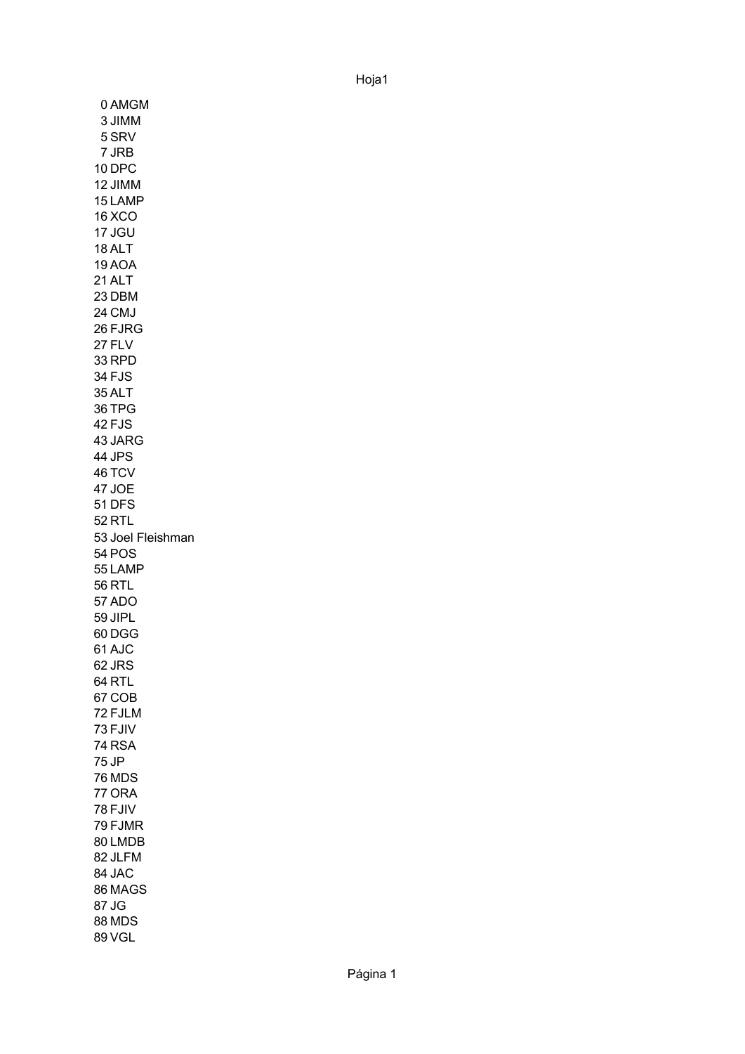0 AMGM 3 JIMM 5 SRV 7 JRB 10 DPC 12 JIMM 15 LAMP 16 XCO 17 JGU 18 ALT 19 AOA 21 ALT 23 DBM 24 CMJ 26 FJRG 27 FLV 33 RPD 34 FJS 35 ALT 36 TPG 42 FJS 43 JARG 44 JPS 46 TCV 47 JOE 51 DFS 52 RTL 53 Joel Fleishman54 POS 55 LAMP 56 RTL 57 ADO 59 JIPL 60 DGG 61 AJC 62 JRS 64 RTL 67 COB 72 FJLM 73 FJIV 74 RSA 75 JP 76 MDS 77 ORA 78 FJIV 79 FJMR 80 LMDB 82 JLFM 84 JAC 86 MAGS 87 JG 88 MDS 89 VGL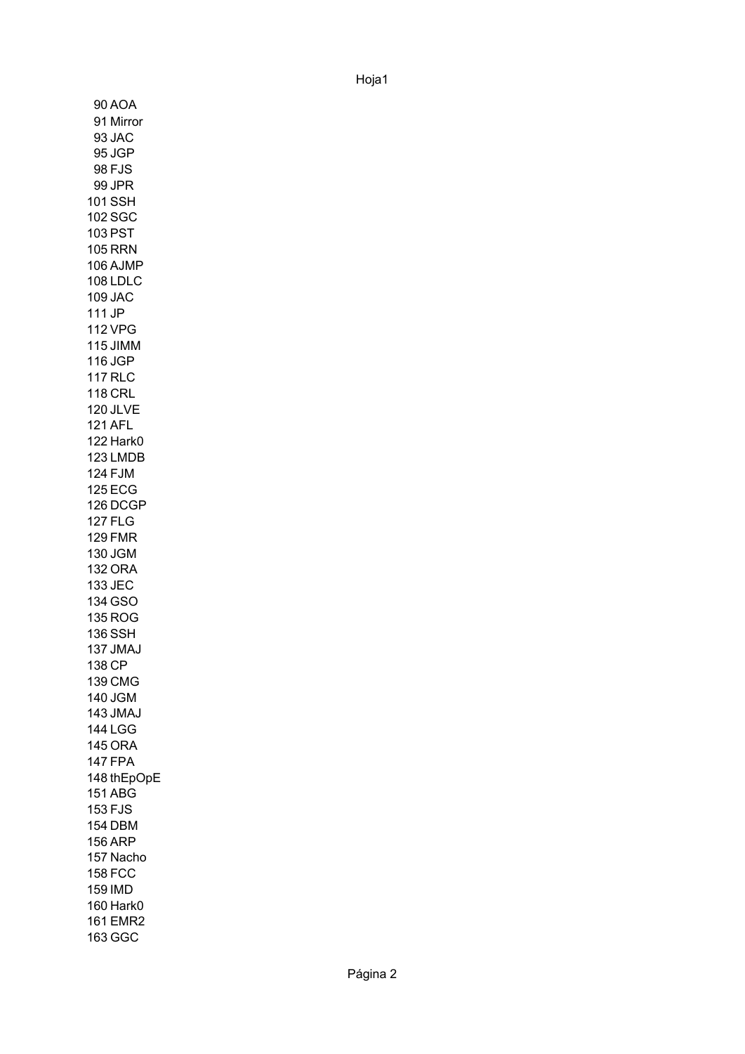90 AOA 91 Mirror 93 JAC 95 JGP 98 FJS 99 JPR 101 SSH 102 SGC 103 PST 105 RRN 106 AJMP 108 LDLC 109 JAC 111 JP 112 VPG 115 JIMM 116 JGP 117 RLC 118 CRL 120 JLVE 121 AFL 122 Hark0 123 LMDB 124 FJM 125 ECG 126 DCGP 127 FLG 129 FMR 130 JGM 132 ORA 133 JEC 134 GSO 135 ROG 136 SSH 137 JMAJ 138 CP 139 CMG 140 JGM 143 JMAJ 144 LGG 145 ORA 147 FPA 148 thEpOpE151 ABG 153 FJS 154 DBM 156 ARP 157 Nacho 158 FCC 159 IMD 160 Hark0 161 EMR2 163 GGC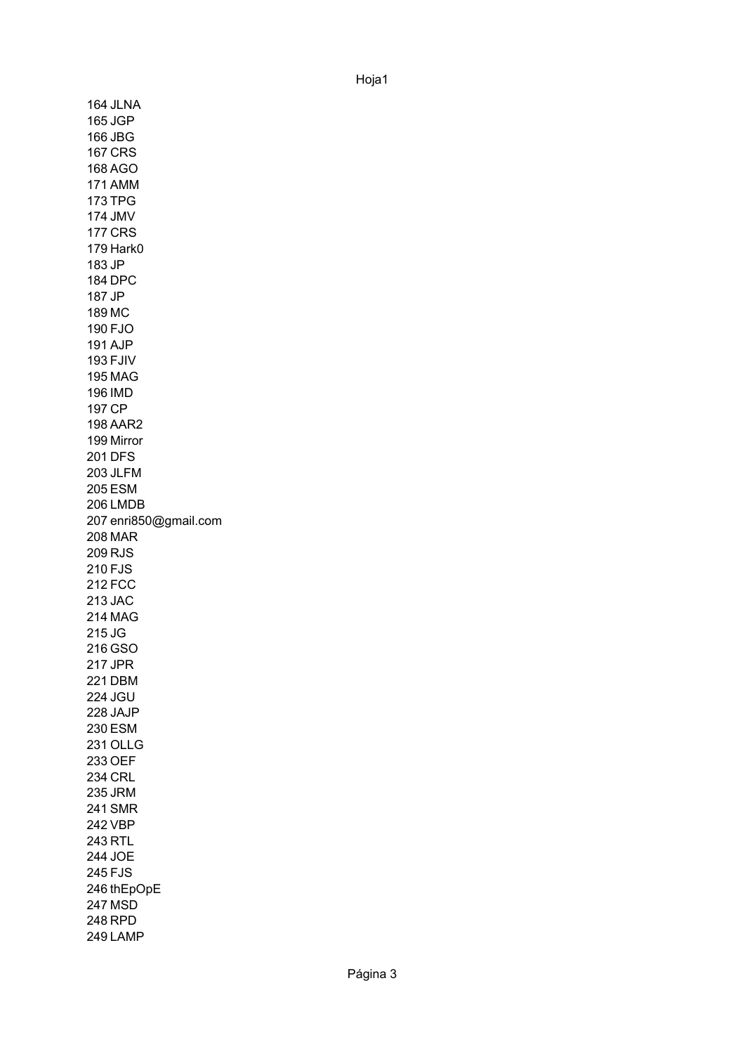164 JLNA 165 JGP 166 JBG 167 CRS 168 AGO 171 AMM 173 TPG 174 JMV 177 CRS 179 Hark0 183 JP 184 DPC 187 JP 189 MC 190 FJO 191 AJP 193 FJIV 195 MAG 196 IMD 197 CP 198 AAR2 199 Mirror 201 DFS 203 JLFM 205 ESM 206 LMDB 207 enri850@gmail.com 208 MAR 209 RJS 210 FJS 212 FCC 213 JAC 214 MAG 215 JG 216 GSO 217 JPR 221 DBM 224 JGU 228 JAJP 230 ESM 231 OLLG 233 OEF 234 CRL 235 JRM 241 SMR 242 VBP 243 RTL 244 JOE 245 FJS 246 thEpOpE 247 MSD 248 RPD 249 LAMP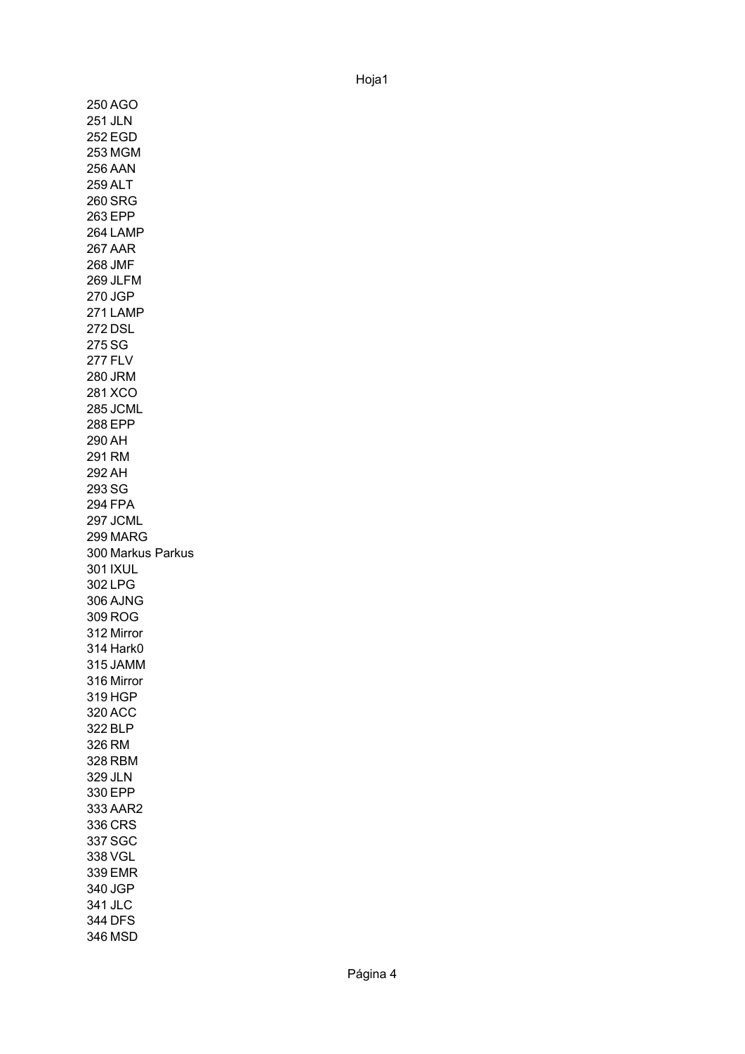250 AGO 251 JLN 252 EGD 253 MGM 256 AAN 259 ALT 260 SRG 263 EPP 264 LAMP 267 AAR 268 JMF 269 JLFM 270 JGP 271 LAMP 272 DSL 275 SG 277 FLV 280 JRM 281 XCO 285 JCML 288 EPP 290 AH 291 RM 292 AH 293 SG 294 FPA 297 JCML 299 MARG 300 Markus Parkus 301 IXUL 302 LPG 306 AJNG 309 ROG 312 Mirror 314 Hark0 315 JAMM 316 Mirror 319 HGP 320 ACC 322 BLP 326 RM 328 RBM 329 JLN 330 EPP 333 AAR2 336 CRS 337 SGC 338 VGL 339 EMR 340 JGP 341 JLC 344 DFS 346 MSD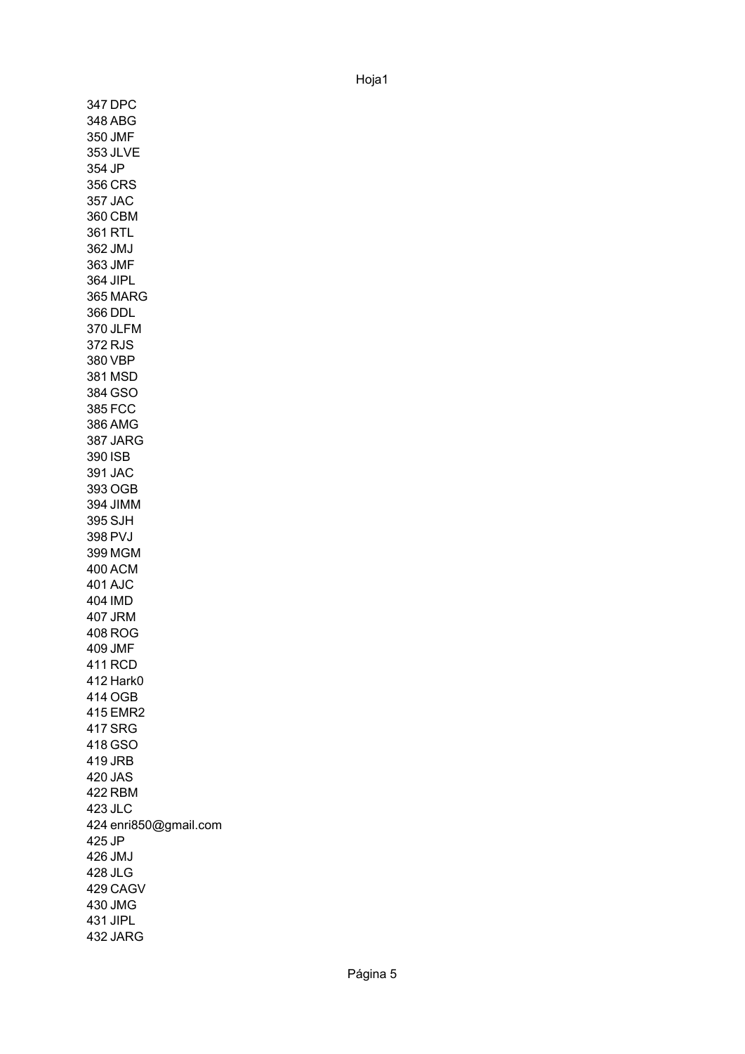347 DPC 348 ABG 350 JMF 353 JLVE 354 JP 356 CRS 357 JAC 360 CBM 361 RTL 362 JMJ 363 JMF 364 JIPL 365 MARG 366 DDL 370 JLFM 372 RJS 380 VBP 381 MSD 384 GSO 385 FCC 386 AMG 387 JARG 390 ISB 391 JAC 393 OGB 394 JIMM 395 SJH 398 PVJ 399 MGM 400 ACM 401 AJC 404 IMD 407 JRM 408 ROG 409 JMF 411 RCD 412 Hark0 414 OGB 415 EMR2 417 SRG 418 GSO 419 JRB 420 JAS 422 RBM 423 JLC 424 enri850@gmail.com 425 JP 426 JMJ 428 JLG 429 CAGV 430 JMG 431 JIPL 432 JARG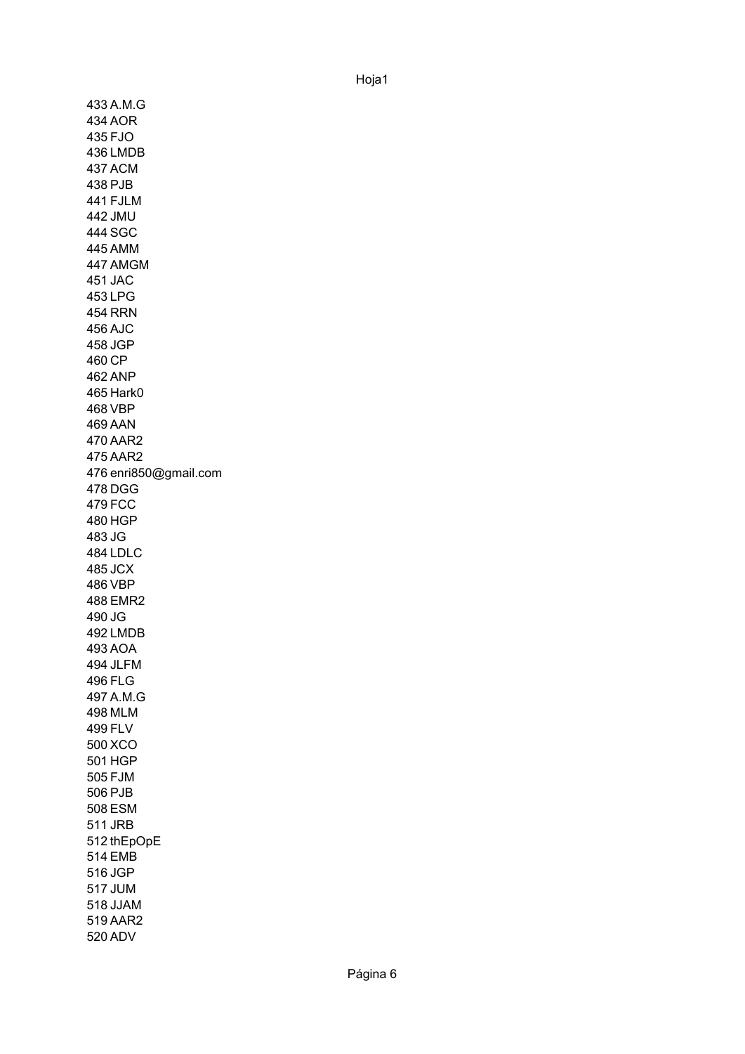433 A.M.G 434 AOR 435 FJO 436 LMDB 437 ACM 438 PJB 441 FJLM 442 JMU 444 SGC 445 AMM 447 AMGM 451 JAC 453 LPG 454 RRN 456 AJC 458 JGP 460 CP 462 ANP 465 Hark0 468 VBP 469 AAN 470 AAR2 475 AAR2 476 enri850@gmail.com 478 DGG 479 FCC 480 HGP 483 JG 484 LDLC 485 JCX 486 VBP 488 EMR2 490 JG 492 LMDB 493 AOA 494 JLFM 496 FLG 497 A.M.G 498 MLM 499 FLV 500 XCO 501 HGP 505 FJM 506 PJB 508 ESM 511 JRB 512 thEpOpE 514 EMB 516 JGP 517 JUM 518 JJAM 519 AAR2 520 ADV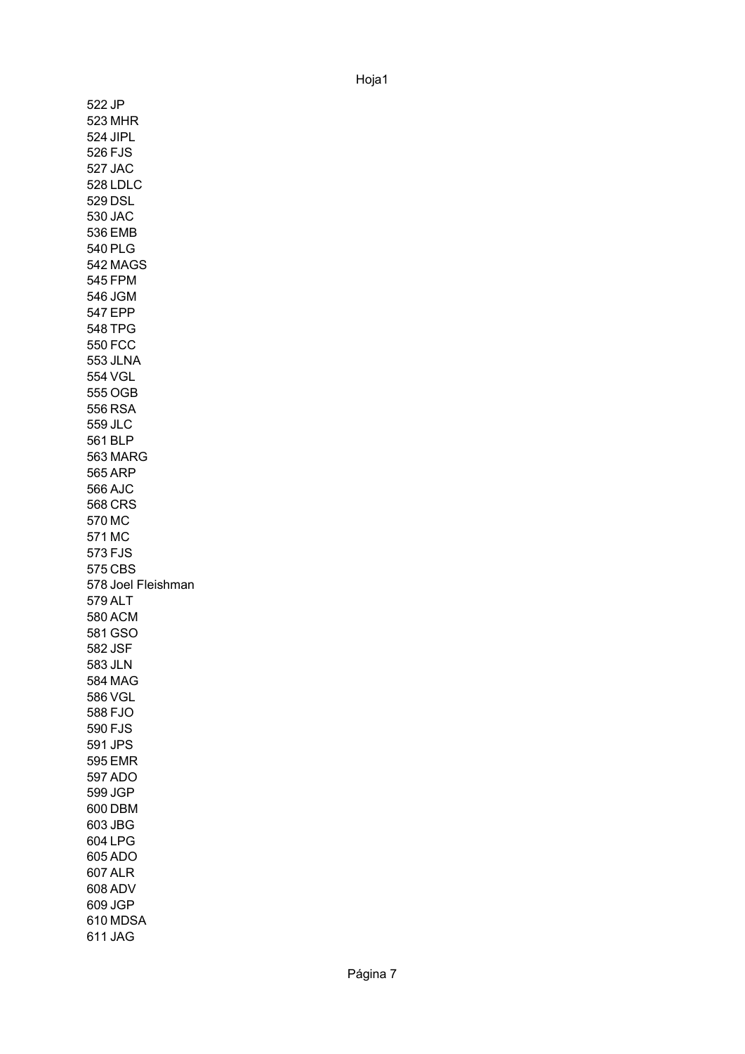522 JP 523 MHR 524 JIPL 526 FJS 527 JAC 528 LDLC 529 DSL 530 JAC 536 EMB 540 PLG 542 MAGS 545 FPM 546 JGM 547 EPP 548 TPG 550 FCC 553 JLNA 554 VGL 555 OGB 556 RSA 559 JLC 561 BLP 563 MARG 565 ARP 566 AJC 568 CRS 570 MC 571 MC 573 FJS 575 CBS 578 Joel Fleishman 579 ALT 580 ACM 581 GSO 582 JSF 583 JLN 584 MAG 586 VGL 588 FJO 590 FJS 591 JPS 595 EMR 597 ADO 599 JGP 600 DBM 603 JBG 604 LPG 605 ADO 607 ALR 608 ADV 609 JGP 610 MDSA 611 JAG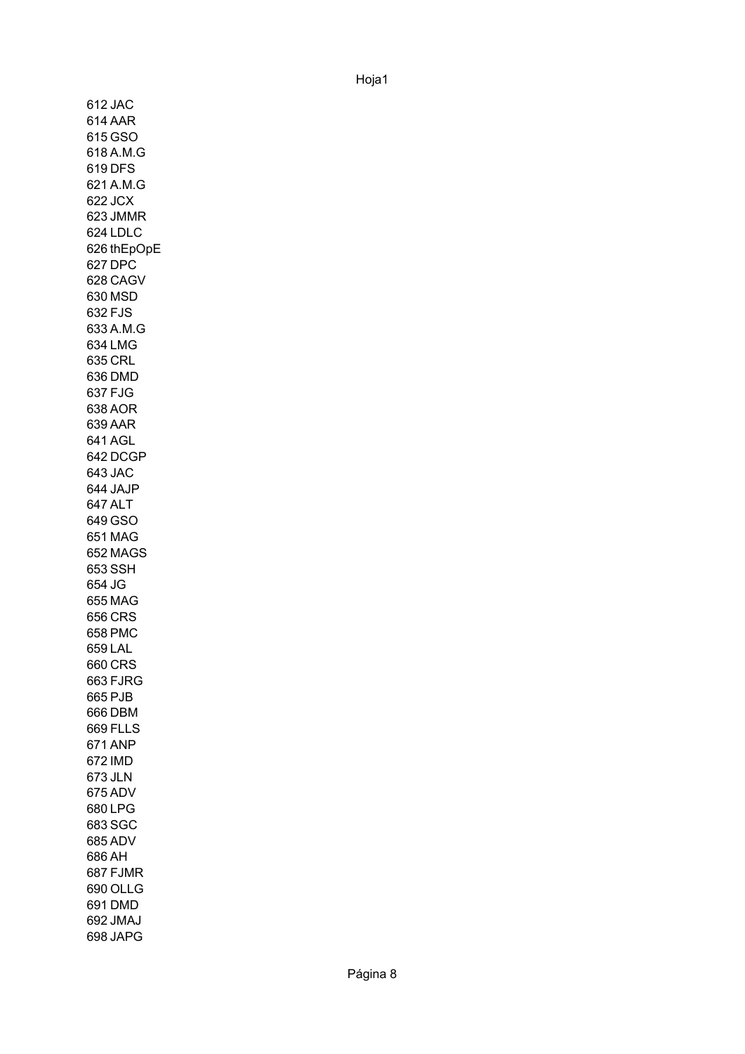612 JAC 614 AAR 615 GSO 618 A.M.G 619 DFS 621 A.M.G 622 JCX 623 JMMR 624 LDLC 626 thEpOpE 627 DPC 628 CAGV 630 MSD 632 FJS 633 A.M.G 634 LMG 635 CRL 636 DMD 637 FJG 638 AOR 639 AAR 641 AGL 642 DCGP 643 JAC 644 JAJP 647 ALT 649 GSO 651 MAG 652 MAGS 653 SSH 654 JG 655 MAG 656 CRS 658 PMC 659 LAL 660 CRS 663 FJRG 665 PJB 666 DBM 669 FLLS 671 ANP 672 IMD 673 JLN 675 ADV 680 LPG 683 SGC 685 ADV 686 AH 687 FJMR 690 OLLG 691 DMD 692 JMAJ 698 JAPG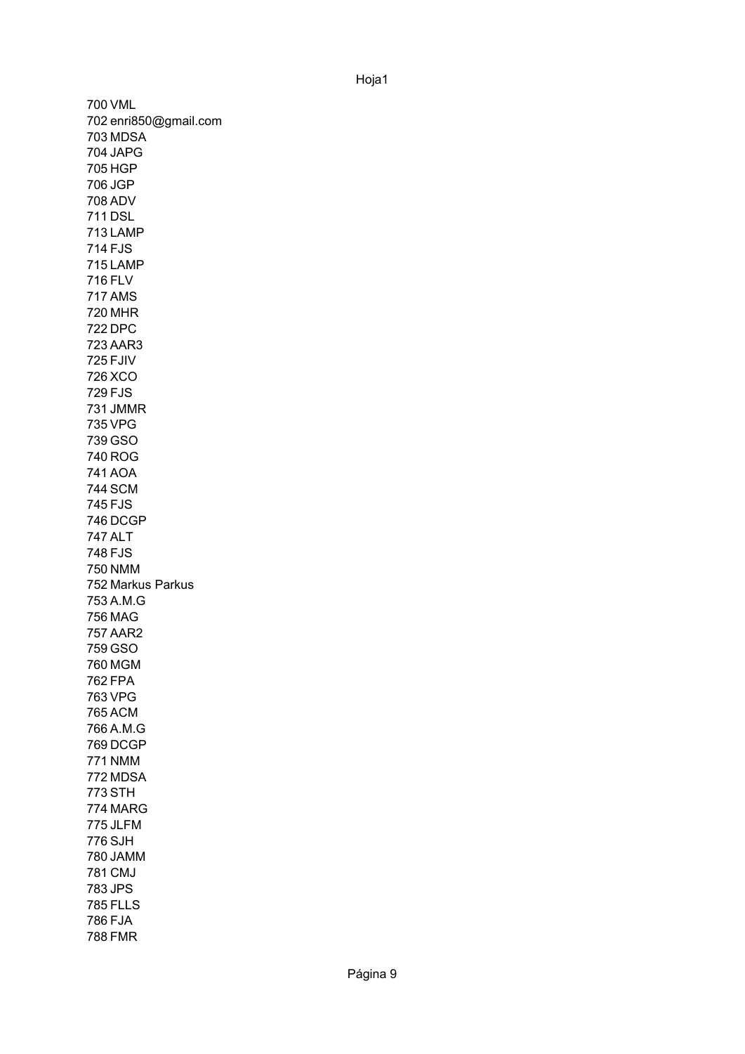700 VML 702 enri850@gmail.com 703 MDSA 704 JAPG 705 HGP 706 JGP 708 ADV 711 DSL 713 LAMP 714 FJS 715 LAMP 716 FLV 717 AMS 720 MHR 722 DPC 723 AAR3 725 FJIV 726 XCO 729 FJS 731 JMMR 735 VPG 739 GSO 740 ROG 741 AOA 744 SCM 745 FJS 746 DCGP 747 ALT 748 FJS 750 NMM 752 Markus Parkus 753 A.M.G 756 MAG 757 AAR2 759 GSO 760 MGM 762 FPA 763 VPG 765 ACM 766 A.M.G 769 DCGP 771 NMM 772 MDSA 773 STH 774 MARG 775 JLFM 776 SJH 780 JAMM 781 CMJ 783 JPS 785 FLLS 786 FJA 788 FMR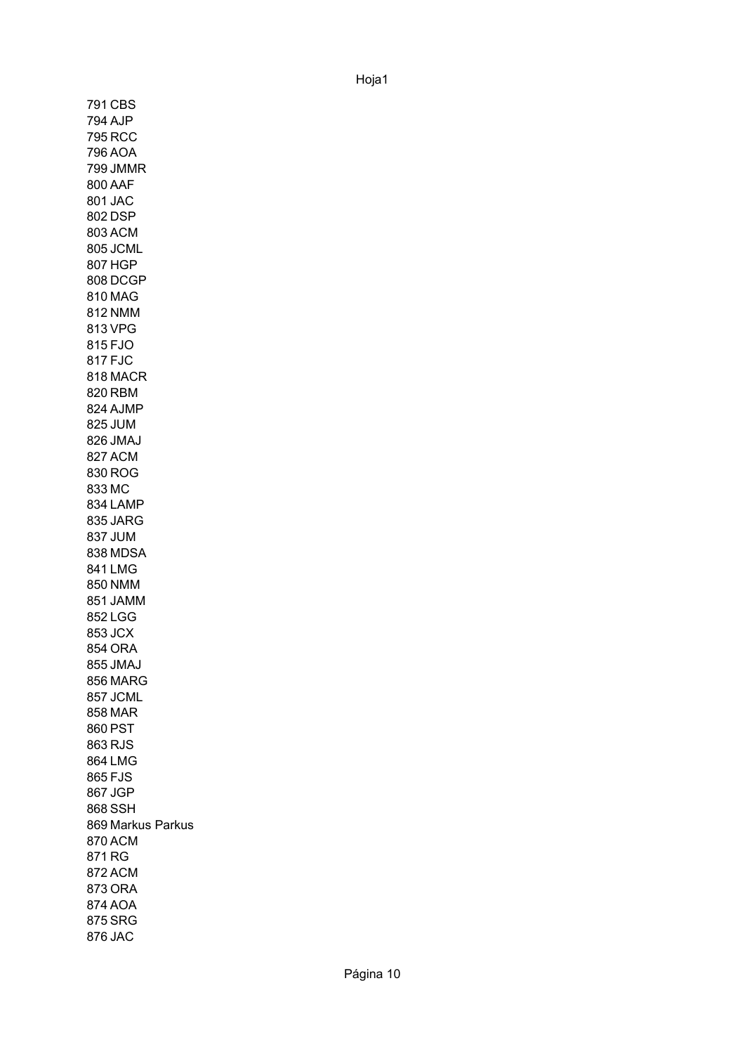791 CBS 794 AJP 795 RCC 796 AOA 799 JMMR 800 AAF 801 JAC 802 DSP 803 ACM 805 JCML 807 HGP 808 DCGP 810 MAG 812 NMM 813 VPG 815 FJO 817 FJC 818 MACR 820 RBM 824 AJMP 825 JUM 826 JMAJ 827 ACM 830 ROG 833 MC 834 LAMP 835 JARG 837 JUM 838 MDSA 841 LMG 850 NMM 851 JAMM 852 LGG 853 JCX 854 ORA 855 JMAJ 856 MARG 857 JCML 858 MAR 860 PST 863 RJS 864 LMG 865 FJS 867 JGP 868 SSH 869 Markus Parkus870 ACM 871 RG 872 ACM 873 ORA 874 AOA 875 SRG 876 JAC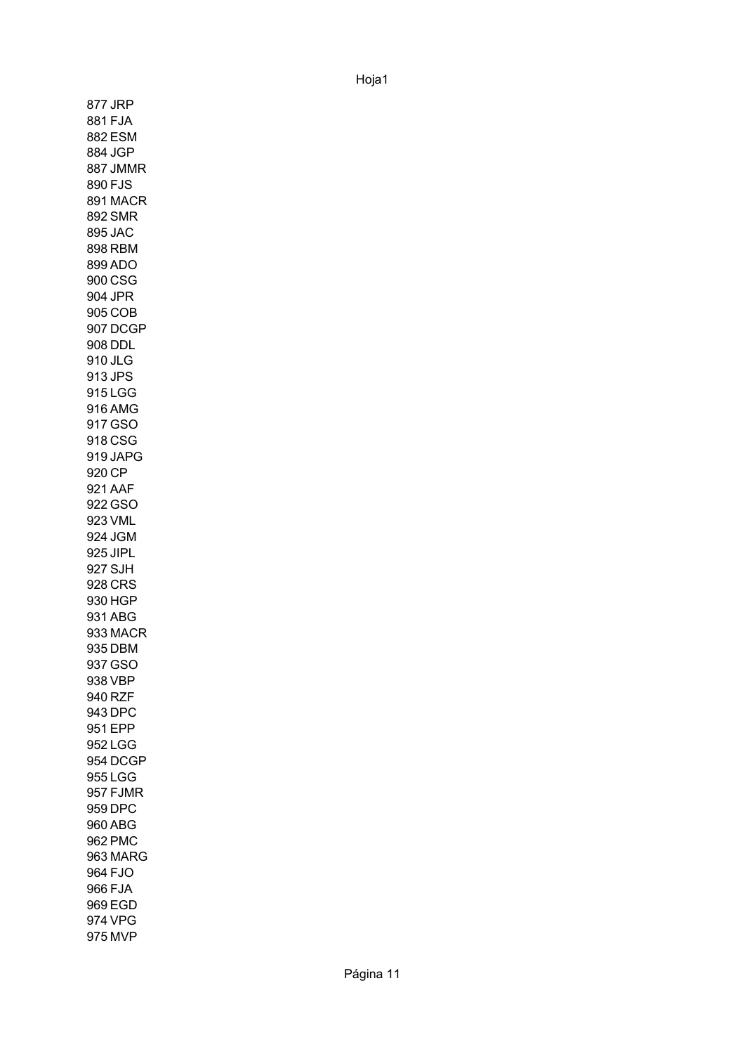877 JRP 881 FJA 882 ESM 884 JGP 887 JMMR 890 FJS 891 MACR 892 SMR 895 JAC 898 RBM 899 ADO 900 CSG 904 JPR 905 COB 907 DCGP 908 DDL 910 JLG 913 JPS 915 LGG 916 AMG 917 GSO 918 CSG 919 JAPG 920 CP 921 AAF 922 GSO 923 VML 924 JGM 925 JIPL 927 SJH 928 CRS 930 HGP 931 ABG 933 MACR 935 DBM 937 GSO 938 VBP 940 RZF 943 DPC 951 EPP 952 LGG 954 DCGP 955 LGG 957 FJMR 959 DPC 960 ABG 962 PMC 963 MARG 964 FJO 966 FJA 969 EGD 974 VPG 975 MVP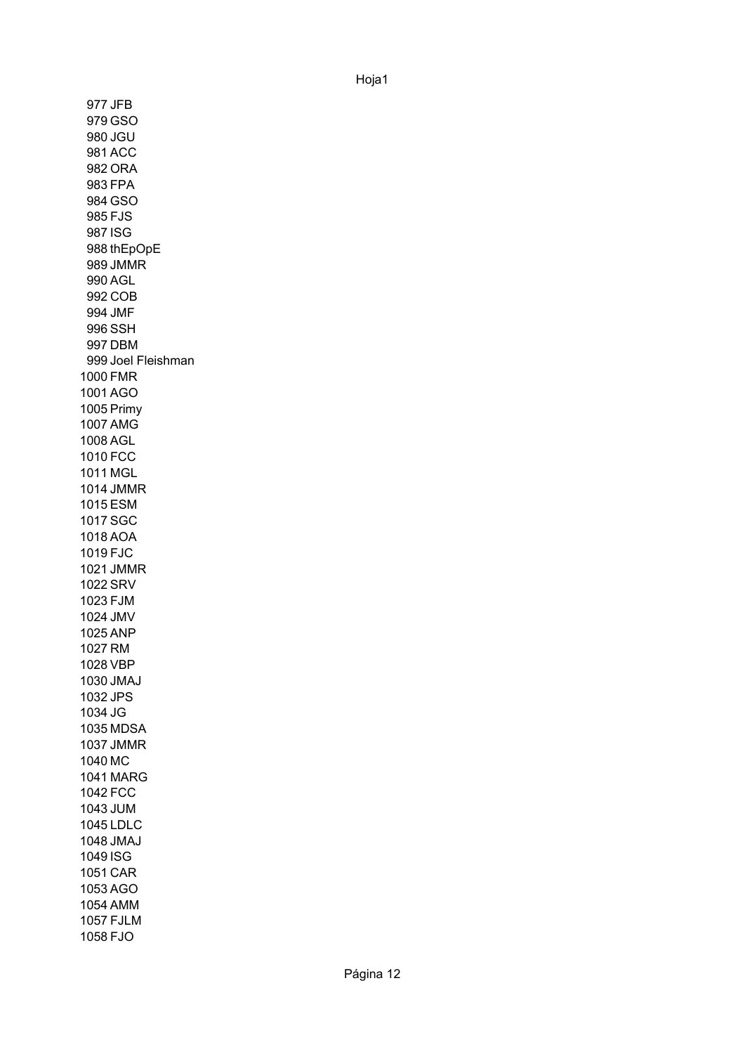977 JFB 979 GSO 980 JGU 981 ACC 982 ORA 983 FPA 984 GSO 985 FJS 987 ISG 988 thEpOpE 989 JMMR 990 AGL 992 COB 994 JMF 996 SSH 997 DBM 999 Joel Fleishman 1000 FMR 1001 AGO 1005 Primy1007 AMG 1008 AGL 1010 FCC 1011 MGL 1014 JMMR 1015 ESM 1017 SGC 1018 AOA 1019 FJC 1021 JMMR 1022 SRV 1023 FJM 1024 JMV 1025 ANP 1027 RM 1028 VBP 1030 JMAJ 1032 JPS 1034 JG 1035 MDSA 1037 JMMR 1040 MC 1041 MARG 1042 FCC 1043 JUM 1045 LDLC 1048 JMAJ 1049 ISG 1051 CAR 1053 AGO 1054 AMM 1057 FJLM 1058 FJO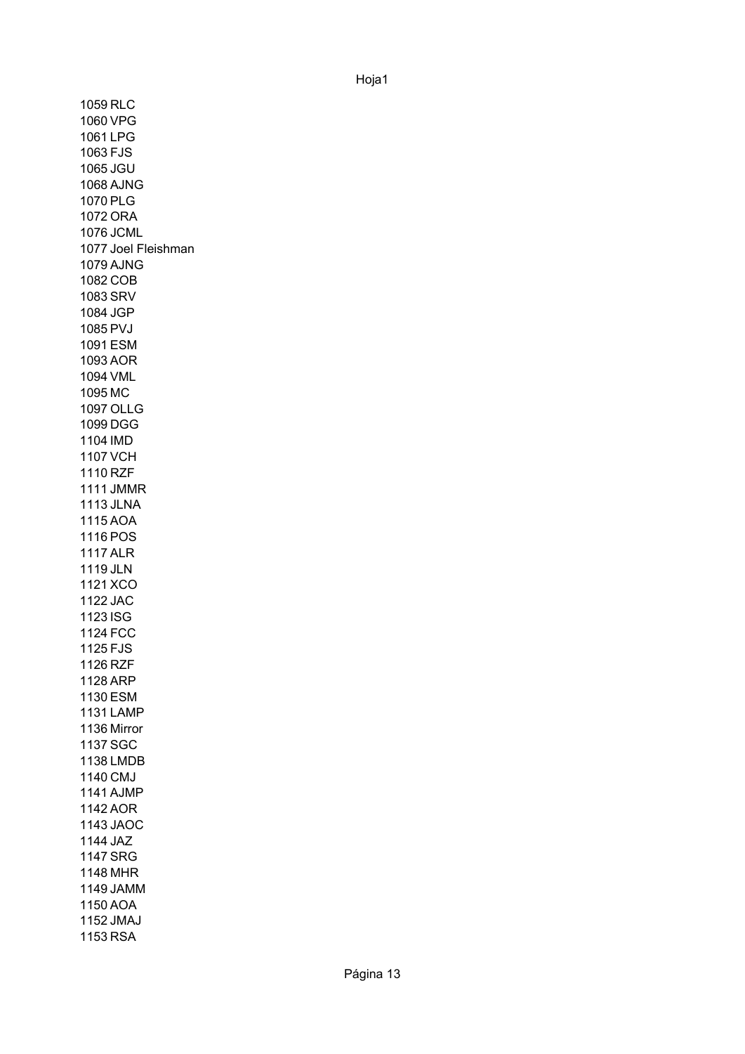1059 RLC 1060 VPG 1061 LPG 1063 FJS 1065 JGU 1068 AJNG 1070 PLG 1072 ORA 1076 JCML 1077 Joel Fleishman 1079 AJNG 1082 COB 1083 SRV 1084 JGP 1085 PVJ 1091 ESM 1093 AOR 1094 VML 1095 MC 1097 OLLG 1099 DGG 1104 IMD 1107 VCH 1110 RZF 1111 JMMR 1113 JLNA 1115 AOA 1116 POS 1117 ALR 1119 JLN 1121 XCO 1122 JAC 1123 ISG 1124 FCC 1125 FJS 1126 RZF 1128 ARP 1130 ESM 1131 LAMP 1136 Mirror1137 SGC 1138 LMDB 1140 CMJ 1141 AJMP 1142 AOR 1143 JAOC 1144 JAZ 1147 SRG 1148 MHR 1149 JAMM 1150 AOA 1152 JMAJ 1153 RSA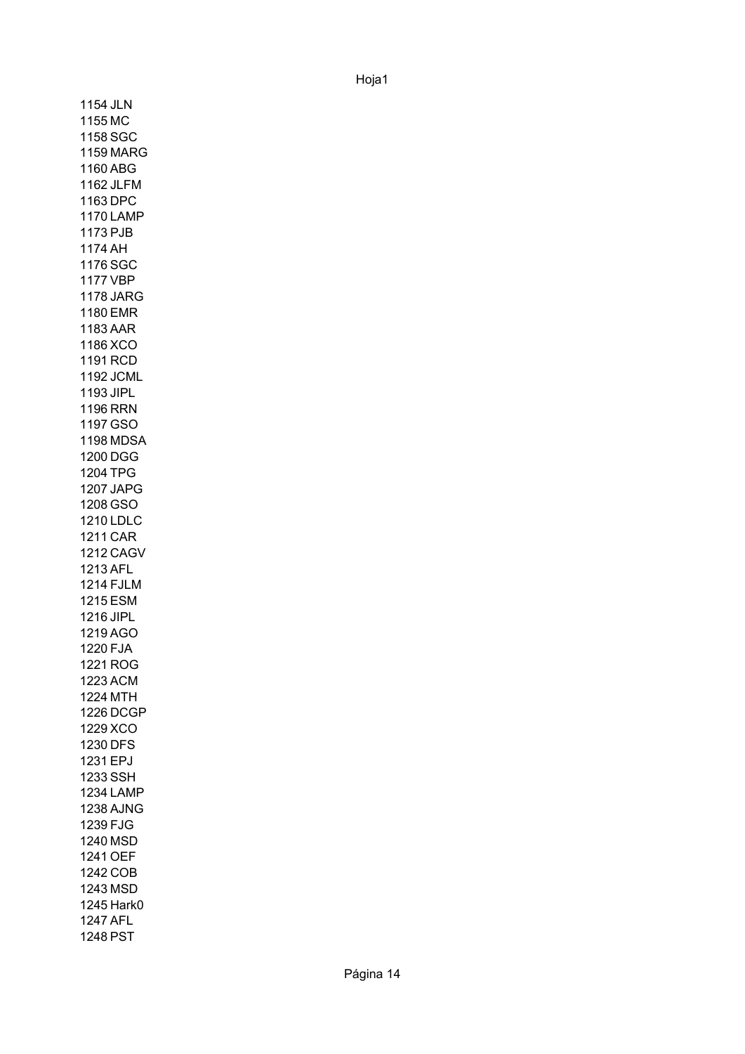1154 JLN 1155 MC 1158 SGC 1159 MARG 1160 ABG 1162 JLFM 1163 DPC 1170 LAMP 1173 PJB 1174 AH 1176 SGC 1177 VBP 1178 JARG 1180 EMR 1183 AAR 1186 XCO 1191 RCD 1192 JCML 1193 JIPL 1196 RRN 1197 GSO 1198 MDSA 1200 DGG 1204 TPG 1207 JAPG 1208 GSO 1210 LDLC 1211 CAR 1212 CAGV 1213 AFL 1214 FJLM 1215 ESM 1216 JIPL 1219 AGO 1220 FJA 1221 ROG 1223 ACM 1224 MTH 1226 DCGP 1229 XCO 1230 DFS 1231 EPJ 1233 SSH 1234 LAMP 1238 AJNG 1239 FJG 1240 MSD 1241 OEF 1242 COB 1243 MSD 1245 Hark0 1247 AFL 1248 PST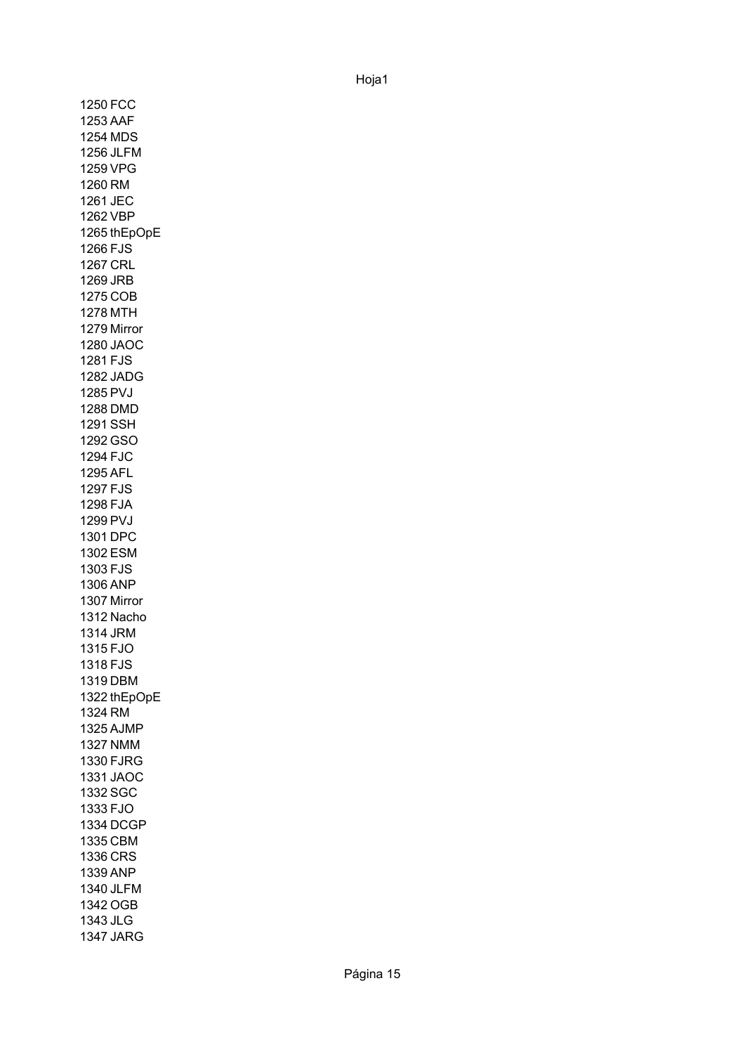1250 FCC 1253 AAF 1254 MDS 1256 JLFM 1259 VPG 1260 RM 1261 JEC 1262 VBP 1265 thEpOpE 1266 FJS 1267 CRL 1269 JRB 1275 COB 1278 MTH 1279 Mirror 1280 JAOC 1281 FJS 1282 JADG 1285 PVJ 1288 DMD 1291 SSH 1292 GSO 1294 FJC 1295 AFL 1297 FJS 1298 FJA 1299 PVJ 1301 DPC 1302 ESM 1303 FJS 1306 ANP 1307 Mirror 1312 Nacho 1314 JRM 1315 FJO 1318 FJS 1319 DBM 1322 thEpOpE1324 RM 1325 AJMP 1327 NMM 1330 FJRG 1331 JAOC 1332 SGC 1333 FJO 1334 DCGP 1335 CBM 1336 CRS 1339 ANP 1340 JLFM 1342 OGB 1343 JLG 1347 JARG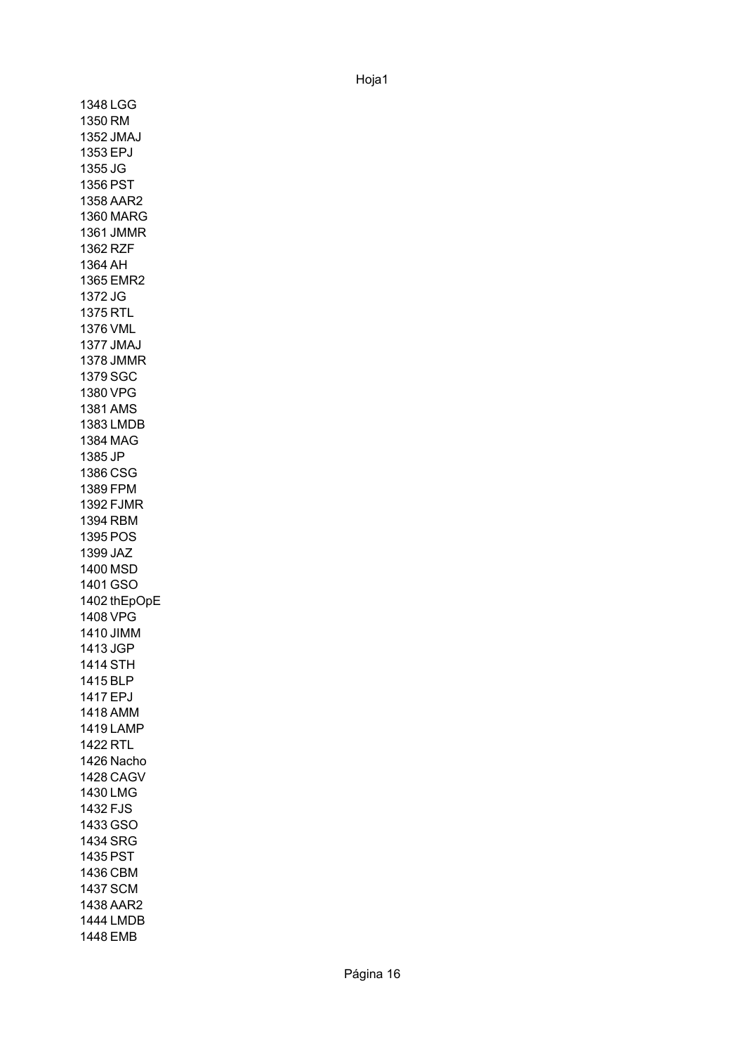1348 LGG 1350 RM 1352 JMAJ 1353 EPJ 1355 JG 1356 PST 1358 AAR2 1360 MARG 1361 JMMR 1362 RZF 1364 AH 1365 EMR2 1372 JG 1375 RTL 1376 VML 1377 JMAJ 1378 JMMR 1379 SGC 1380 VPG 1381 AMS 1383 LMDB 1384 MAG 1385 JP 1386 CSG 1389 FPM 1392 FJMR 1394 RBM 1395 POS 1399 JAZ 1400 MSD 1401 GSO 1402 thEpOpE1408 VPG 1410 JIMM 1413 JGP 1414 STH 1415 BLP 1417 EPJ 1418 AMM 1419 LAMP 1422 RTL 1426 Nacho 1428 CAGV 1430 LMG 1432 FJS 1433 GSO 1434 SRG 1435 PST 1436 CBM 1437 SCM 1438 AAR2 1444 LMDB 1448 EMB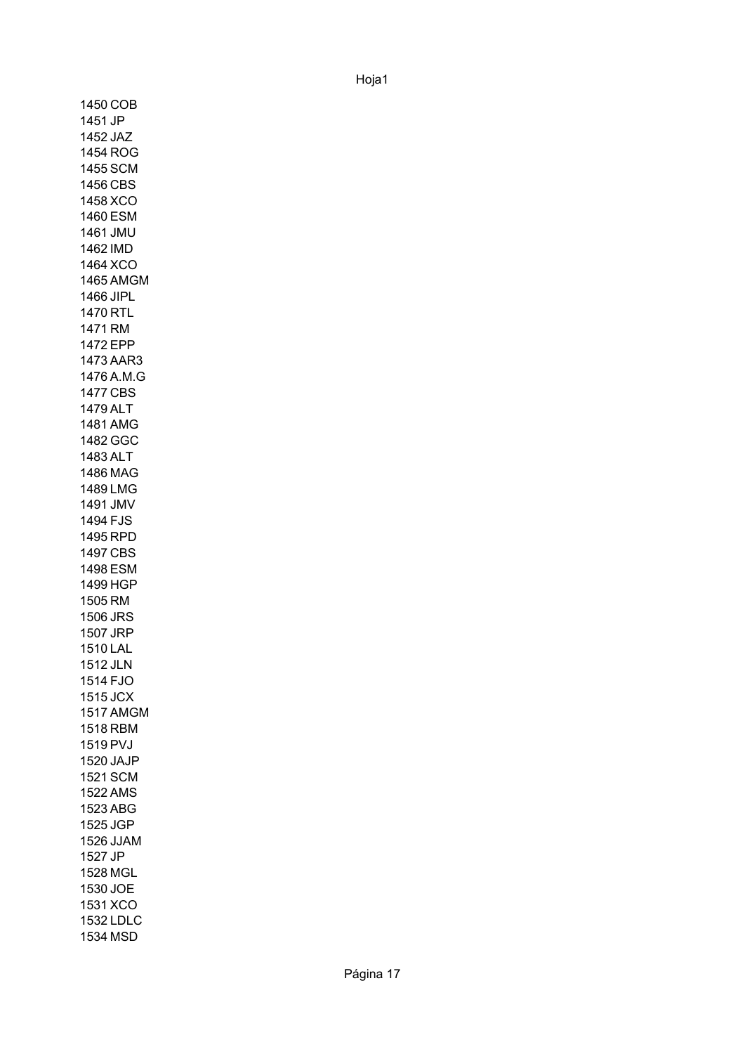1450 COB 1451 JP 1452 JAZ 1454 ROG 1455 SCM 1456 CBS 1458 XCO 1460 ESM 1461 JMU 1462 IMD 1464 XCO 1465 AMGM 1466 JIPL 1470 RTL 1471 RM 1472 EPP 1473 AAR3 1476 A.M.G 1477 CBS 1479 ALT 1481 AMG 1482 GGC 1483 ALT 1486 MAG 1489 LMG 1491 JMV 1494 FJS 1495 RPD 1497 CBS 1498 ESM 1499 HGP 1505 RM 1506 JRS 1507 JRP 1510 LAL 1512 JLN 1514 FJO 1515 JCX 1517 AMGM 1518 RBM 1519 PVJ 1520 JAJP 1521 SCM 1522 AMS 1523 ABG 1525 JGP 1526 JJAM 1527 JP 1528 MGL 1530 JOE 1531 XCO 1532 LDLC 1534 MSD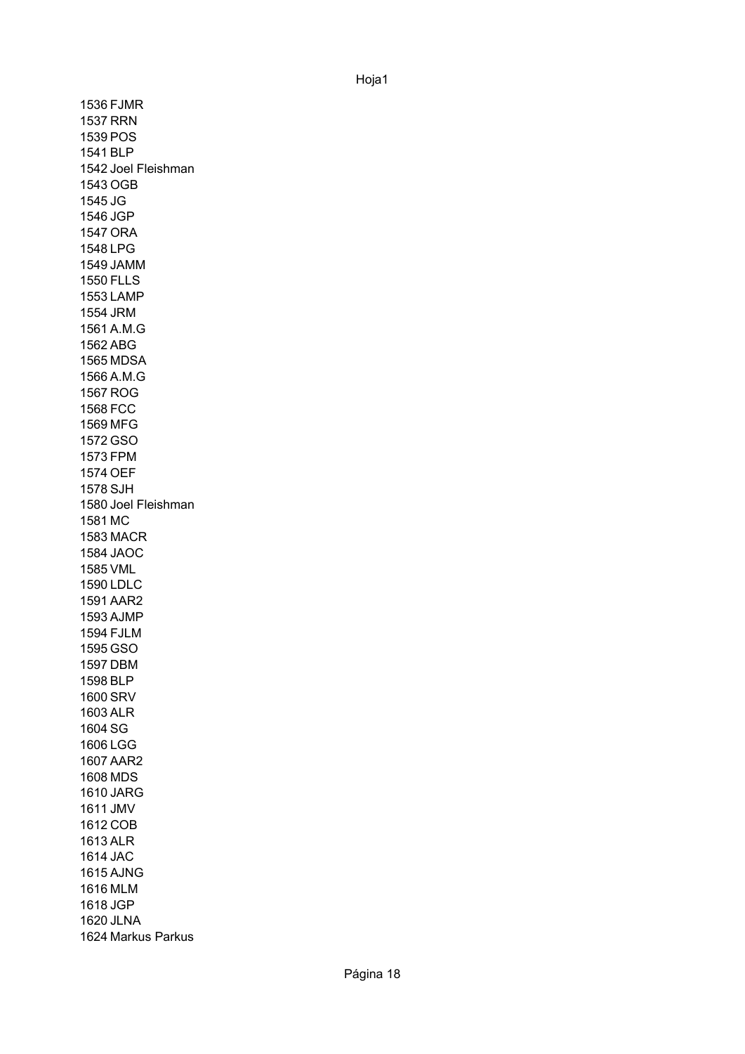1536 FJMR 1537 RRN 1539 POS 1541 BLP 1542 Joel Fleishman 1543 OGB 1545 JG 1546 JGP 1547 ORA 1548 LPG 1549 JAMM 1550 FLLS 1553 LAMP 1554 JRM 1561 A.M.G 1562 ABG 1565 MDSA 1566 A.M.G 1567 ROG 1568 FCC 1569 MFG 1572 GSO 1573 FPM 1574 OEF 1578 SJH 1580 Joel Fleishman 1581 MC 1583 MACR 1584 JAOC 1585 VML 1590 LDLC 1591 AAR2 1593 AJMP 1594 FJLM 1595 GSO 1597 DBM 1598 BLP 1600 SRV 1603 ALR 1604 SG 1606 LGG 1607 AAR2 1608 MDS 1610 JARG 1611 JMV 1612 COB 1613 ALR 1614 JAC 1615 AJNG 1616 MLM 1618 JGP 1620 JLNA 1624 Markus Parkus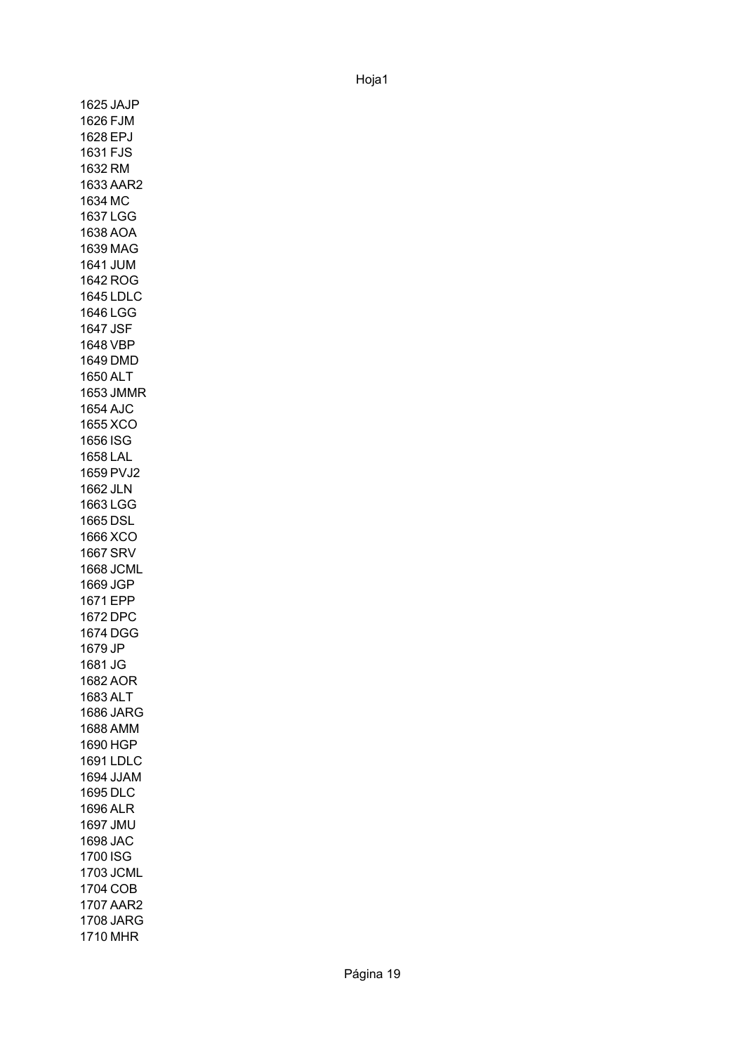1625 JAJP 1626 FJM 1628 EPJ 1631 FJS 1632 RM 1633 AAR2 1634 MC 1637 LGG 1638 AOA 1639 MAG 1641 JUM 1642 ROG 1645 LDLC 1646 LGG 1647 JSF 1648 VBP 1649 DMD 1650 ALT 1653 JMMR 1654 AJC 1655 XCO 1656 ISG 1658 LAL 1659 PVJ2 1662 JLN 1663 LGG 1665 DSL 1666 XCO 1667 SRV 1668 JCML 1669 JGP 1671 EPP 1672 DPC 1674 DGG 1679 JP 1681 JG 1682 AOR 1683 ALT 1686 JARG 1688 AMM 1690 HGP 1691 LDLC 1694 JJAM 1695 DLC 1696 ALR 1697 JMU 1698 JAC 1700 ISG 1703 JCML 1704 COB 1707 AAR2 1708 JARG 1710 MHR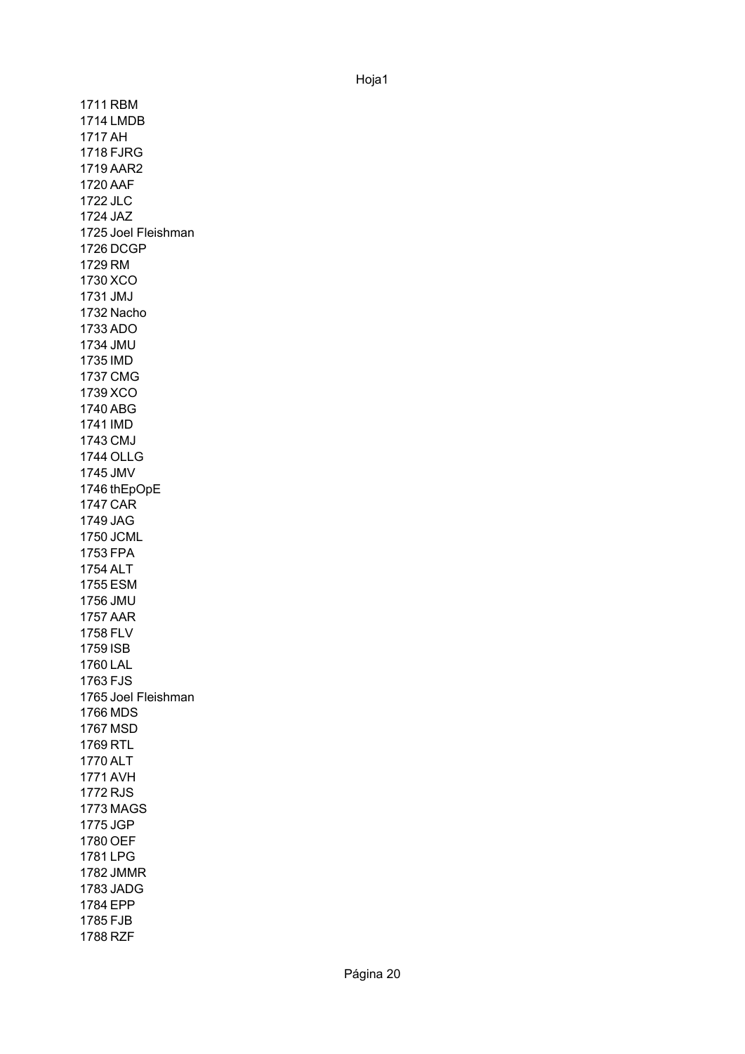1711 RBM 1714 LMDB 1717 AH 1718 FJRG 1719 AAR2 1720 AAF 1722 JLC 1724 JAZ 1725 Joel Fleishman 1726 DCGP 1729 RM 1730 XCO 1731 JMJ 1732 Nacho 1733 ADO 1734 JMU 1735 IMD 1737 CMG 1739 XCO 1740 ABG 1741 IMD 1743 CMJ 1744 OLLG 1745 JMV 1746 thEpOpE 1747 CAR 1749 JAG 1750 JCML 1753 FPA 1754 ALT 1755 ESM 1756 JMU 1757 AAR 1758 FLV 1759 ISB 1760 LAL 1763 FJS 1765 Joel Fleishman1766 MDS 1767 MSD 1769 RTL 1770 ALT 1771 AVH 1772 RJS 1773 MAGS 1775 JGP 1780 OEF 1781 LPG 1782 JMMR 1783 JADG 1784 EPP 1785 FJB 1788 RZF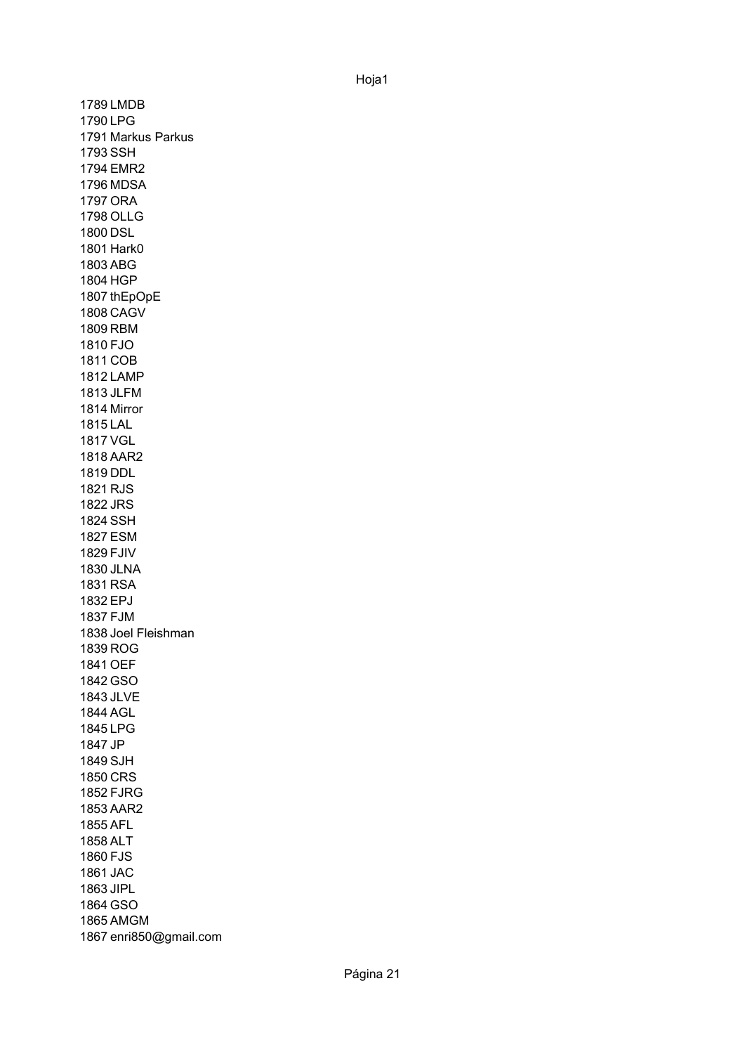1789 LMDB 1790 LPG 1791 Markus Parkus 1793 SSH 1794 EMR2 1796 MDSA 1797 ORA 1798 OLLG 1800 DSL 1801 Hark0 1803 ABG 1804 HGP 1807 thEpOpE 1808 CAGV 1809 RBM 1810 FJO 1811 COB 1812 LAMP 1813 JLFM 1814 Mirror 1815 LAL 1817 VGL 1818 AAR2 1819 DDL 1821 RJS 1822 JRS 1824 SSH 1827 ESM 1829 FJIV 1830 JLNA 1831 RSA 1832 EPJ 1837 FJM 1838 Joel Fleishman1839 ROG 1841 OEF 1842 GSO 1843 JLVE 1844 AGL 1845 LPG 1847 JP 1849 SJH 1850 CRS 1852 FJRG 1853 AAR2 1855 AFL 1858 ALT 1860 FJS 1861 JAC 1863 JIPL 1864 GSO 1865 AMGM 1867 enri850@gmail.com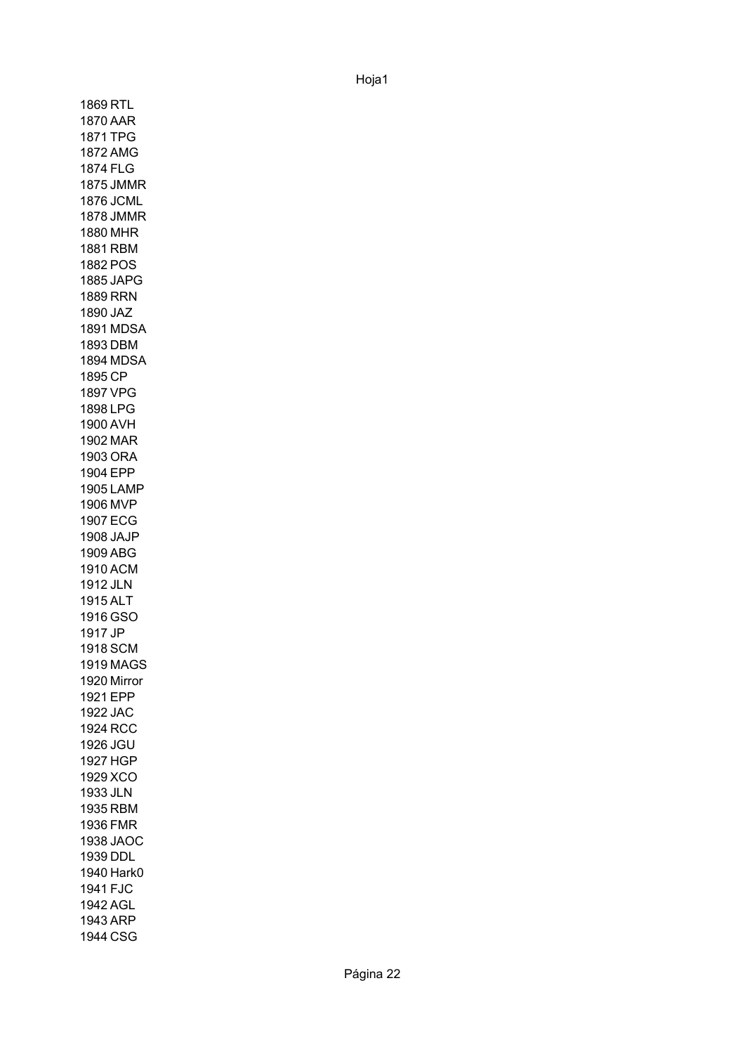1869 RTL 1870 AAR 1871 TPG 1872 AMG 1874 FLG 1875 JMMR 1876 JCML 1878 JMMR 1880 MHR 1881 RBM 1882 POS 1885 JAPG 1889 RRN 1890 JAZ 1891 MDSA 1893 DBM 1894 MDSA 1895 CP 1897 VPG 1898 LPG 1900 AVH 1902 MAR 1903 ORA 1904 EPP 1905 LAMP 1906 MVP 1907 ECG 1908 JAJP 1909 ABG 1910 ACM 1912 JLN 1915 ALT 1916 GSO 1917 JP 1918 SCM 1919 MAGS 1920 Mirror1921 EPP 1922 JAC 1924 RCC 1926 JGU 1927 HGP 1929 XCO 1933 JLN 1935 RBM 1936 FMR 1938 JAOC 1939 DDL 1940 Hark0 1941 FJC 1942 AGL 1943 ARP 1944 CSG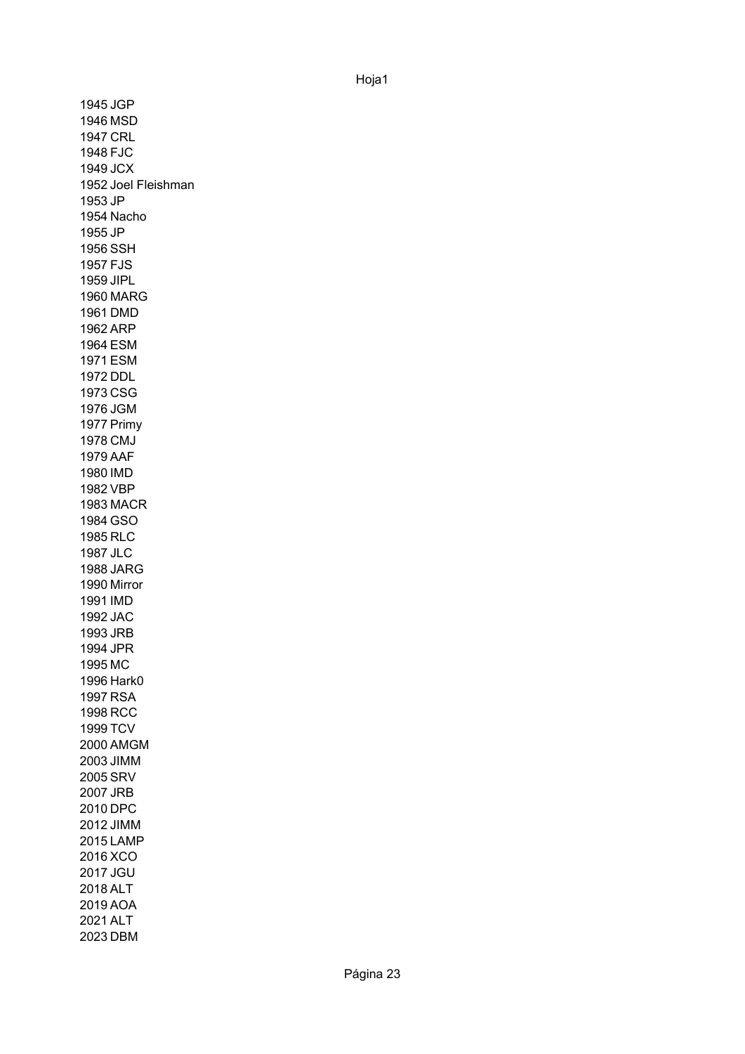1945 JGP 1946 MSD 1947 CRL 1948 FJC 1949 JCX 1952 Joel Fleishman 1953 JP 1954 Nacho 1955 JP 1956 SSH 1957 FJS 1959 JIPL 1960 MARG 1961 DMD 1962 ARP 1964 ESM 1971 ESM 1972 DDL 1973 CSG 1976 JGM 1977 Primy 1978 CMJ 1979 AAF 1980 IMD 1982 VBP 1983 MACR 1984 GSO 1985 RLC 1987 JLC 1988 JARG 1990 Mirror1991 IMD 1992 JAC 1993 JRB 1994 JPR 1995 MC 1996 Hark0 1997 RSA 1998 RCC 1999 TCV 2000 AMGM 2003 JIMM 2005 SRV 2007 JRB 2010 DPC 2012 JIMM 2015 LAMP 2016 XCO 2017 JGU 2018 ALT 2019 AOA 2021 ALT 2023 DBM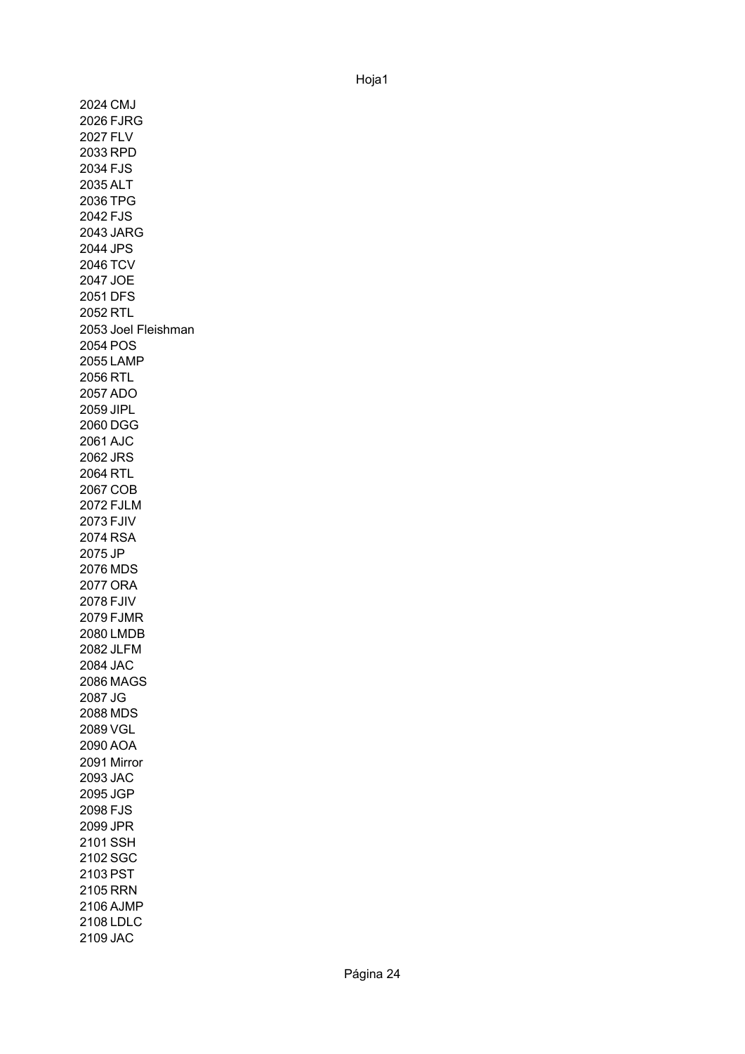2024 CMJ 2026 FJRG 2027 FLV 2033 RPD 2034 FJS 2035 ALT 2036 TPG 2042 FJS 2043 JARG 2044 JPS 2046 TCV 2047 JOE 2051 DFS 2052 RTL 2053 Joel Fleishman 2054 POS 2055 LAMP 2056 RTL 2057 ADO 2059 JIPL 2060 DGG 2061 AJC 2062 JRS 2064 RTL 2067 COB 2072 FJLM 2073 FJIV 2074 RSA 2075 JP 2076 MDS 2077 ORA 2078 FJIV 2079 FJMR 2080 LMDB 2082 JLFM 2084 JAC 2086 MAGS 2087 JG 2088 MDS 2089 VGL 2090 AOA 2091 Mirror2093 JAC 2095 JGP 2098 FJS 2099 JPR 2101 SSH 2102 SGC 2103 PST 2105 RRN 2106 AJMP 2108 LDLC 2109 JAC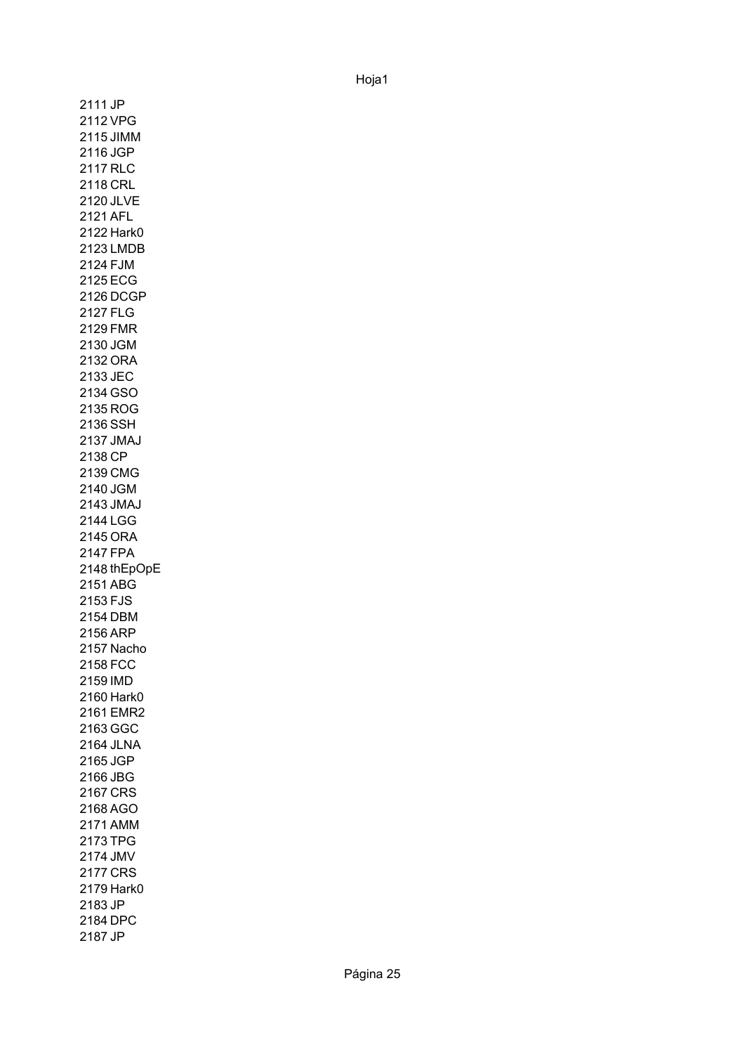2111 JP 2112 VPG 2115 JIMM 2116 JGP 2117 RLC 2118 CRL 2120 JLVE 2121 AFL 2122 Hark0 2123 LMDB 2124 FJM 2125 ECG 2126 DCGP 2127 FLG 2129 FMR 2130 JGM 2132 ORA 2133 JEC 2134 GSO 2135 ROG 2136 SSH 2137 JMAJ 2138 CP 2139 CMG 2140 JGM 2143 JMAJ 2144 LGG 2145 ORA 2147 FPA 2148 thEpOpE2151 ABG 2153 FJS 2154 DBM 2156 ARP 2157 Nacho 2158 FCC 2159 IMD 2160 Hark0 2161 EMR2 2163 GGC 2164 JLNA 2165 JGP 2166 JBG 2167 CRS 2168 AGO 2171 AMM 2173 TPG 2174 JMV 2177 CRS 2179 Hark0 2183 JP 2184 DPC 2187 JP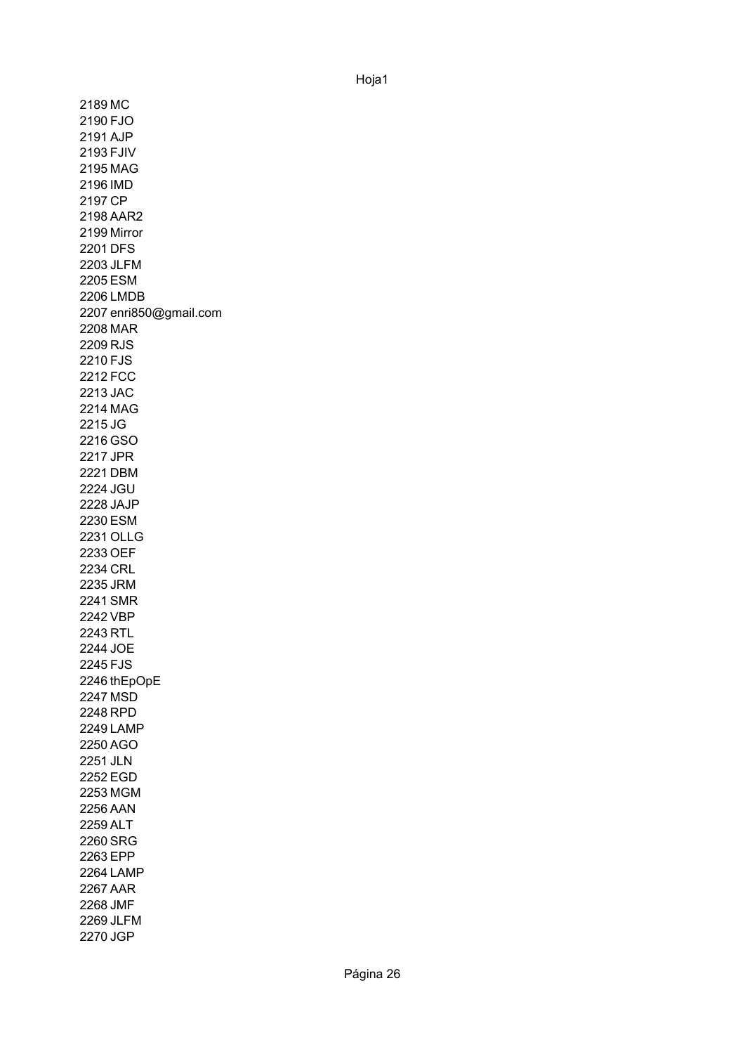2189 MC 2190 FJO 2191 AJP 2193 FJIV 2195 MAG 2196 IMD 2197 CP 2198 AAR2 2199 Mirror 2201 DFS 2203 JLFM 2205 ESM 2206 LMDB 2207 enri850@gmail.com 2208 MAR 2209 RJS 2210 FJS 2212 FCC 2213 JAC 2214 MAG 2215 JG 2216 GSO 2217 JPR 2221 DBM 2224 JGU 2228 JAJP 2230 ESM 2231 OLLG 2233 OEF 2234 CRL 2235 JRM 2241 SMR 2242 VBP 2243 RTL 2244 JOE 2245 FJS 2246 thEpOpE2247 MSD 2248 RPD 2249 LAMP 2250 AGO 2251 JLN 2252 EGD 2253 MGM 2256 AAN 2259 ALT 2260 SRG 2263 EPP 2264 LAMP 2267 AAR 2268 JMF 2269 JLFM 2270 JGP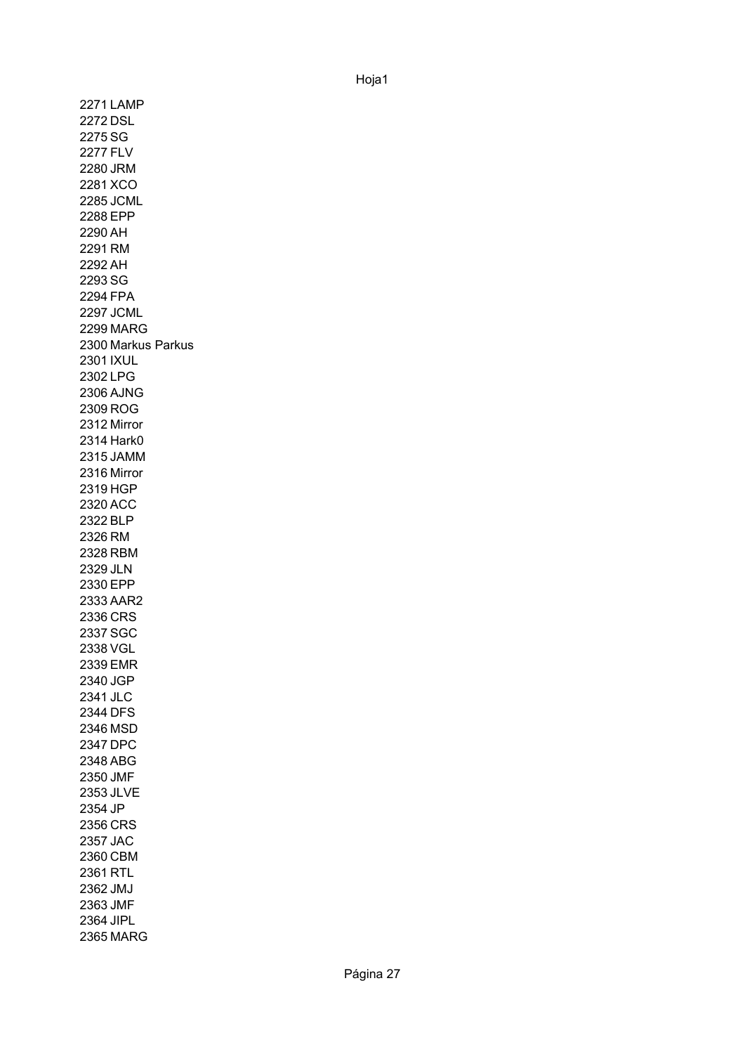2271 LAMP 2272 DSL 2275 SG 2277 FLV 2280 JRM 2281 XCO 2285 JCML 2288 EPP 2290 AH 2291 RM 2292 AH 2293 SG 2294 FPA 2297 JCML 2299 MARG 2300 Markus Parkus 2301 IXUL 2302 LPG 2306 AJNG 2309 ROG 2312 Mirror 2314 Hark0 2315 JAMM 2316 Mirror2319 HGP 2320 ACC 2322 BLP 2326 RM 2328 RBM 2329 JLN 2330 EPP 2333 AAR2 2336 CRS 2337 SGC 2338 VGL 2339 EMR 2340 JGP 2341 JLC 2344 DFS 2346 MSD 2347 DPC 2348 ABG 2350 JMF 2353 JLVE 2354 JP 2356 CRS 2357 JAC 2360 CBM 2361 RTL 2362 JMJ 2363 JMF 2364 JIPL 2365 MARG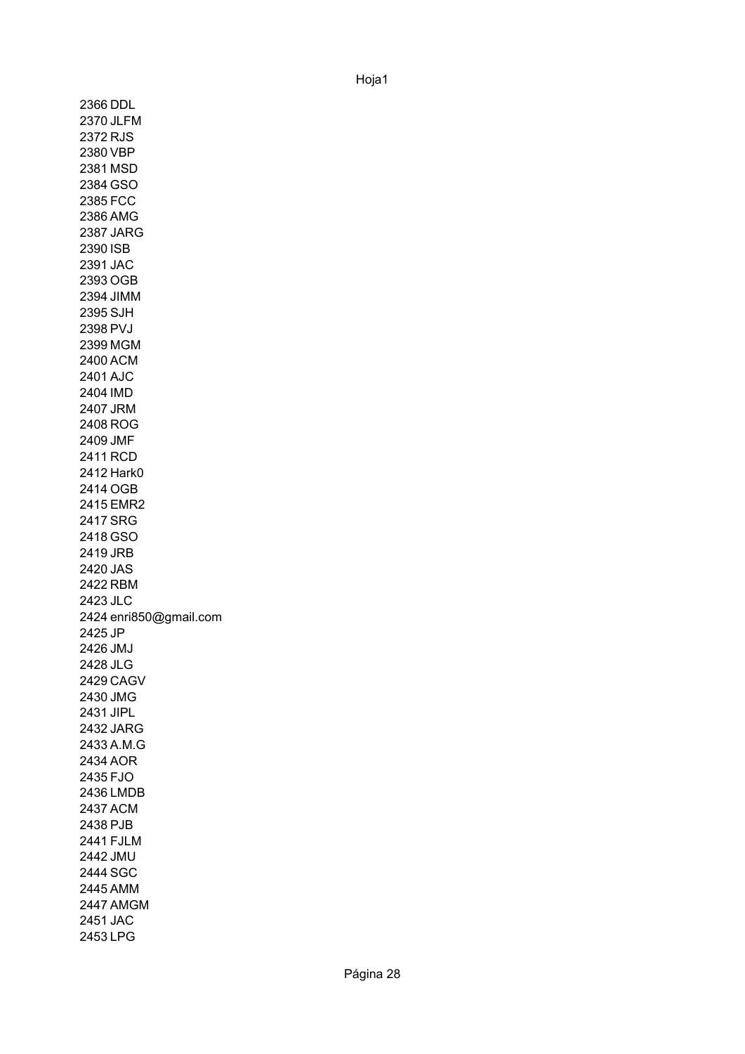2366 DDL 2370 JLFM 2372 RJS 2380 VBP 2381 MSD 2384 GSO 2385 FCC 2386 AMG 2387 JARG 2390 ISB 2391 JAC 2393 OGB 2394 JIMM 2395 SJH 2398 PVJ 2399 MGM 2400 ACM 2401 AJC 2404 IMD 2407 JRM 2408 ROG 2409 JMF 2411 RCD 2412 Hark0 2414 OGB 2415 EMR2 2417 SRG 2418 GSO 2419 JRB 2420 JAS 2422 RBM 2423 JLC 2424 enri850@gmail.com 2425 JP 2426 JMJ 2428 JLG 2429 CAGV 2430 JMG 2431 JIPL 2432 JARG 2433 A.M.G 2434 AOR 2435 FJO 2436 LMDB 2437 ACM 2438 PJB 2441 FJLM 2442 JMU 2444 SGC 2445 AMM 2447 AMGM 2451 JAC 2453 LPG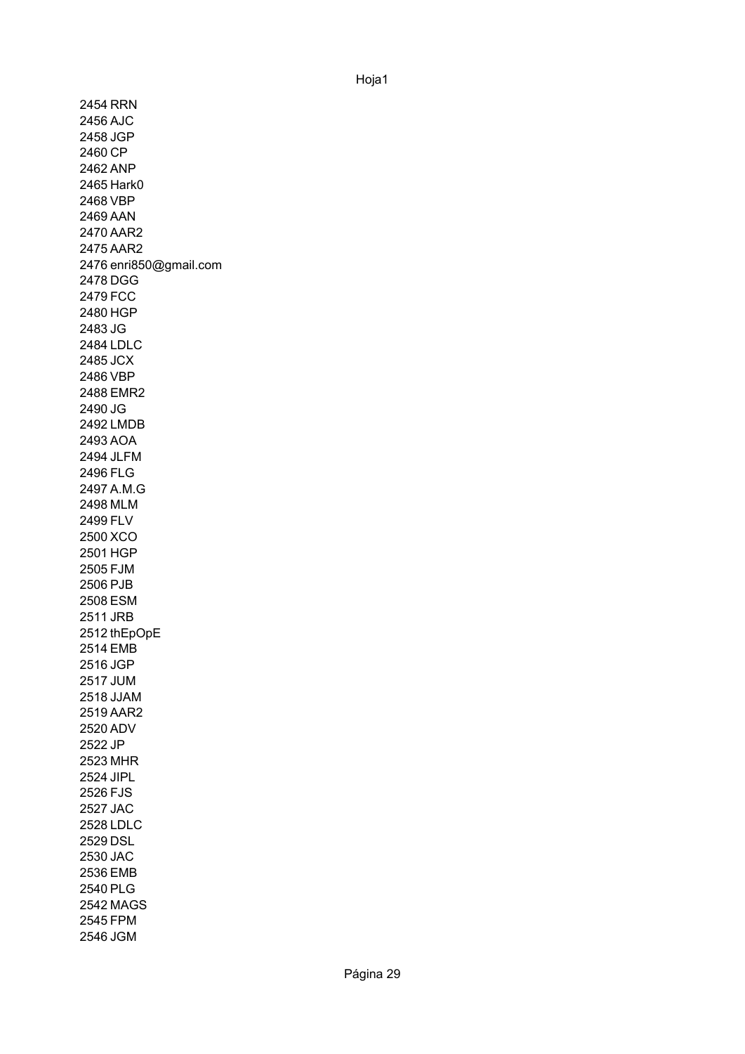2454 RRN 2456 AJC 2458 JGP 2460 CP 2462 ANP 2465 Hark0 2468 VBP 2469 AAN 2470 AAR2 2475 AAR2 2476 enri850@gmail.com 2478 DGG 2479 FCC 2480 HGP 2483 JG 2484 LDLC 2485 JCX 2486 VBP 2488 EMR2 2490 JG 2492 LMDB 2493 AOA 2494 JLFM 2496 FLG 2497 A.M.G 2498 MLM 2499 FLV 2500 XCO 2501 HGP 2505 FJM 2506 PJB 2508 ESM 2511 JRB 2512 thEpOpE2514 EMB 2516 JGP 2517 JUM 2518 JJAM 2519 AAR2 2520 ADV 2522 JP 2523 MHR 2524 JIPL 2526 FJS 2527 JAC 2528 LDLC 2529 DSL 2530 JAC 2536 EMB 2540 PLG 2542 MAGS 2545 FPM 2546 JGM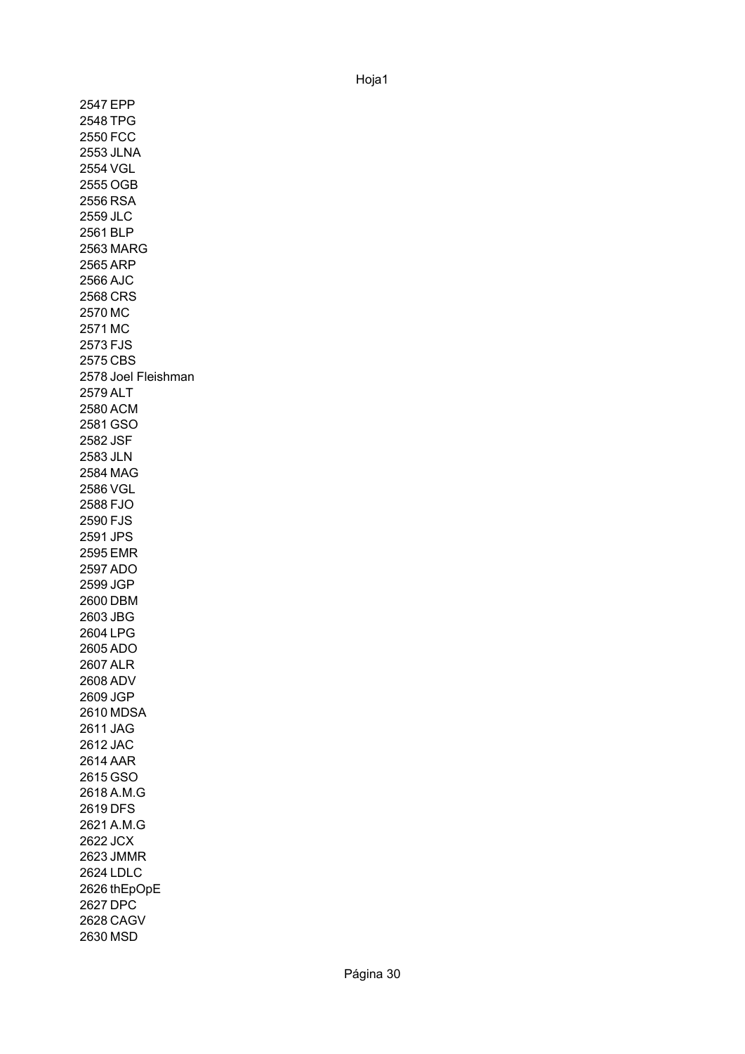2547 EPP 2548 TPG 2550 FCC 2553 JLNA 2554 VGL 2555 OGB 2556 RSA 2559 JLC 2561 BLP 2563 MARG 2565 ARP 2566 AJC 2568 CRS 2570 MC 2571 MC 2573 FJS 2575 CBS 2578 Joel Fleishman 2579 ALT 2580 ACM 2581 GSO 2582 JSF 2583 JLN 2584 MAG 2586 VGL 2588 FJO 2590 FJS 2591 JPS 2595 EMR 2597 ADO 2599 JGP 2600 DBM 2603 JBG 2604 LPG 2605 ADO 2607 ALR 2608 ADV 2609 JGP 2610 MDSA 2611 JAG 2612 JAC 2614 AAR 2615 GSO 2618 A.M.G 2619 DFS 2621 A.M.G 2622 JCX 2623 JMMR 2624 LDLC 2626 thEpOpE2627 DPC 2628 CAGV 2630 MSD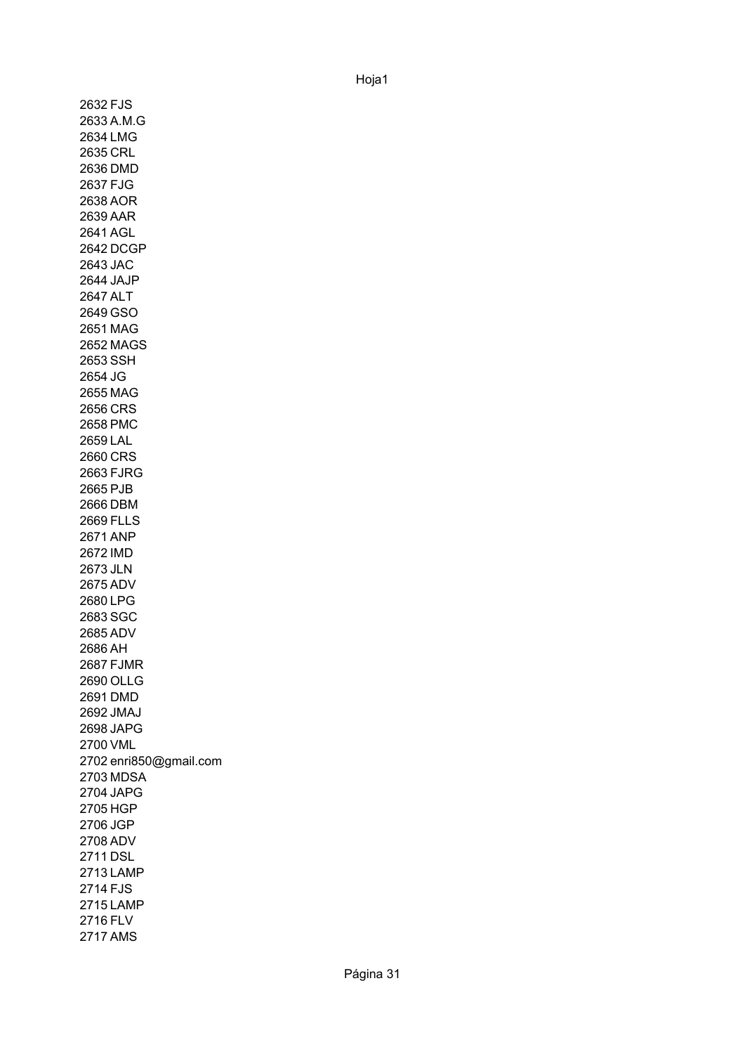2632 FJS 2633 A.M.G 2634 LMG 2635 CRL 2636 DMD 2637 FJG 2638 AOR 2639 AAR 2641 AGL 2642 DCGP 2643 JAC 2644 JAJP 2647 ALT 2649 GSO 2651 MAG 2652 MAGS 2653 SSH 2654 JG 2655 MAG 2656 CRS 2658 PMC 2659 LAL 2660 CRS 2663 FJRG 2665 PJB 2666 DBM 2669 FLLS 2671 ANP 2672 IMD 2673 JLN 2675 ADV 2680 LPG 2683 SGC 2685 ADV 2686 AH 2687 FJMR 2690 OLLG 2691 DMD 2692 JMAJ 2698 JAPG 2700 VML 2702 enri850@gmail.com 2703 MDSA 2704 JAPG 2705 HGP 2706 JGP 2708 ADV 2711 DSL 2713 LAMP 2714 FJS 2715 LAMP 2716 FLV 2717 AMS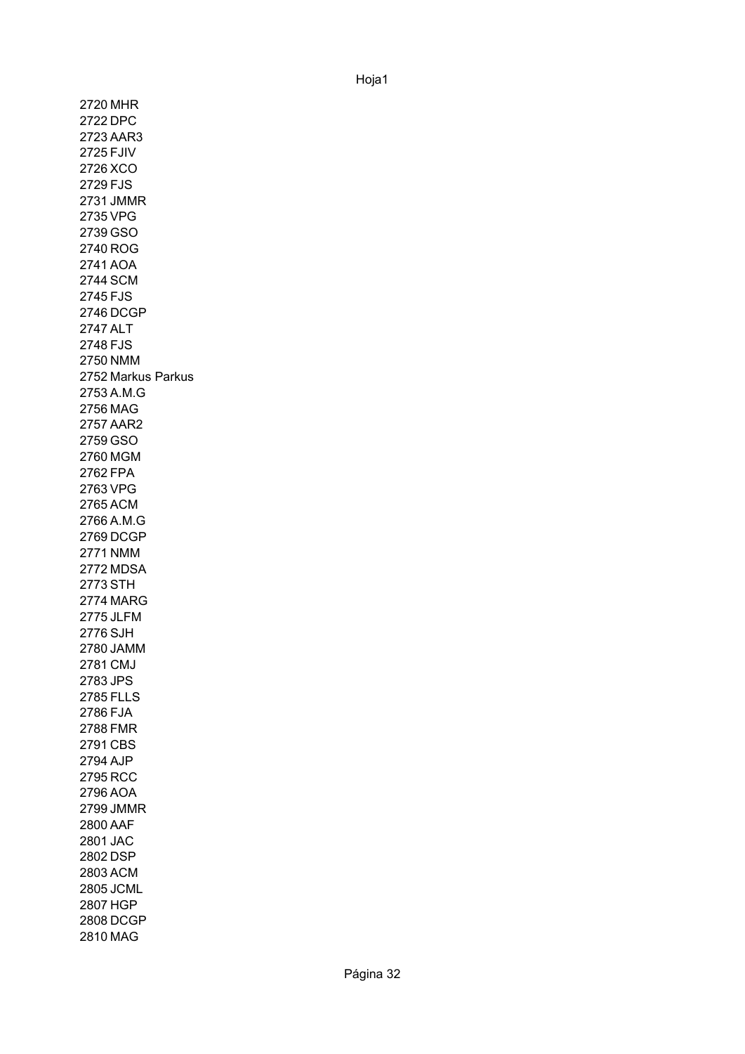2720 MHR 2722 DPC 2723 AAR3 2725 FJIV 2726 XCO 2729 FJS 2731 JMMR 2735 VPG 2739 GSO 2740 ROG 2741 AOA 2744 SCM 2745 FJS 2746 DCGP 2747 ALT 2748 FJS 2750 NMM 2752 Markus Parkus2753 A.M.G 2756 MAG 2757 AAR2 2759 GSO 2760 MGM 2762 FPA 2763 VPG 2765 ACM 2766 A.M.G 2769 DCGP 2771 NMM 2772 MDSA 2773 STH 2774 MARG 2775 JLFM 2776 SJH 2780 JAMM 2781 CMJ 2783 JPS 2785 FLLS 2786 FJA 2788 FMR 2791 CBS 2794 AJP 2795 RCC 2796 AOA 2799 JMMR 2800 AAF 2801 JAC 2802 DSP 2803 ACM 2805 JCML 2807 HGP 2808 DCGP 2810 MAG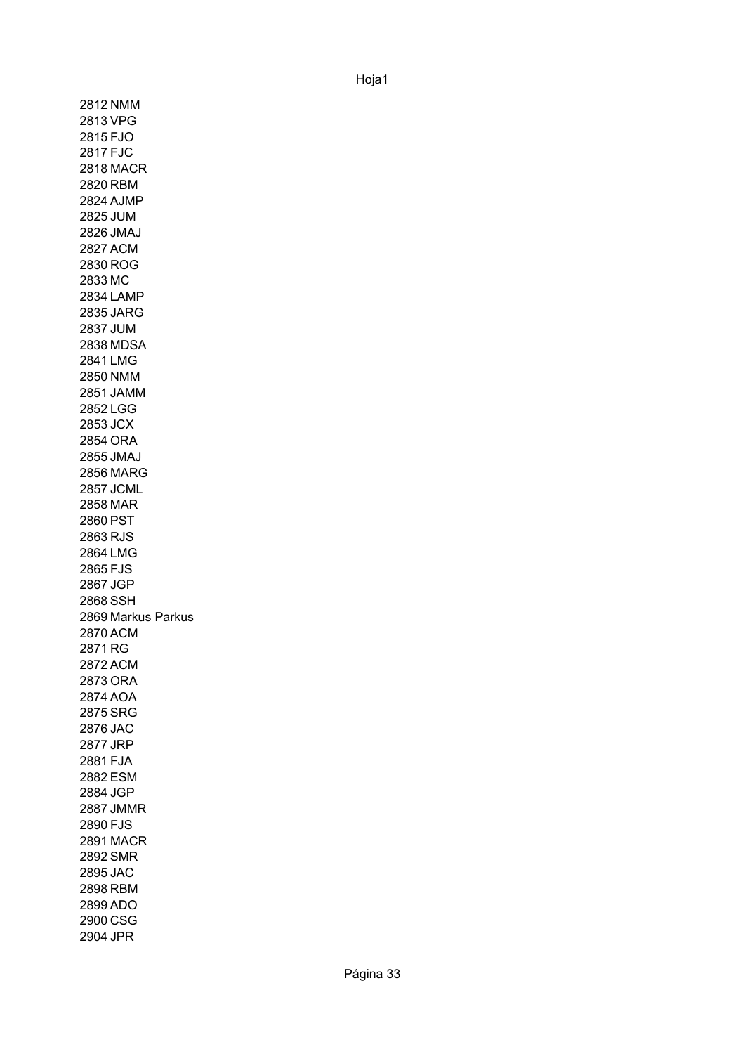2812 NMM 2813 VPG 2815 FJO 2817 FJC 2818 MACR 2820 RBM 2824 AJMP 2825 JUM 2826 JMAJ 2827 ACM 2830 ROG 2833 MC 2834 LAMP 2835 JARG 2837 JUM 2838 MDSA 2841 LMG 2850 NMM 2851 JAMM 2852 LGG 2853 JCX 2854 ORA 2855 JMAJ 2856 MARG 2857 JCML 2858 MAR 2860 PST 2863 RJS 2864 LMG 2865 FJS 2867 JGP 2868 SSH 2869 Markus Parkus2870 ACM 2871 RG 2872 ACM 2873 ORA 2874 AOA 2875 SRG 2876 JAC 2877 JRP 2881 FJA 2882 ESM 2884 JGP 2887 JMMR 2890 FJS 2891 MACR 2892 SMR 2895 JAC 2898 RBM 2899 ADO 2900 CSG 2904 JPR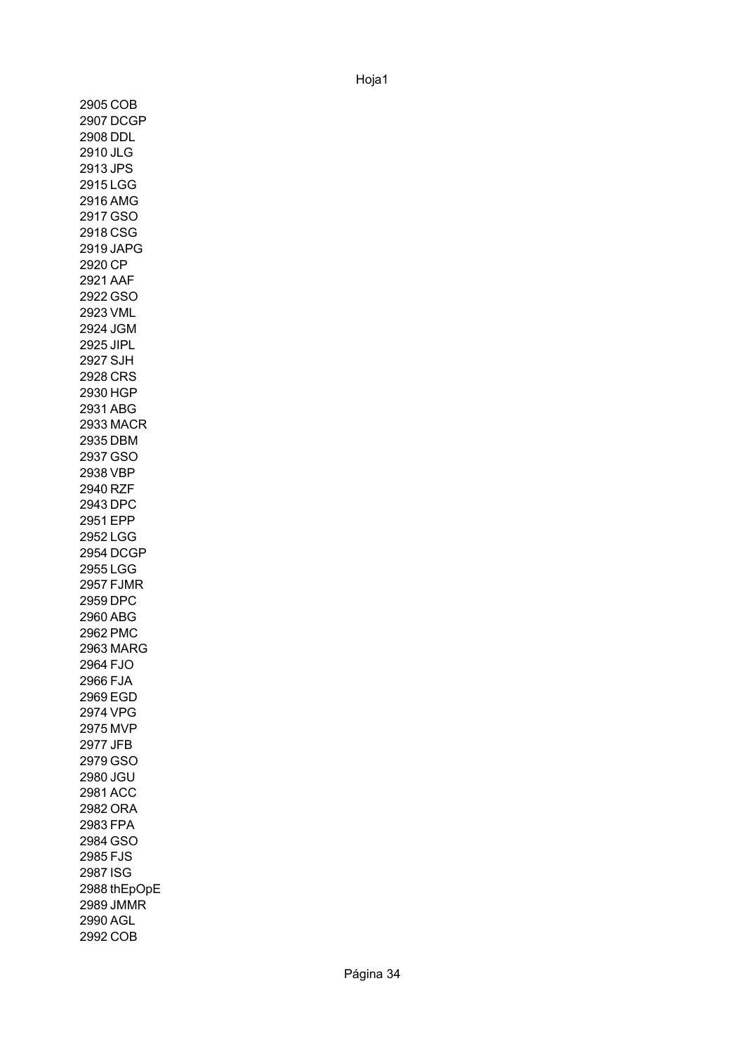2905 COB 2907 DCGP 2908 DDL 2910 JLG 2913 JPS 2915 LGG 2916 AMG 2917 GSO 2918 CSG 2919 JAPG 2920 CP 2921 AAF 2922 GSO 2923 VML 2924 JGM 2925 JIPL 2927 SJH 2928 CRS 2930 HGP 2931 ABG 2933 MACR 2935 DBM 2937 GSO 2938 VBP 2940 RZF 2943 DPC 2951 EPP 2952 LGG 2954 DCGP 2955 LGG 2957 FJMR 2959 DPC 2960 ABG 2962 PMC 2963 MARG 2964 FJO 2966 FJA 2969 EGD 2974 VPG 2975 MVP 2977 JFB 2979 GSO 2980 JGU 2981 ACC 2982 ORA 2983 FPA 2984 GSO 2985 FJS 2987 ISG 2988 thEpOpE2989 JMMR 2990 AGL 2992 COB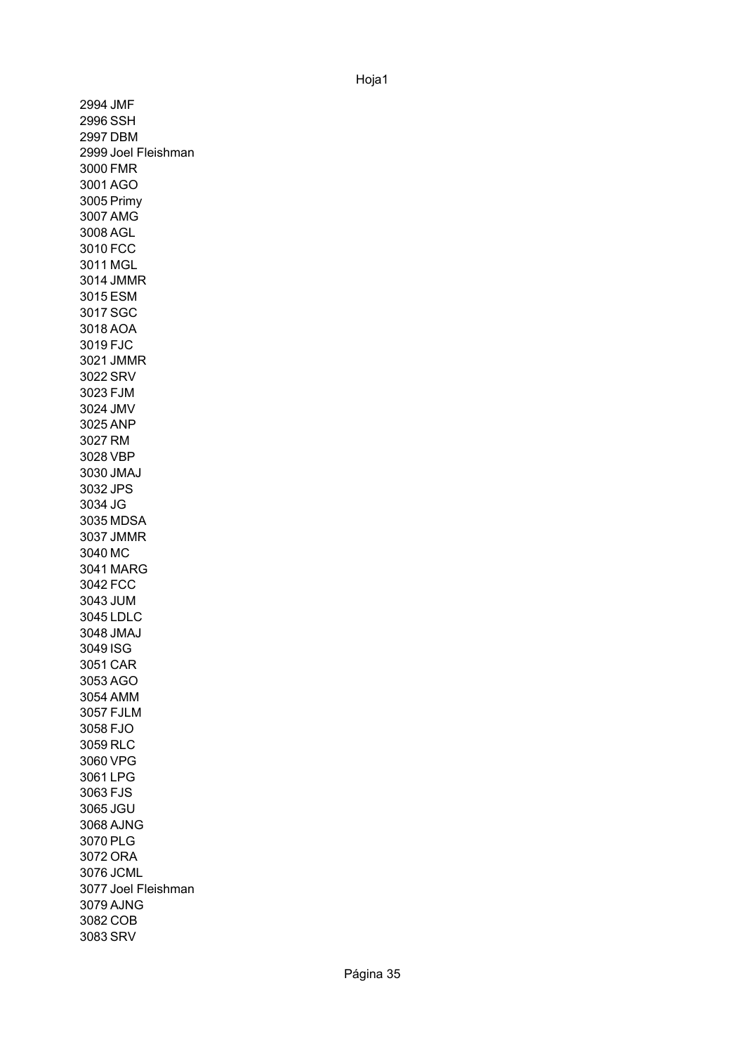2994 JMF 2996 SSH 2997 DBM 2999 Joel Fleishman 3000 FMR 3001 AGO 3005 Primy 3007 AMG 3008 AGL 3010 FCC 3011 MGL 3014 JMMR 3015 ESM 3017 SGC 3018 AOA 3019 FJC 3021 JMMR 3022 SRV 3023 FJM 3024 JMV 3025 ANP 3027 RM 3028 VBP 3030 JMAJ 3032 JPS 3034 JG 3035 MDSA 3037 JMMR 3040 MC 3041 MARG 3042 FCC 3043 JUM 3045 LDLC 3048 JMAJ 3049 ISG 3051 CAR 3053 AGO 3054 AMM 3057 FJLM 3058 FJO 3059 RLC 3060 VPG 3061 LPG 3063 FJS 3065 JGU 3068 AJNG 3070 PLG 3072 ORA 3076 JCML 3077 Joel Fleishman3079 AJNG 3082 COB 3083 SRV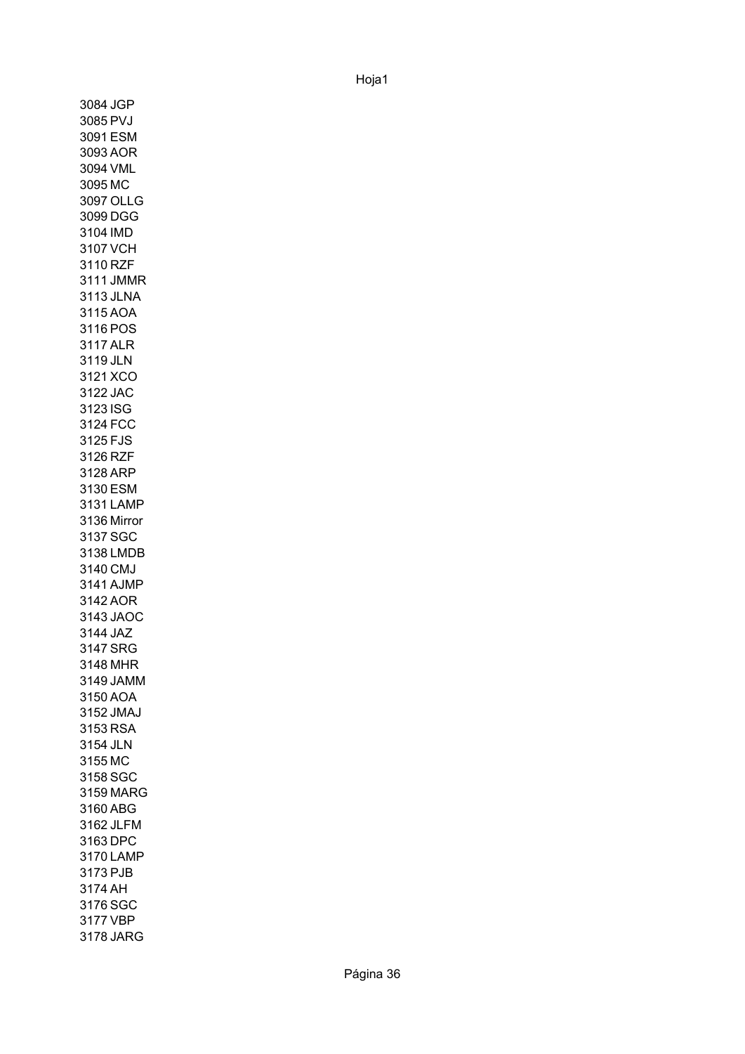3084 JGP 3085 PVJ 3091 ESM 3093 AOR 3094 VML 3095 MC 3097 OLLG 3099 DGG 3104 IMD 3107 VCH 3110 RZF 3111 JMMR 3113 JLNA 3115 AOA 3116 POS 3117 ALR 3119 JLN 3121 XCO 3122 JAC 3123 ISG 3124 FCC 3125 FJS 3126 RZF 3128 ARP 3130 ESM 3131 LAMP 3136 Mirror3137 SGC 3138 LMDB 3140 CMJ 3141 AJMP 3142 AOR 3143 JAOC 3144 JAZ 3147 SRG 3148 MHR 3149 JAMM 3150 AOA 3152 JMAJ 3153 RSA 3154 JLN 3155 MC 3158 SGC 3159 MARG 3160 ABG 3162 JLFM 3163 DPC 3170 LAMP 3173 PJB 3174 AH 3176 SGC 3177 VBP 3178 JARG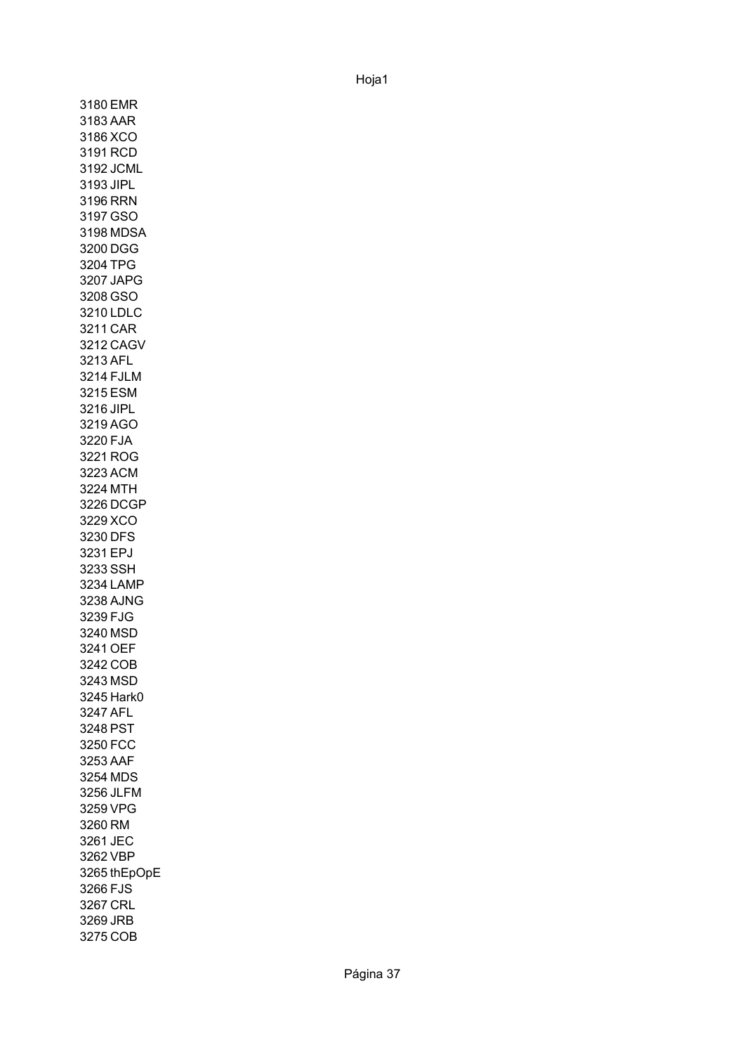3180 EMR 3183 AAR 3186 XCO 3191 RCD 3192 JCML 3193 JIPL 3196 RRN 3197 GSO 3198 MDSA 3200 DGG 3204 TPG 3207 JAPG 3208 GSO 3210 LDLC 3211 CAR 3212 CAGV 3213 AFL 3214 FJLM 3215 ESM 3216 JIPL 3219 AGO 3220 FJA 3221 ROG 3223 ACM 3224 MTH 3226 DCGP 3229 XCO 3230 DFS 3231 EPJ 3233 SSH 3234 LAMP 3238 AJNG 3239 FJG 3240 MSD 3241 OEF 3242 COB 3243 MSD 3245 Hark0 3247 AFL 3248 PST 3250 FCC 3253 AAF 3254 MDS 3256 JLFM 3259 VPG 3260 RM 3261 JEC 3262 VBP 3265 thEpOpE3266 FJS 3267 CRL 3269 JRB 3275 COB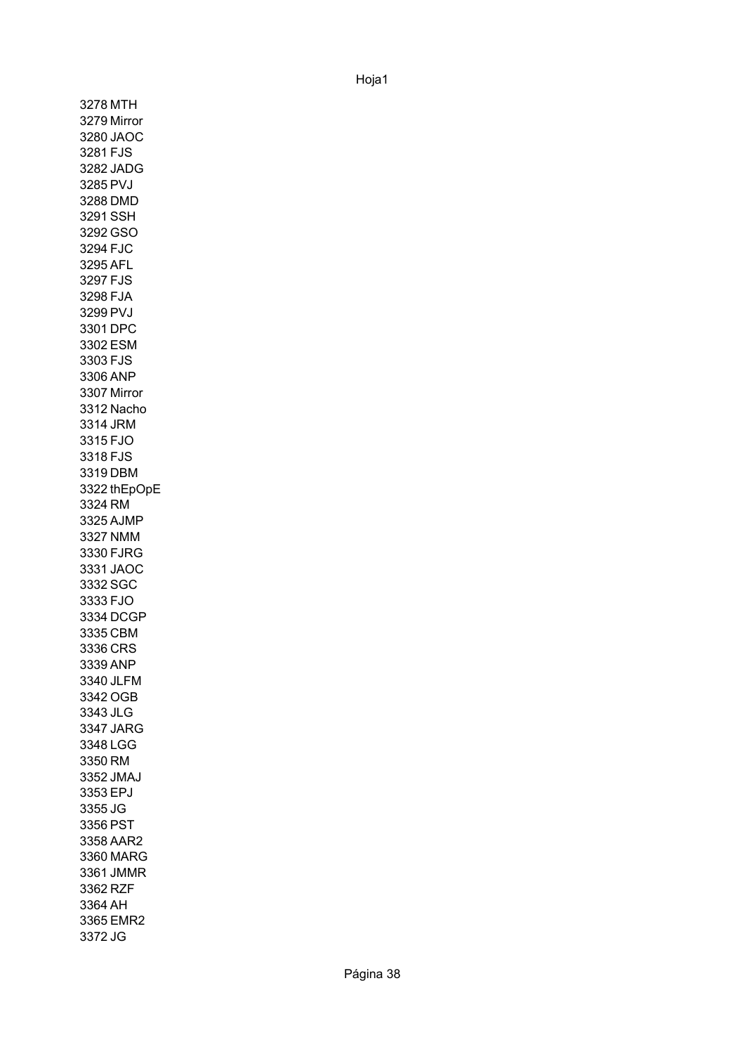3278 MTH 3279 Mirror 3280 JAOC 3281 FJS 3282 JADG 3285 PVJ 3288 DMD 3291 SSH 3292 GSO 3294 FJC 3295 AFL 3297 FJS 3298 FJA 3299 PVJ 3301 DPC 3302 ESM 3303 FJS 3306 ANP 3307 Mirror 3312 Nacho 3314 JRM 3315 FJO 3318 FJS 3319 DBM 3322 thEpOpE3324 RM 3325 AJMP 3327 NMM 3330 FJRG 3331 JAOC 3332 SGC 3333 FJO 3334 DCGP 3335 CBM 3336 CRS 3339 ANP 3340 JLFM 3342 OGB 3343 JLG 3347 JARG 3348 LGG 3350 RM 3352 JMAJ 3353 EPJ 3355 JG 3356 PST 3358 AAR2 3360 MARG 3361 JMMR 3362 RZF 3364 AH 3365 EMR2 3372 JG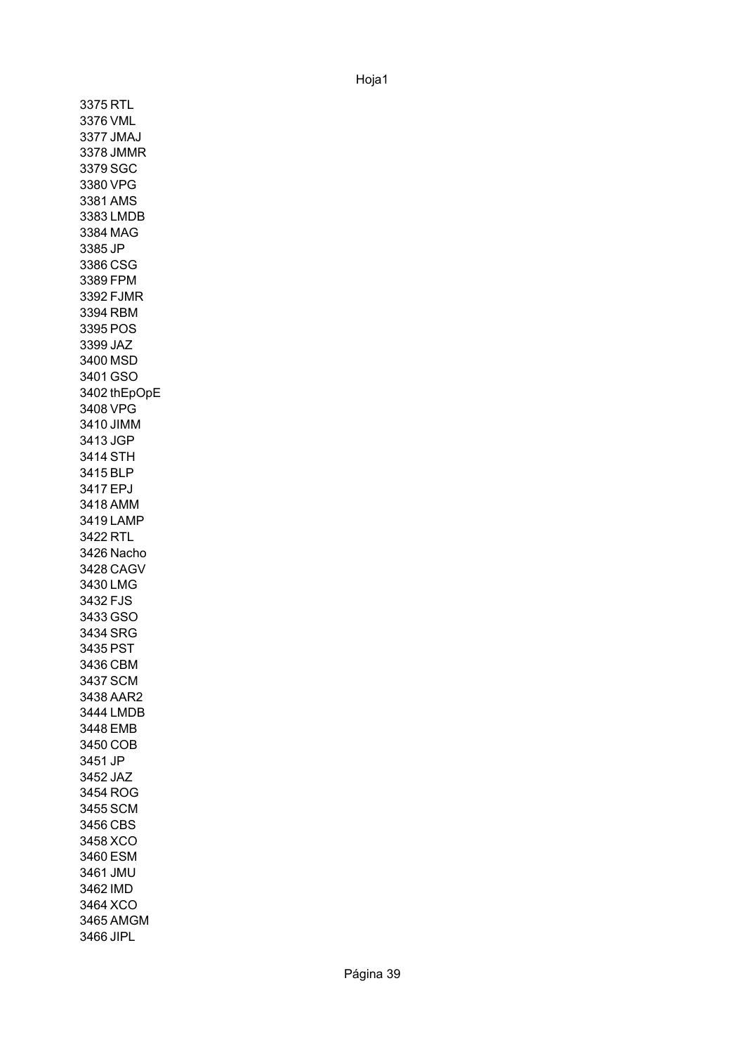3375 RTL 3376 VML 3377 JMAJ 3378 JMMR 3379 SGC 3380 VPG 3381 AMS 3383 LMDB 3384 MAG 3385 JP 3386 CSG 3389 FPM 3392 FJMR 3394 RBM 3395 POS 3399 JAZ 3400 MSD 3401 GSO 3402 thEpOpE3408 VPG 3410 JIMM 3413 JGP 3414 STH 3415 BLP 3417 EPJ 3418 AMM 3419 LAMP 3422 RTL 3426 Nacho 3428 CAGV 3430 LMG 3432 FJS 3433 GSO 3434 SRG 3435 PST 3436 CBM 3437 SCM 3438 AAR2 3444 LMDB 3448 EMB 3450 COB 3451 JP 3452 JAZ 3454 ROG 3455 SCM 3456 CBS 3458 XCO 3460 ESM 3461 JMU 3462 IMD 3464 XCO 3465 AMGM 3466 JIPL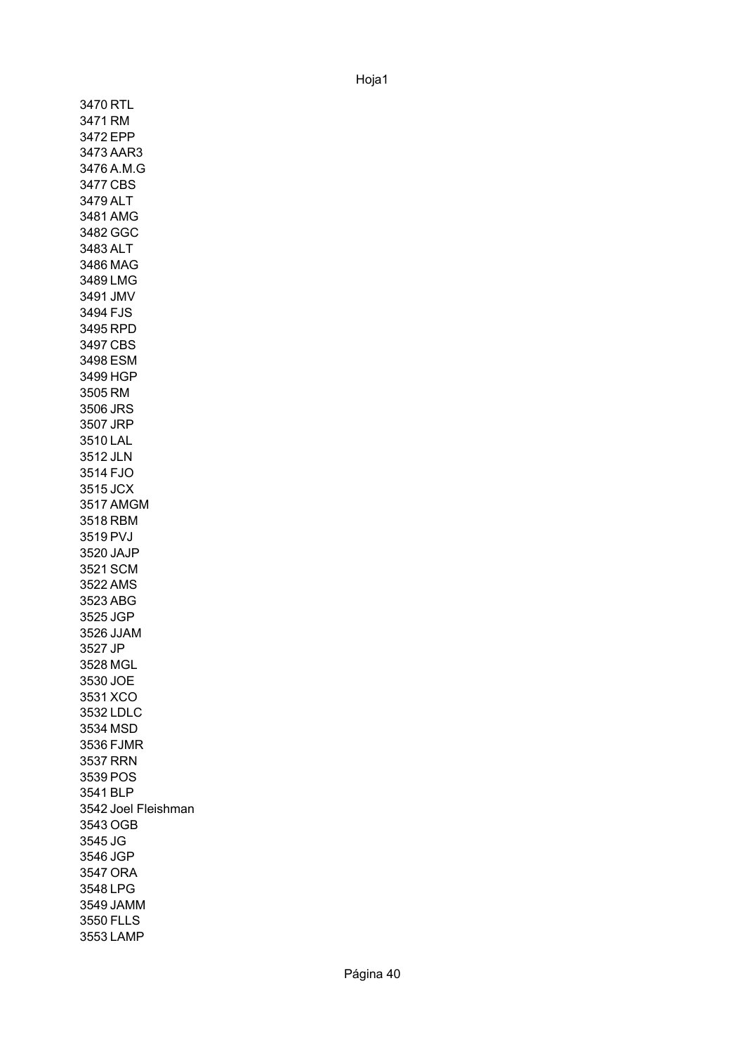3470 RTL 3471 RM 3472 EPP 3473 AAR3 3476 A.M.G 3477 CBS 3479 ALT 3481 AMG 3482 GGC 3483 ALT 3486 MAG 3489 LMG 3491 JMV 3494 FJS 3495 RPD 3497 CBS 3498 ESM 3499 HGP 3505 RM 3506 JRS 3507 JRP 3510 LAL 3512 JLN 3514 FJO 3515 JCX 3517 AMGM 3518 RBM 3519 PVJ 3520 JAJP 3521 SCM 3522 AMS 3523 ABG 3525 JGP 3526 JJAM 3527 JP 3528 MGL 3530 JOE 3531 XCO 3532 LDLC 3534 MSD 3536 FJMR 3537 RRN 3539 POS 3541 BLP 3542 Joel Fleishman3543 OGB 3545 JG 3546 JGP 3547 ORA 3548 LPG 3549 JAMM 3550 FLLS 3553 LAMP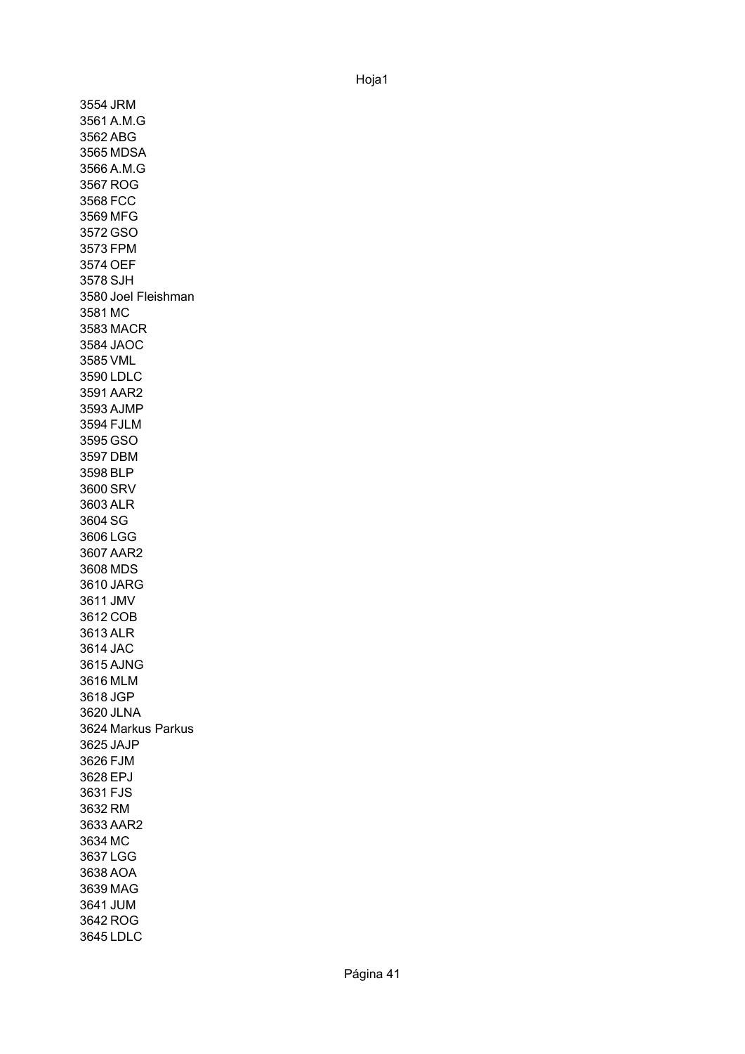3554 JRM 3561 A.M.G 3562 ABG 3565 MDSA 3566 A.M.G 3567 ROG 3568 FCC 3569 MFG 3572 GSO 3573 FPM 3574 OEF 3578 SJH 3580 Joel Fleishman 3581 MC 3583 MACR 3584 JAOC 3585 VML 3590 LDLC 3591 AAR2 3593 AJMP 3594 FJLM 3595 GSO 3597 DBM 3598 BLP 3600 SRV 3603 ALR 3604 SG 3606 LGG 3607 AAR2 3608 MDS 3610 JARG 3611 JMV 3612 COB 3613 ALR 3614 JAC 3615 AJNG 3616 MLM 3618 JGP 3620 JLNA 3624 Markus Parkus3625 JAJP 3626 FJM 3628 EPJ 3631 FJS 3632 RM 3633 AAR2 3634 MC 3637 LGG 3638 AOA 3639 MAG 3641 JUM 3642 ROG 3645 LDLC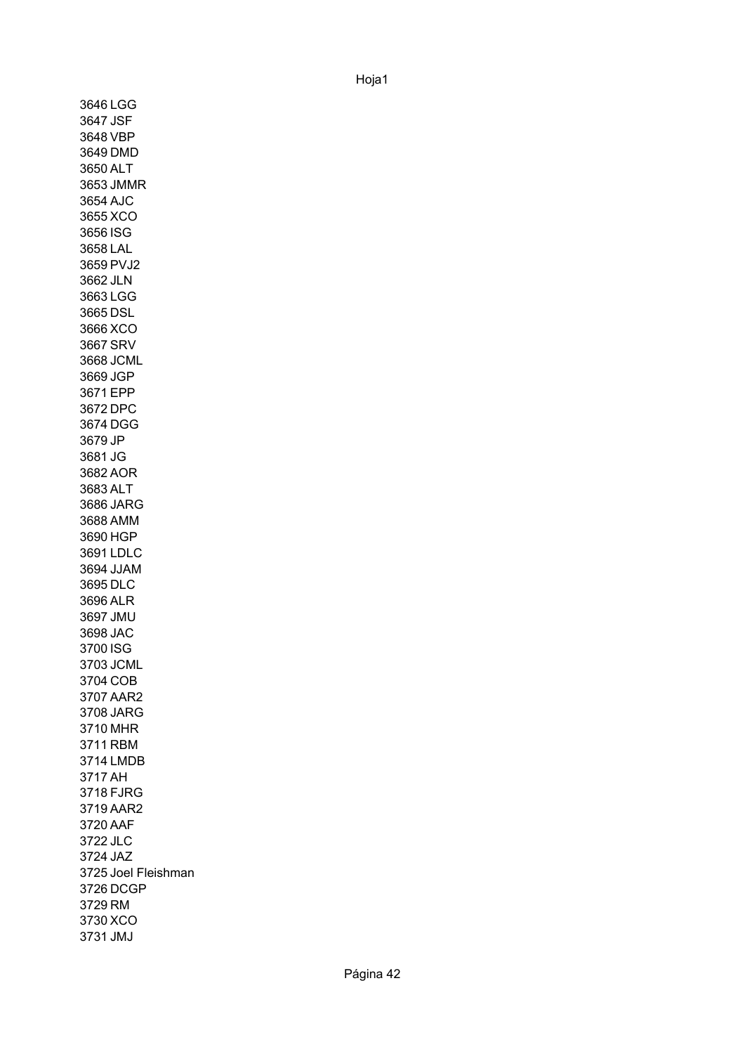3646 LGG 3647 JSF 3648 VBP 3649 DMD 3650 ALT 3653 JMMR 3654 AJC 3655 XCO 3656 ISG 3658 LAL 3659 PVJ2 3662 JLN 3663 LGG 3665 DSL 3666 XCO 3667 SRV 3668 JCML 3669 JGP 3671 EPP 3672 DPC 3674 DGG 3679 JP 3681 JG 3682 AOR 3683 ALT 3686 JARG 3688 AMM 3690 HGP 3691 LDLC 3694 JJAM 3695 DLC 3696 ALR 3697 JMU 3698 JAC 3700 ISG 3703 JCML 3704 COB 3707 AAR2 3708 JARG 3710 MHR 3711 RBM 3714 LMDB 3717 AH 3718 FJRG 3719 AAR2 3720 AAF 3722 JLC 3724 JAZ 3725 Joel Fleishman3726 DCGP 3729 RM 3730 XCO 3731 JMJ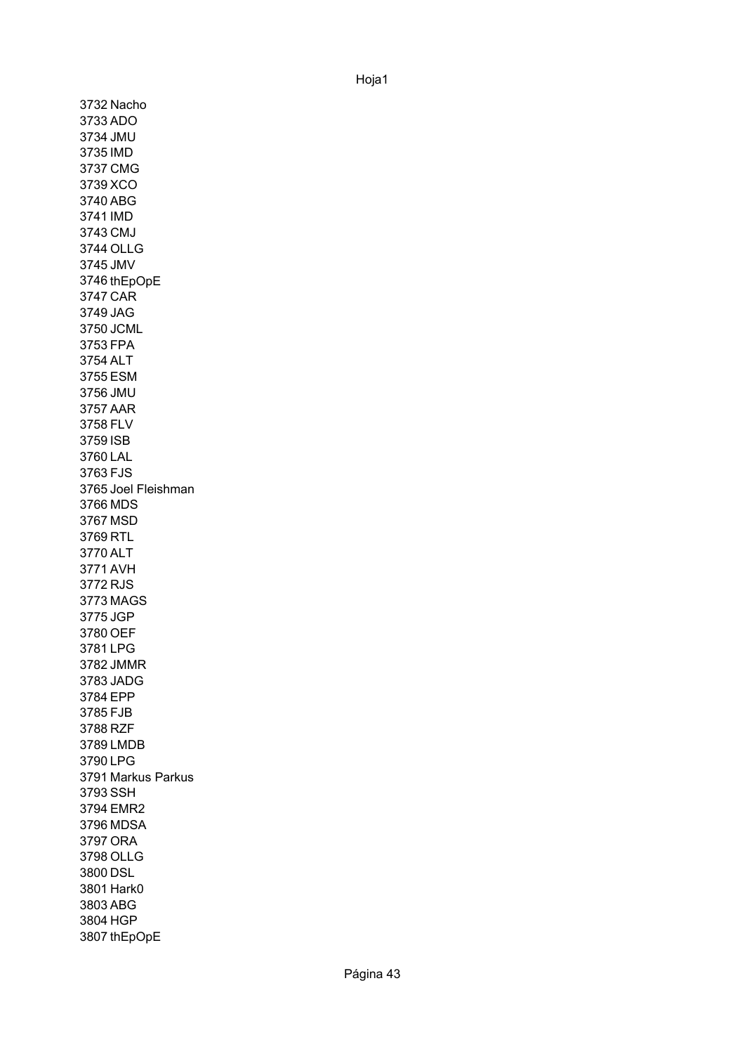3732 Nacho 3733 ADO 3734 JMU 3735 IMD 3737 CMG 3739 XCO 3740 ABG 3741 IMD 3743 CMJ 3744 OLLG 3745 JMV 3746 thEpOpE 3747 CAR 3749 JAG 3750 JCML 3753 FPA 3754 ALT 3755 ESM 3756 JMU 3757 AAR 3758 FLV 3759 ISB 3760 LAL 3763 FJS 3765 Joel Fleishman 3766 MDS 3767 MSD 3769 RTL 3770 ALT 3771 AVH 3772 RJS 3773 MAGS 3775 JGP 3780 OEF 3781 LPG 3782 JMMR 3783 JADG 3784 EPP 3785 FJB 3788 RZF 3789 LMDB 3790 LPG 3791 Markus Parkus 3793 SSH 3794 EMR2 3796 MDSA 3797 ORA 3798 OLLG 3800 DSL 3801 Hark0 3803 ABG 3804 HGP 3807 thEpOpE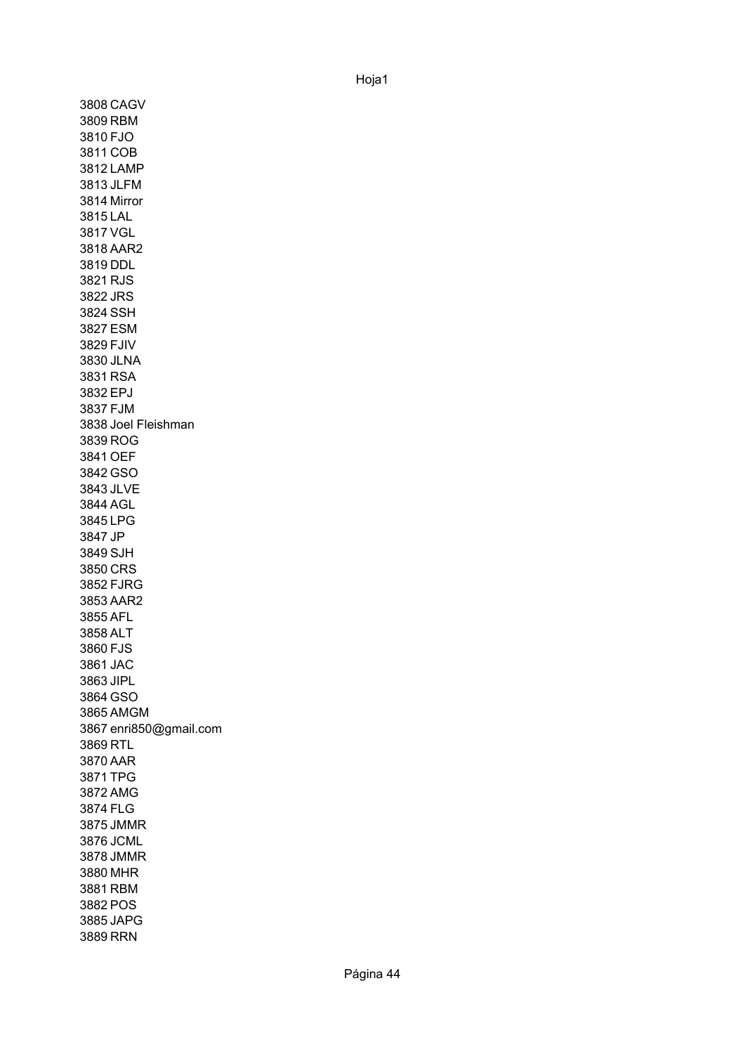3808 CAGV 3809 RBM 3810 FJO 3811 COB 3812 LAMP 3813 JLFM 3814 Mirror 3815 LAL 3817 VGL 3818 AAR2 3819 DDL 3821 RJS 3822 JRS 3824 SSH 3827 ESM 3829 FJIV 3830 JLNA 3831 RSA 3832 EPJ 3837 FJM 3838 Joel Fleishman3839 ROG 3841 OEF 3842 GSO 3843 JLVE 3844 AGL 3845 LPG 3847 JP 3849 SJH 3850 CRS 3852 FJRG 3853 AAR2 3855 AFL 3858 ALT 3860 FJS 3861 JAC 3863 JIPL 3864 GSO 3865 AMGM 3867 enri850@gmail.com 3869 RTL 3870 AAR 3871 TPG 3872 AMG 3874 FLG 3875 JMMR 3876 JCML 3878 JMMR 3880 MHR 3881 RBM 3882 POS 3885 JAPG 3889 RRN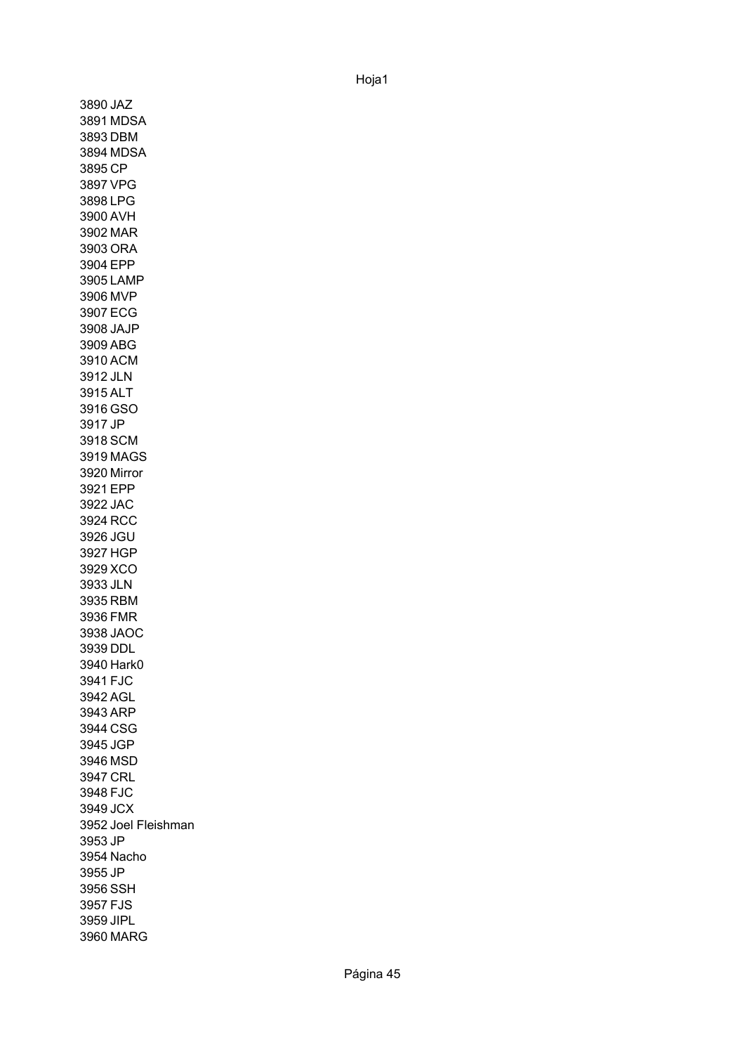3890 JAZ 3891 MDSA 3893 DBM 3894 MDSA 3895 CP 3897 VPG 3898 LPG 3900 AVH 3902 MAR 3903 ORA 3904 EPP 3905 LAMP 3906 MVP 3907 ECG 3908 JAJP 3909 ABG 3910 ACM 3912 JLN 3915 ALT 3916 GSO 3917 JP 3918 SCM 3919 MAGS 3920 Mirror 3921 EPP 3922 JAC 3924 RCC 3926 JGU 3927 HGP 3929 XCO 3933 JLN 3935 RBM 3936 FMR 3938 JAOC 3939 DDL 3940 Hark0 3941 FJC 3942 AGL 3943 ARP 3944 CSG 3945 JGP 3946 MSD 3947 CRL 3948 FJC 3949 JCX 3952 Joel Fleishman3953 JP 3954 Nacho 3955 JP 3956 SSH 3957 FJS 3959 JIPL 3960 MARG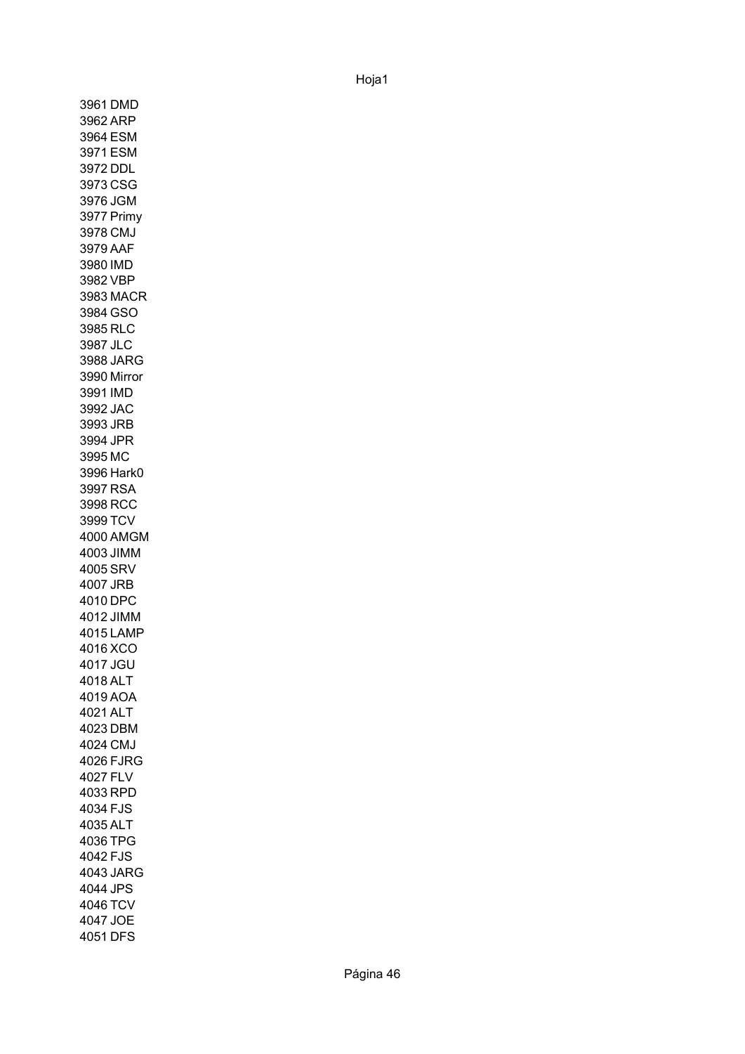3961 DMD 3962 ARP 3964 ESM 3971 ESM 3972 DDL 3973 CSG 3976 JGM 3977 Primy 3978 CMJ 3979 AAF 3980 IMD 3982 VBP 3983 MACR 3984 GSO 3985 RLC 3987 JLC 3988 JARG 3990 Mirror3991 IMD 3992 JAC 3993 JRB 3994 JPR 3995 MC 3996 Hark0 3997 RSA 3998 RCC 3999 TCV 4000 AMGM 4003 JIMM 4005 SRV 4007 JRB 4010 DPC 4012 JIMM 4015 LAMP 4016 XCO 4017 JGU 4018 ALT 4019 AOA 4021 ALT 4023 DBM 4024 CMJ 4026 FJRG 4027 FLV 4033 RPD 4034 FJS 4035 ALT 4036 TPG 4042 FJS 4043 JARG 4044 JPS 4046 TCV 4047 JOE 4051 DFS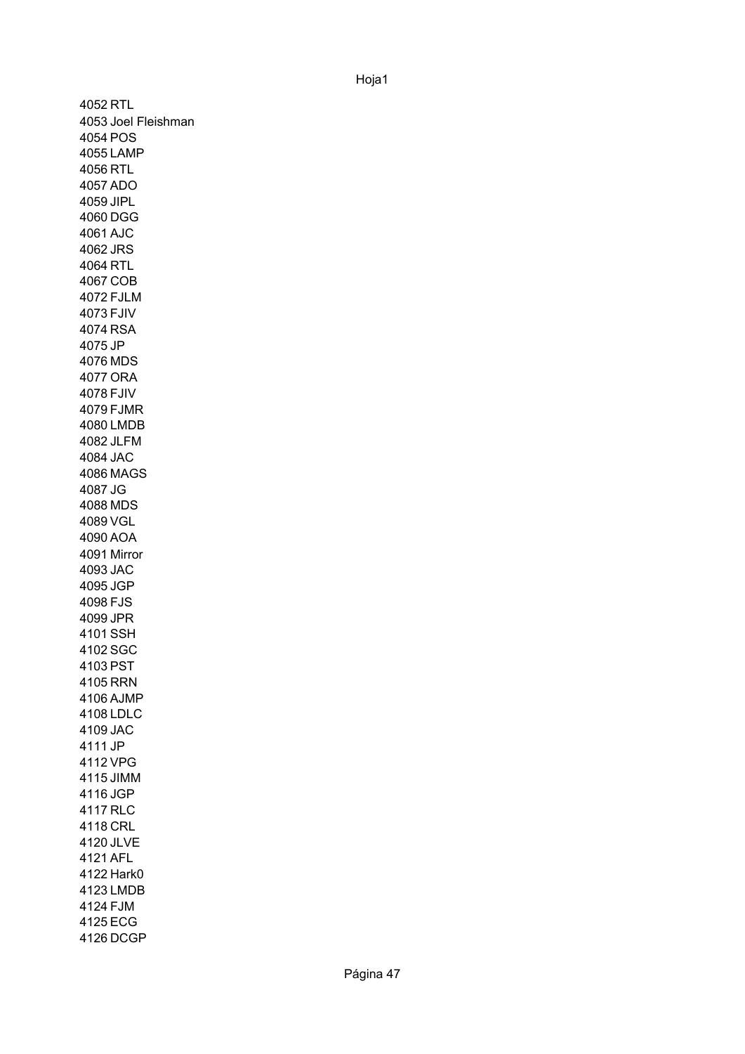4052 RTL 4053 Joel Fleishman 4054 POS 4055 LAMP 4056 RTL 4057 ADO 4059 JIPL 4060 DGG 4061 AJC 4062 JRS 4064 RTL 4067 COB 4072 FJLM 4073 FJIV 4074 RSA 4075 JP 4076 MDS 4077 ORA 4078 FJIV 4079 FJMR 4080 LMDB 4082 JLFM 4084 JAC 4086 MAGS 4087 JG 4088 MDS 4089 VGL 4090 AOA 4091 Mirror4093 JAC 4095 JGP 4098 FJS 4099 JPR 4101 SSH 4102 SGC 4103 PST 4105 RRN 4106 AJMP 4108 LDLC 4109 JAC 4111 JP 4112 VPG 4115 JIMM 4116 JGP 4117 RLC 4118 CRL 4120 JLVE 4121 AFL 4122 Hark0 4123 LMDB 4124 FJM 4125 ECG 4126 DCGP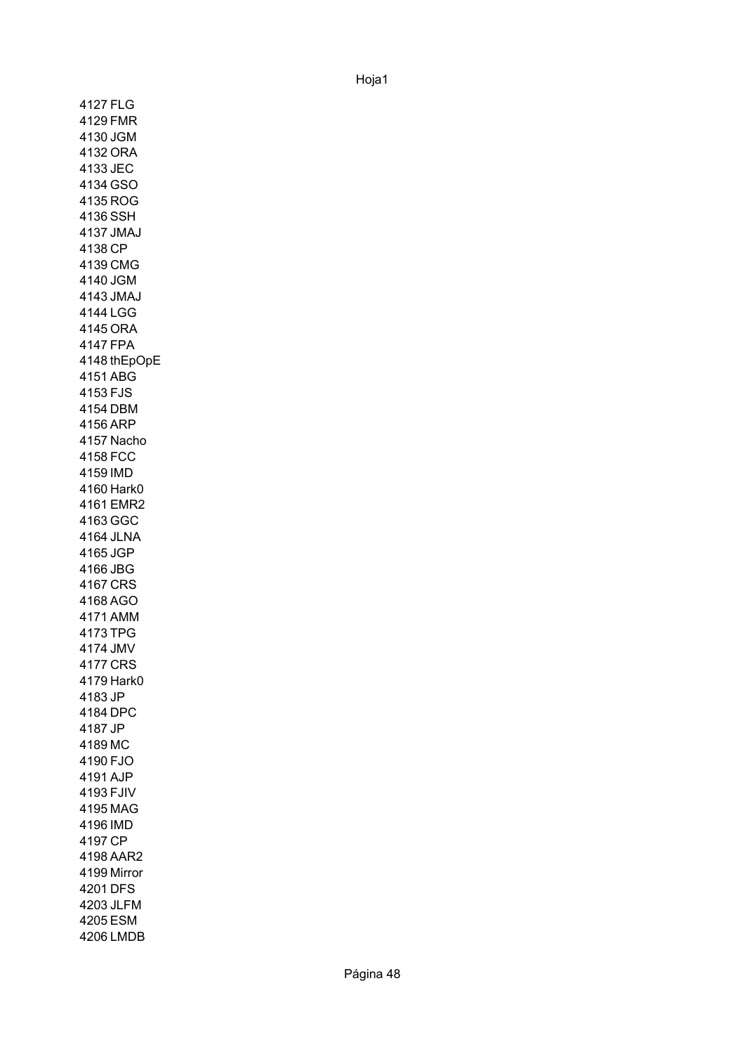4127 FLG 4129 FMR 4130 JGM 4132 ORA 4133 JEC 4134 GSO 4135 ROG 4136 SSH 4137 JMAJ 4138 CP 4139 CMG 4140 JGM 4143 JMAJ 4144 LGG 4145 ORA 4147 FPA 4148 thEpOpE 4151 ABG 4153 FJS 4154 DBM 4156 ARP 4157 Nacho 4158 FCC 4159 IMD 4160 Hark0 4161 EMR2 4163 GGC 4164 JLNA 4165 JGP 4166 JBG 4167 CRS 4168 AGO 4171 AMM 4173 TPG 4174 JMV 4177 CRS 4179 Hark0 4183 JP 4184 DPC 4187 JP 4189 MC 4190 FJO 4191 AJP 4193 FJIV 4195 MAG 4196 IMD 4197 CP 4198 AAR2 4199 Mirror4201 DFS 4203 JLFM 4205 ESM 4206 LMDB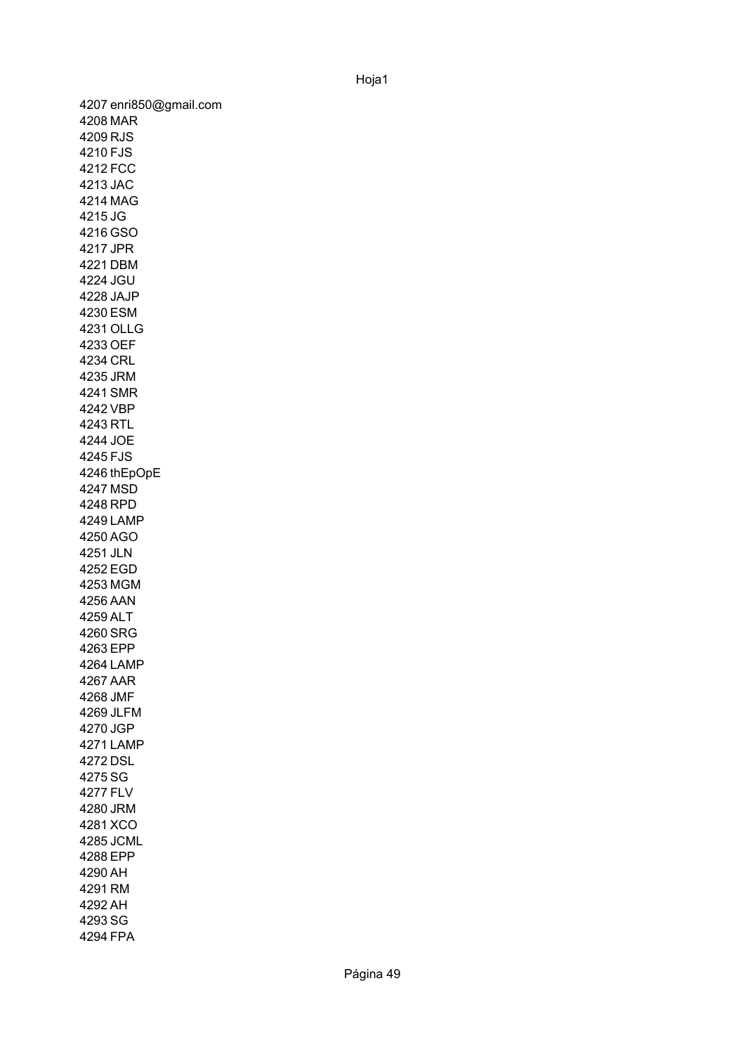4207 enri850@gmail.com 4208 MAR 4209 RJS 4210 FJS 4212 FCC 4213 JAC 4214 MAG 4215 JG 4216 GSO 4217 JPR 4221 DBM 4224 JGU 4228 JAJP 4230 ESM 4231 OLLG 4233 OEF 4234 CRL 4235 JRM 4241 SMR 4242 VBP 4243 RTL 4244 JOE 4245 FJS 4246 thEpOpE4247 MSD 4248 RPD 4249 LAMP 4250 AGO 4251 JLN 4252 EGD 4253 MGM 4256 AAN 4259 ALT 4260 SRG 4263 EPP 4264 LAMP 4267 AAR 4268 JMF 4269 JLFM 4270 JGP 4271 LAMP 4272 DSL 4275 SG 4277 FLV 4280 JRM 4281 XCO 4285 JCML 4288 EPP 4290 AH 4291 RM 4292 AH 4293 SG 4294 FPA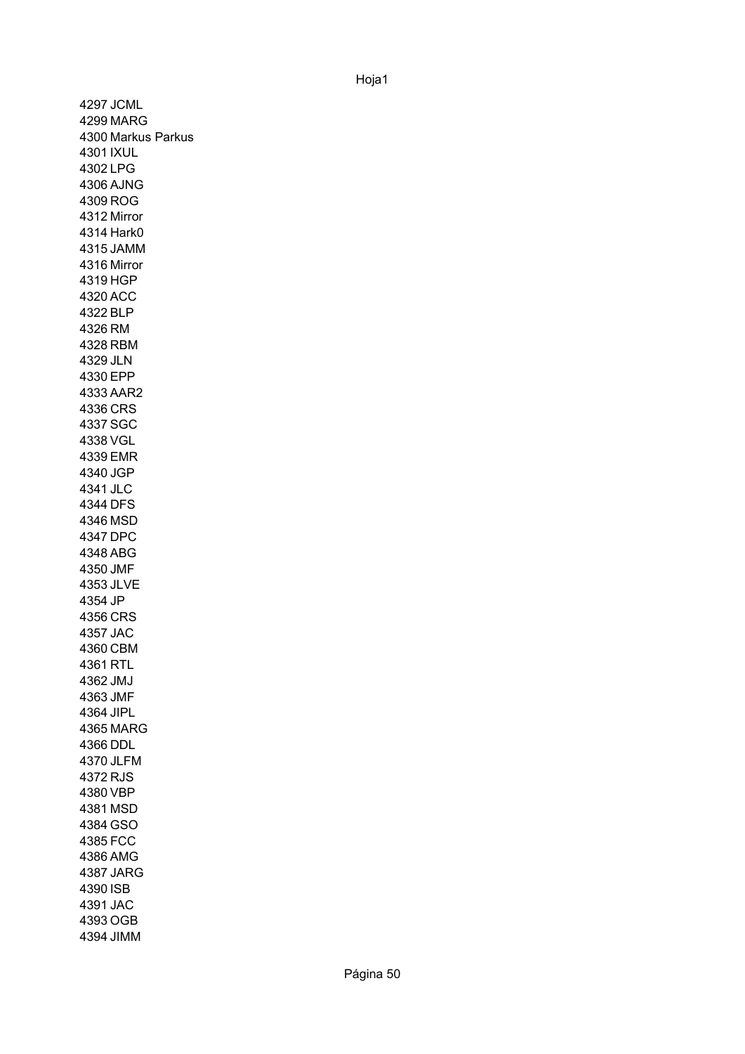4297 JCML 4299 MARG 4300 Markus Parkus 4301 IXUL 4302 LPG 4306 AJNG 4309 ROG 4312 Mirror 4314 Hark0 4315 JAMM 4316 Mirror4319 HGP 4320 ACC 4322 BLP 4326 RM 4328 RBM 4329 JLN 4330 EPP 4333 AAR2 4336 CRS 4337 SGC 4338 VGL 4339 EMR 4340 JGP 4341 JLC 4344 DFS 4346 MSD 4347 DPC 4348 ABG 4350 JMF 4353 JLVE 4354 JP 4356 CRS 4357 JAC 4360 CBM 4361 RTL 4362 JMJ 4363 JMF 4364 JIPL 4365 MARG 4366 DDL 4370 JLFM 4372 RJS 4380 VBP 4381 MSD 4384 GSO 4385 FCC 4386 AMG 4387 JARG 4390 ISB 4391 JAC 4393 OGB 4394 JIMM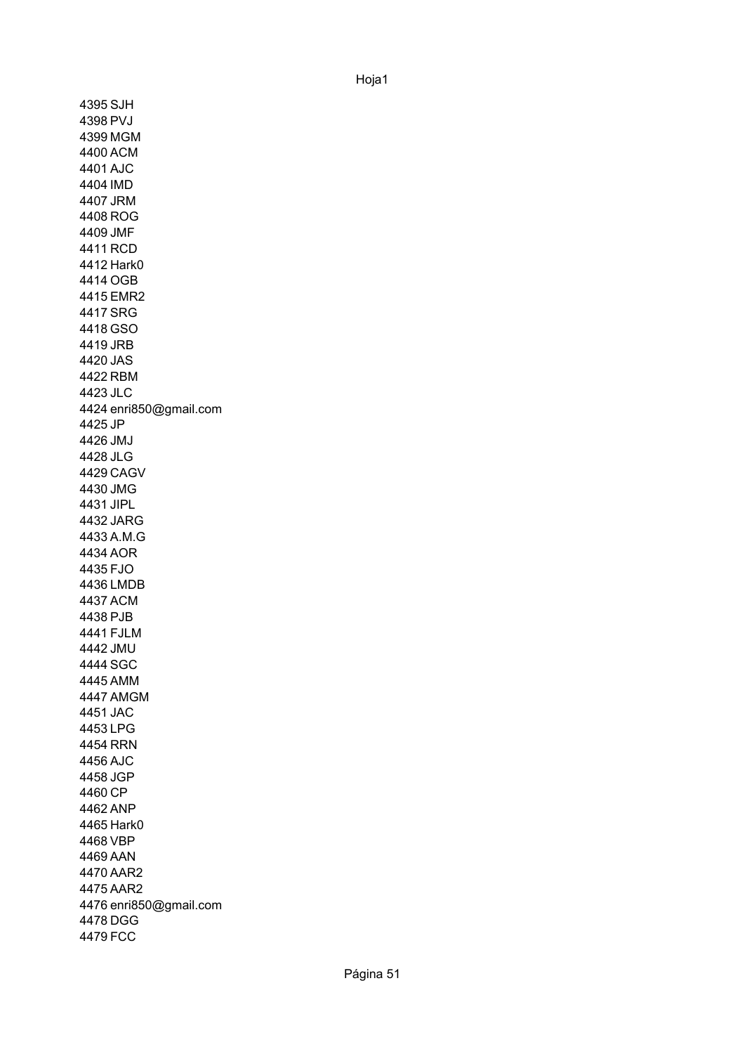4395 SJH 4398 PVJ 4399 MGM 4400 ACM 4401 AJC 4404 IMD 4407 JRM 4408 ROG 4409 JMF 4411 RCD 4412 Hark0 4414 OGB 4415 EMR2 4417 SRG 4418 GSO 4419 JRB 4420 JAS 4422 RBM 4423 JLC 4424 enri850@gmail.com 4425 JP 4426 JMJ 4428 JLG 4429 CAGV 4430 JMG 4431 JIPL 4432 JARG 4433 A.M.G 4434 AOR 4435 FJO 4436 LMDB 4437 ACM 4438 PJB 4441 FJLM 4442 JMU 4444 SGC 4445 AMM 4447 AMGM 4451 JAC 4453 LPG 4454 RRN 4456 AJC 4458 JGP 4460 CP 4462 ANP 4465 Hark0 4468 VBP 4469 AAN 4470 AAR2 4475 AAR2 4476 enri850@gmail.com 4478 DGG 4479 FCC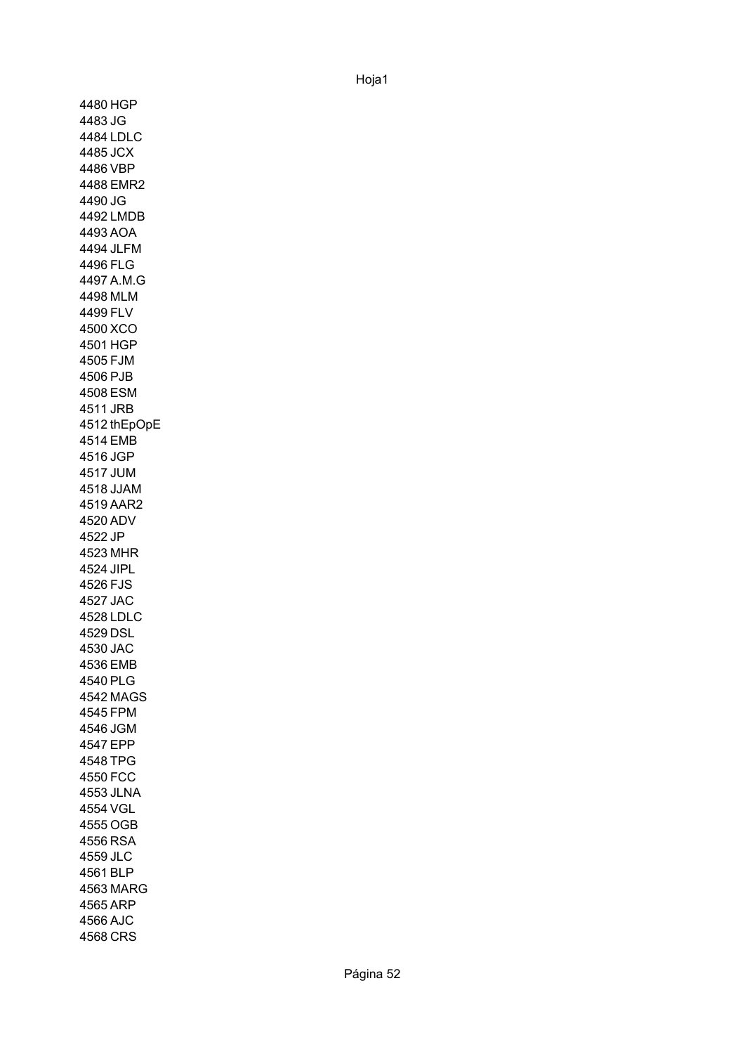4480 HGP 4483 JG 4484 LDLC 4485 JCX 4486 VBP 4488 EMR2 4490 JG 4492 LMDB 4493 AOA 4494 JLFM 4496 FLG 4497 A.M.G 4498 MLM 4499 FLV 4500 XCO 4501 HGP 4505 FJM 4506 PJB 4508 ESM 4511 JRB 4512 thEpOpE4514 EMB 4516 JGP 4517 JUM 4518 JJAM 4519 AAR2 4520 ADV 4522 JP 4523 MHR 4524 JIPL 4526 FJS 4527 JAC 4528 LDLC 4529 DSL 4530 JAC 4536 EMB 4540 PLG 4542 MAGS 4545 FPM 4546 JGM 4547 EPP 4548 TPG 4550 FCC 4553 JLNA 4554 VGL 4555 OGB 4556 RSA 4559 JLC 4561 BLP 4563 MARG 4565 ARP 4566 AJC 4568 CRS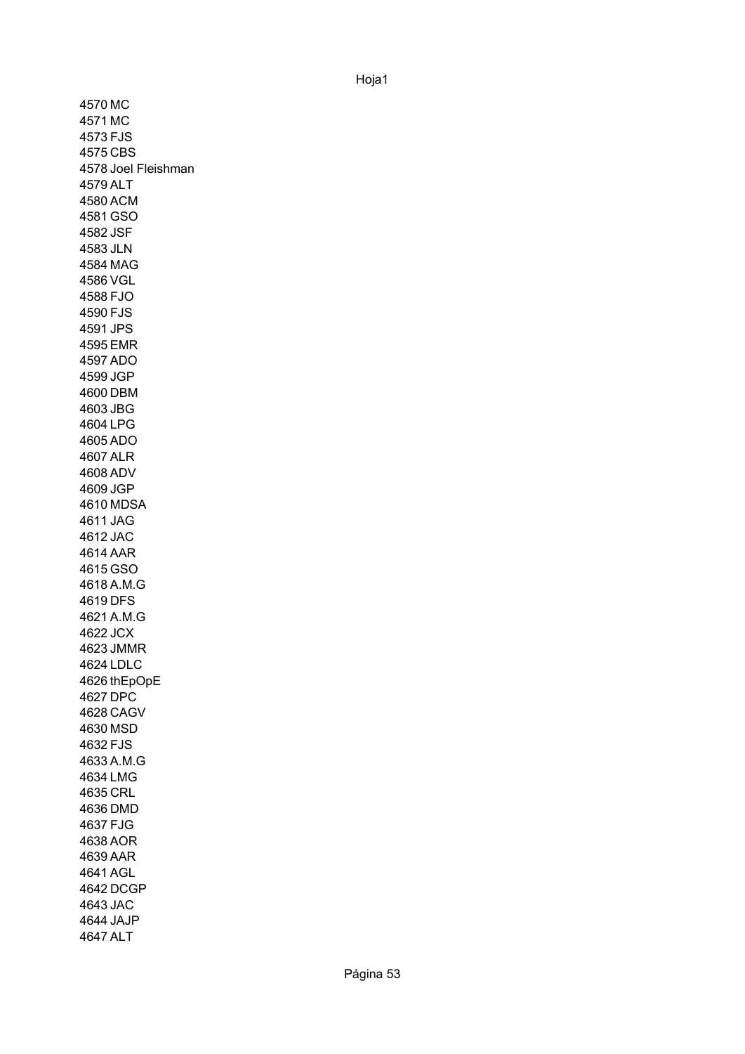4570 MC 4571 MC 4573 FJS 4575 CBS 4578 Joel Fleishman 4579 ALT 4580 ACM 4581 GSO 4582 JSF 4583 JLN 4584 MAG 4586 VGL 4588 FJO 4590 FJS 4591 JPS 4595 EMR 4597 ADO 4599 JGP 4600 DBM 4603 JBG 4604 LPG 4605 ADO 4607 ALR 4608 ADV 4609 JGP 4610 MDSA 4611 JAG 4612 JAC 4614 AAR 4615 GSO 4618 A.M.G 4619 DFS 4621 A.M.G 4622 JCX 4623 JMMR 4624 LDLC 4626 thEpOpE4627 DPC 4628 CAGV 4630 MSD 4632 FJS 4633 A.M.G 4634 LMG 4635 CRL 4636 DMD 4637 FJG 4638 AOR 4639 AAR 4641 AGL 4642 DCGP 4643 JAC 4644 JAJP 4647 ALT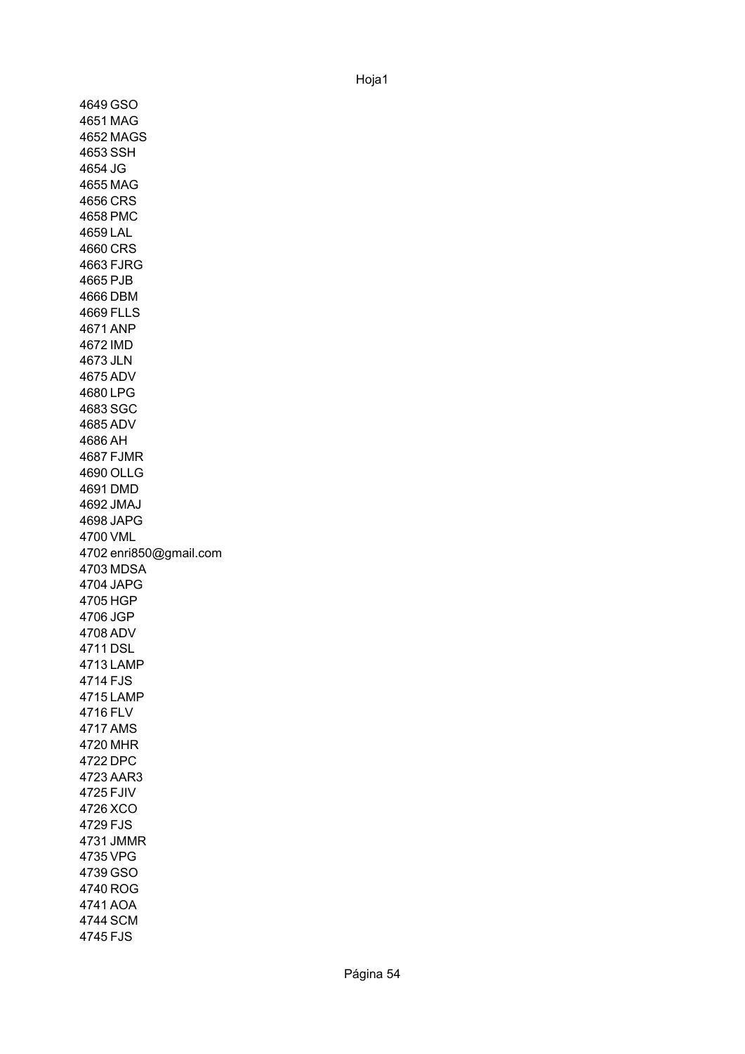4649 GSO 4651 MAG 4652 MAGS 4653 SSH 4654 JG 4655 MAG 4656 CRS 4658 PMC 4659 LAL 4660 CRS 4663 FJRG 4665 PJB 4666 DBM 4669 FLLS 4671 ANP 4672 IMD 4673 JLN 4675 ADV 4680 LPG 4683 SGC 4685 ADV 4686 AH 4687 FJMR 4690 OLLG 4691 DMD 4692 JMAJ 4698 JAPG 4700 VML 4702 enri850@gmail.com 4703 MDSA 4704 JAPG 4705 HGP 4706 JGP 4708 ADV 4711 DSL 4713 LAMP 4714 FJS 4715 LAMP 4716 FLV 4717 AMS 4720 MHR 4722 DPC 4723 AAR3 4725 FJIV 4726 XCO 4729 FJS 4731 JMMR 4735 VPG 4739 GSO 4740 ROG 4741 AOA 4744 SCM 4745 FJS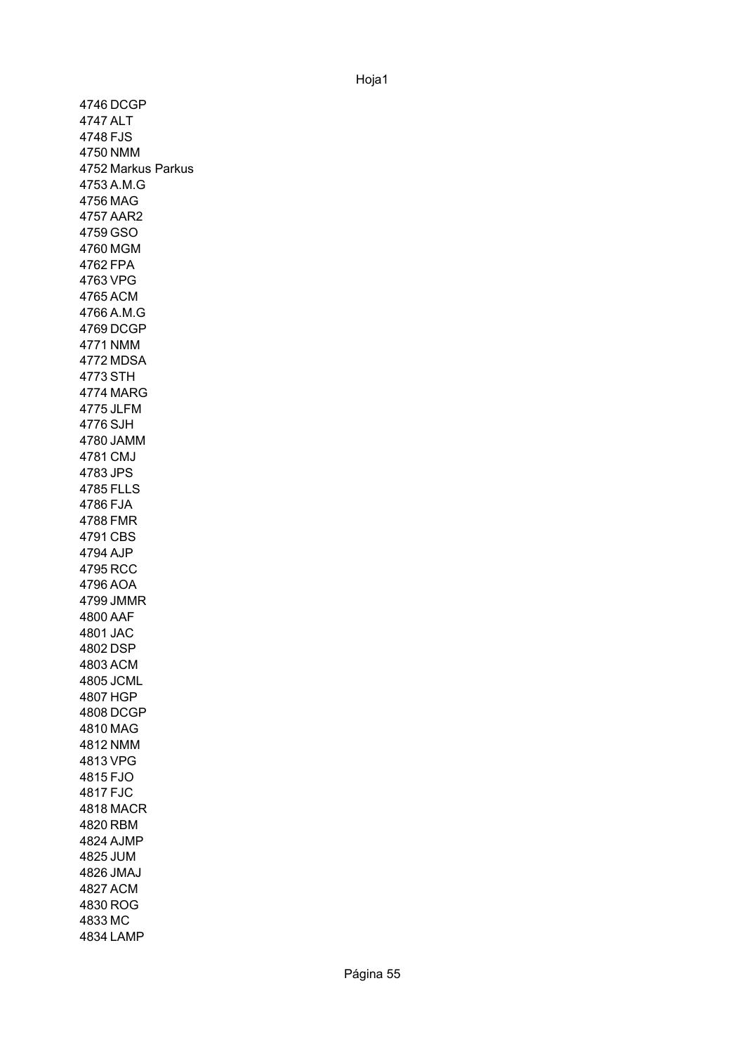4746 DCGP 4747 ALT 4748 FJS 4750 NMM 4752 Markus Parkus4753 A.M.G 4756 MAG 4757 AAR2 4759 GSO 4760 MGM 4762 FPA 4763 VPG 4765 ACM 4766 A.M.G 4769 DCGP 4771 NMM 4772 MDSA 4773 STH 4774 MARG 4775 JLFM 4776 SJH 4780 JAMM 4781 CMJ 4783 JPS 4785 FLLS 4786 FJA 4788 FMR 4791 CBS 4794 AJP 4795 RCC 4796 AOA 4799 JMMR 4800 AAF 4801 JAC 4802 DSP 4803 ACM 4805 JCML 4807 HGP 4808 DCGP 4810 MAG 4812 NMM 4813 VPG 4815 FJO 4817 FJC 4818 MACR 4820 RBM 4824 AJMP 4825 JUM 4826 JMAJ 4827 ACM 4830 ROG 4833 MC 4834 LAMP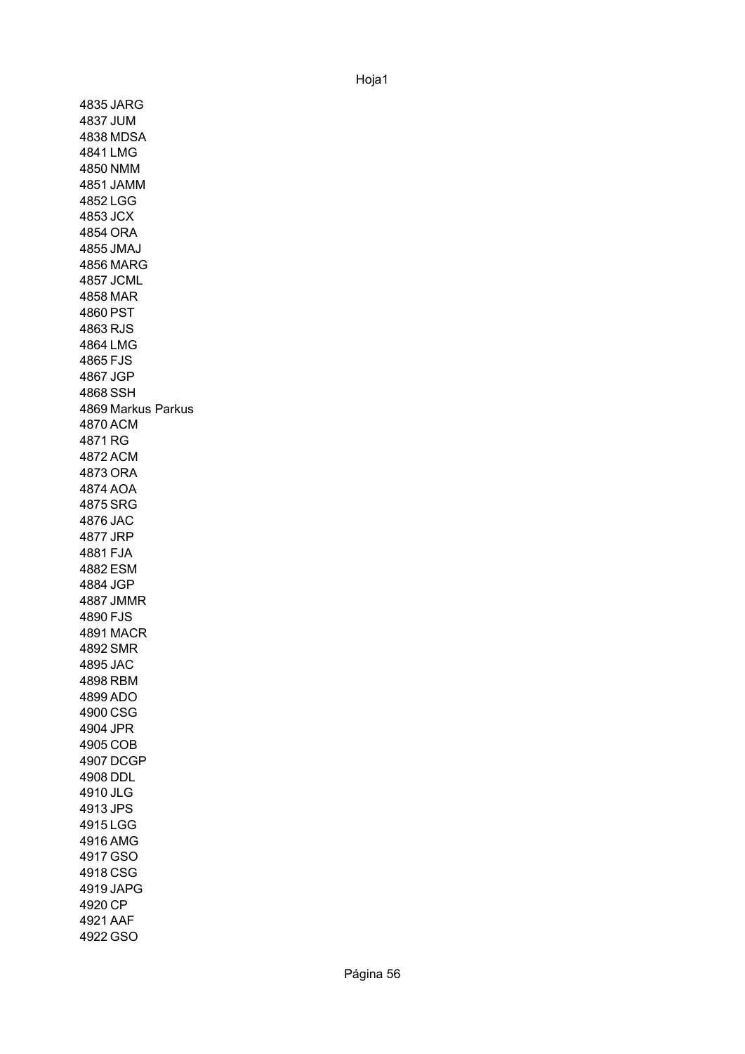4835 JARG 4837 JUM 4838 MDSA 4841 LMG 4850 NMM 4851 JAMM 4852 LGG 4853 JCX 4854 ORA 4855 JMAJ 4856 MARG 4857 JCML 4858 MAR 4860 PST 4863 RJS 4864 LMG 4865 FJS 4867 JGP 4868 SSH 4869 Markus Parkus4870 ACM 4871 RG 4872 ACM 4873 ORA 4874 AOA 4875 SRG 4876 JAC 4877 JRP 4881 FJA 4882 ESM 4884 JGP 4887 JMMR 4890 FJS 4891 MACR 4892 SMR 4895 JAC 4898 RBM 4899 ADO 4900 CSG 4904 JPR 4905 COB 4907 DCGP 4908 DDL 4910 JLG 4913 JPS 4915 LGG 4916 AMG 4917 GSO 4918 CSG 4919 JAPG 4920 CP 4921 AAF 4922 GSO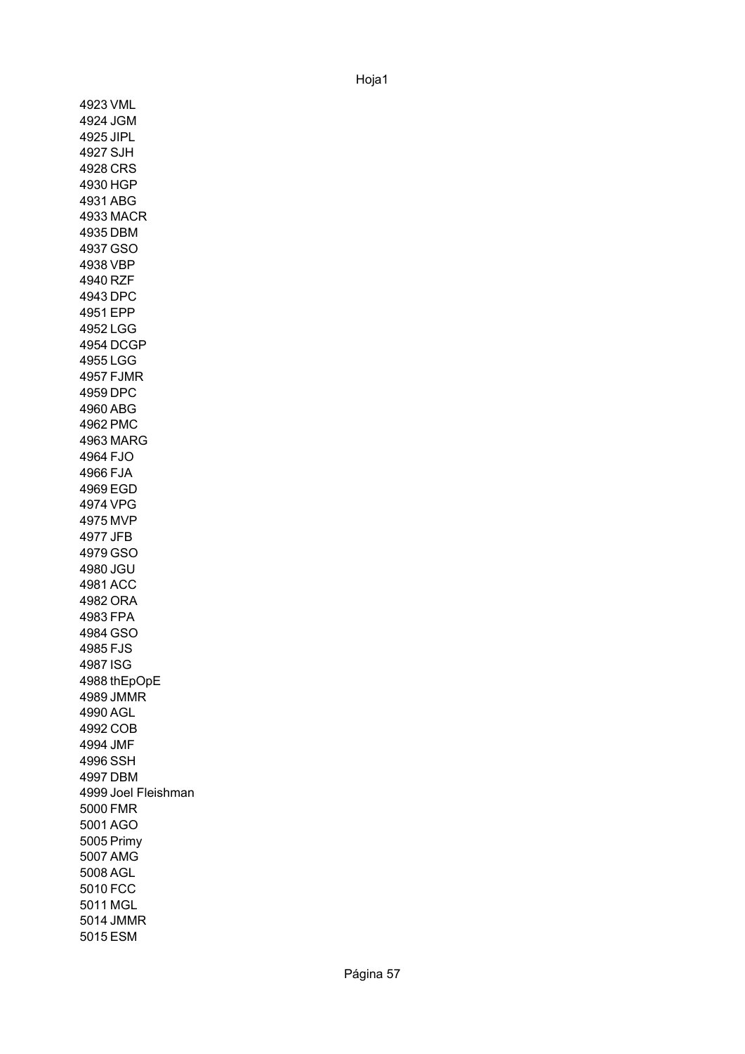4923 VML 4924 JGM 4925 JIPL 4927 SJH 4928 CRS 4930 HGP 4931 ABG 4933 MACR 4935 DBM 4937 GSO 4938 VBP 4940 RZF 4943 DPC 4951 EPP 4952 LGG 4954 DCGP 4955 LGG 4957 FJMR 4959 DPC 4960 ABG 4962 PMC 4963 MARG 4964 FJO 4966 FJA 4969 EGD 4974 VPG 4975 MVP 4977 JFB 4979 GSO 4980 JGU 4981 ACC 4982 ORA 4983 FPA 4984 GSO 4985 FJS 4987 ISG 4988 thEpOpE 4989 JMMR 4990 AGL 4992 COB 4994 JMF 4996 SSH 4997 DBM 4999 Joel Fleishman 5000 FMR 5001 AGO 5005 Primy5007 AMG 5008 AGL 5010 FCC 5011 MGL 5014 JMMR 5015 ESM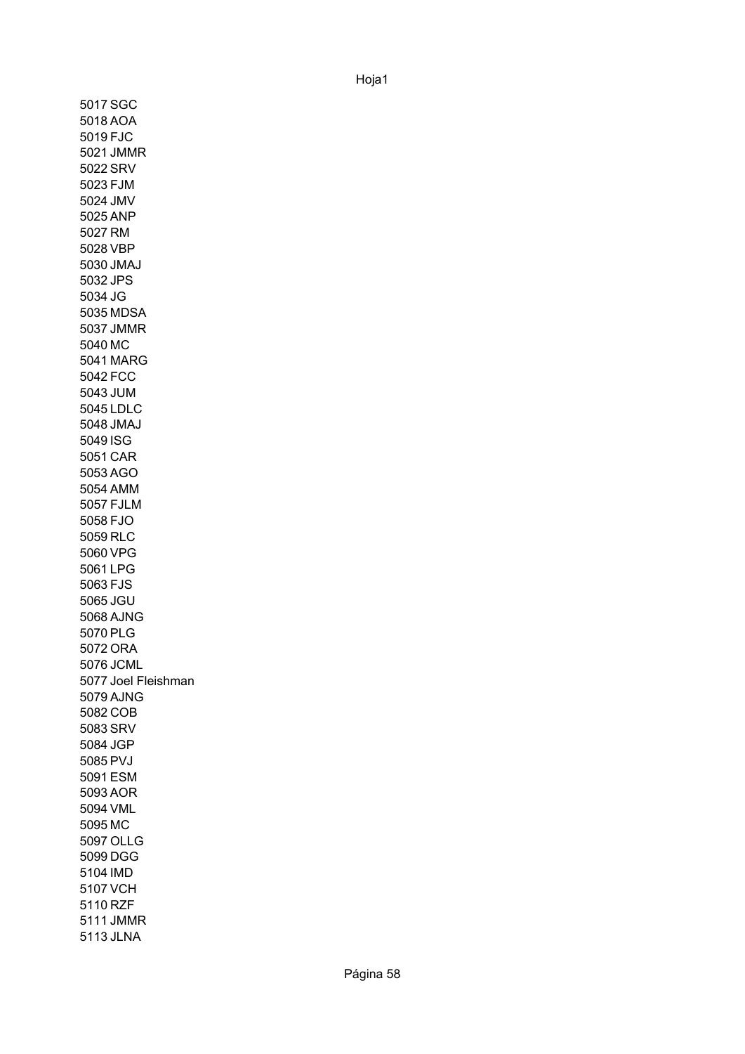5017 SGC 5018 AOA 5019 FJC 5021 JMMR 5022 SRV 5023 FJM 5024 JMV 5025 ANP 5027 RM 5028 VBP 5030 JMAJ 5032 JPS 5034 JG 5035 MDSA 5037 JMMR 5040 MC 5041 MARG 5042 FCC 5043 JUM 5045 LDLC 5048 JMAJ 5049 ISG 5051 CAR 5053 AGO 5054 AMM 5057 FJLM 5058 FJO 5059 RLC 5060 VPG 5061 LPG 5063 FJS 5065 JGU 5068 AJNG 5070 PLG 5072 ORA 5076 JCML 5077 Joel Fleishman5079 AJNG 5082 COB 5083 SRV 5084 JGP 5085 PVJ 5091 ESM 5093 AOR 5094 VML 5095 MC 5097 OLLG 5099 DGG 5104 IMD 5107 VCH 5110 RZF 5111 JMMR 5113 JLNA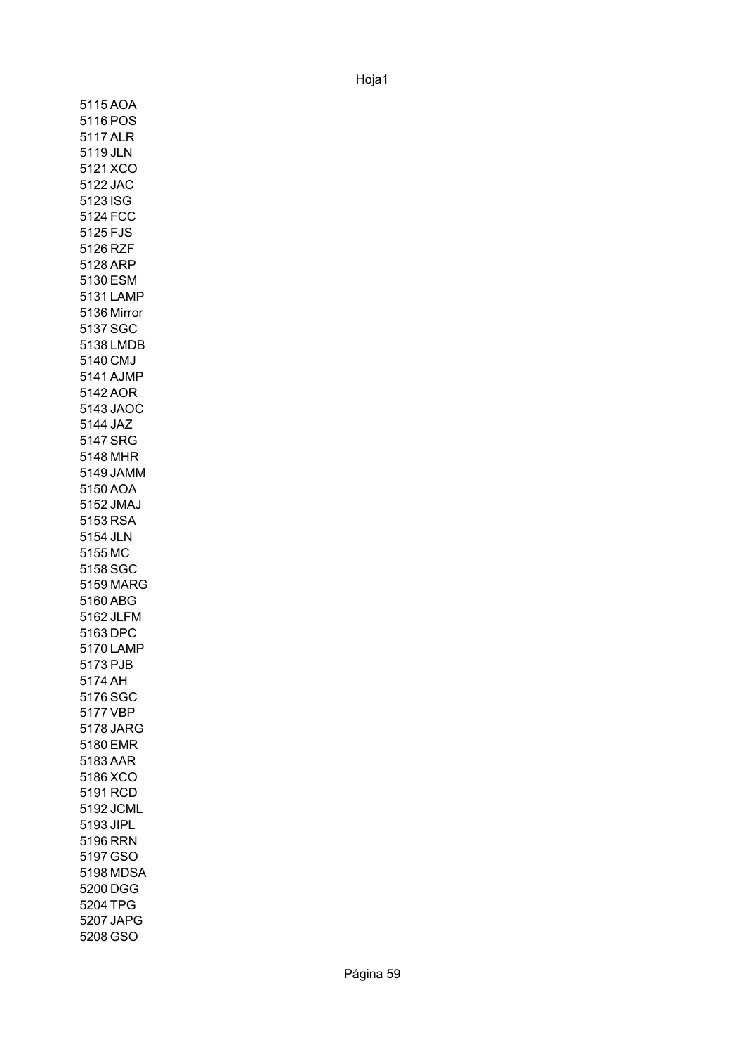5115 AOA 5116 POS 5117 ALR 5119 JLN 5121 XCO 5122 JAC 5123 ISG 5124 FCC 5125 FJS 5126 RZF 5128 ARP 5130 ESM 5131 LAMP 5136 Mirror5137 SGC 5138 LMDB 5140 CMJ 5141 AJMP 5142 AOR 5143 JAOC 5144 JAZ 5147 SRG 5148 MHR 5149 JAMM 5150 AOA 5152 JMAJ 5153 RSA 5154 JLN 5155 MC 5158 SGC 5159 MARG 5160 ABG 5162 JLFM 5163 DPC 5170 LAMP 5173 PJB 5174 AH 5176 SGC 5177 VBP 5178 JARG 5180 EMR 5183 AAR 5186 XCO 5191 RCD 5192 JCML 5193 JIPL 5196 RRN 5197 GSO 5198 MDSA 5200 DGG 5204 TPG 5207 JAPG 5208 GSO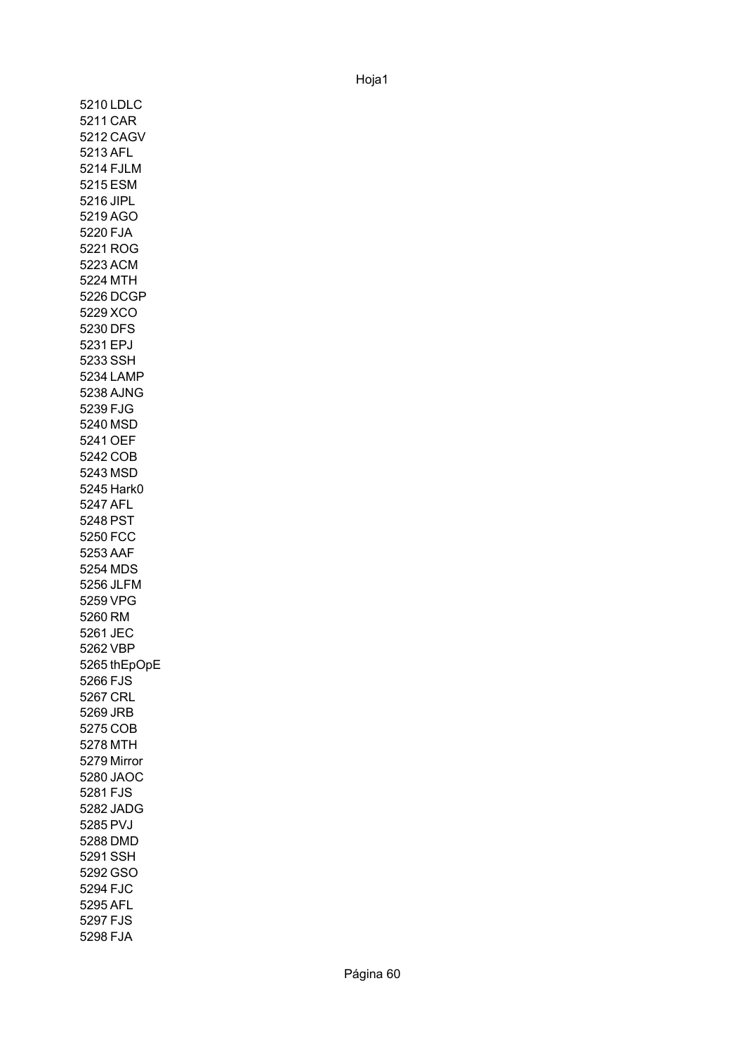5210 LDLC 5211 CAR 5212 CAGV 5213 AFL 5214 FJLM 5215 ESM 5216 JIPL 5219 AGO 5220 FJA 5221 ROG 5223 ACM 5224 MTH 5226 DCGP 5229 XCO 5230 DFS 5231 EPJ 5233 SSH 5234 LAMP 5238 AJNG 5239 FJG 5240 MSD 5241 OEF 5242 COB 5243 MSD 5245 Hark0 5247 AFL 5248 PST 5250 FCC 5253 AAF 5254 MDS 5256 JLFM 5259 VPG 5260 RM 5261 JEC 5262 VBP 5265 thEpOpE 5266 FJS 5267 CRL 5269 JRB 5275 COB 5278 MTH 5279 Mirror5280 JAOC 5281 FJS 5282 JADG 5285 PVJ 5288 DMD 5291 SSH 5292 GSO 5294 FJC 5295 AFL 5297 FJS 5298 FJA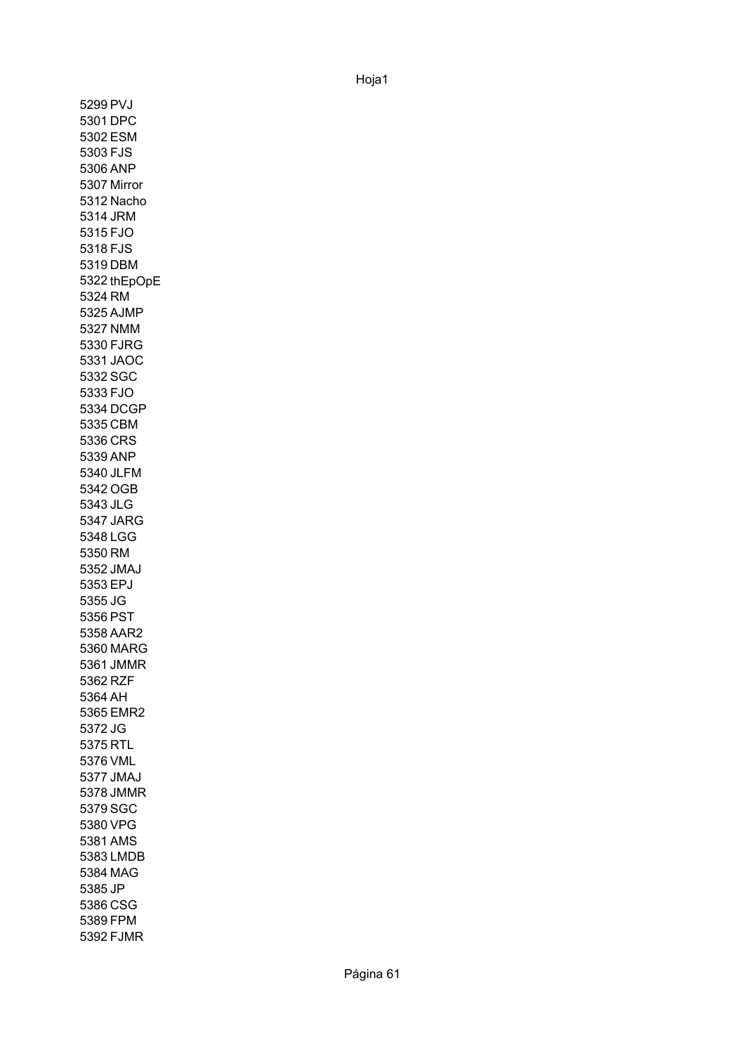5299 PVJ 5301 DPC 5302 ESM 5303 FJS 5306 ANP 5307 Mirror 5312 Nacho 5314 JRM 5315 FJO 5318 FJS 5319 DBM 5322 thEpOpE5324 RM 5325 AJMP 5327 NMM 5330 FJRG 5331 JAOC 5332 SGC 5333 FJO 5334 DCGP 5335 CBM 5336 CRS 5339 ANP 5340 JLFM 5342 OGB 5343 JLG 5347 JARG 5348 LGG 5350 RM 5352 JMAJ 5353 EPJ 5355 JG 5356 PST 5358 AAR2 5360 MARG 5361 JMMR 5362 RZF 5364 AH 5365 EMR2 5372 JG 5375 RTL 5376 VML 5377 JMAJ 5378 JMMR 5379 SGC 5380 VPG 5381 AMS 5383 LMDB 5384 MAG 5385 JP 5386 CSG 5389 FPM 5392 FJMR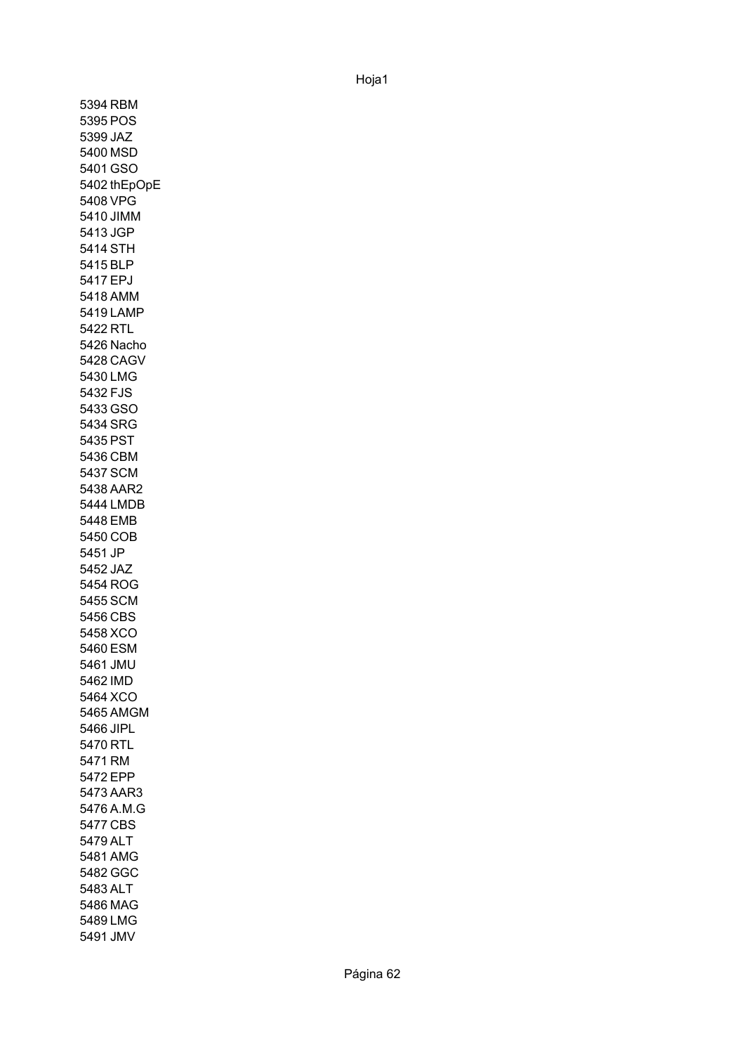5394 RBM 5395 POS 5399 JAZ 5400 MSD 5401 GSO 5402 thEpOpE5408 VPG 5410 JIMM 5413 JGP 5414 STH 5415 BLP 5417 EPJ 5418 AMM 5419 LAMP 5422 RTL 5426 Nacho 5428 CAGV 5430 LMG 5432 FJS 5433 GSO 5434 SRG 5435 PST 5436 CBM 5437 SCM 5438 AAR2 5444 LMDB 5448 EMB 5450 COB 5451 JP 5452 JAZ 5454 ROG 5455 SCM 5456 CBS 5458 XCO 5460 ESM 5461 JMU 5462 IMD 5464 XCO 5465 AMGM 5466 JIPL 5470 RTL 5471 RM 5472 EPP 5473 AAR3 5476 A.M.G 5477 CBS 5479 ALT 5481 AMG 5482 GGC 5483 ALT 5486 MAG 5489 LMG 5491 JMV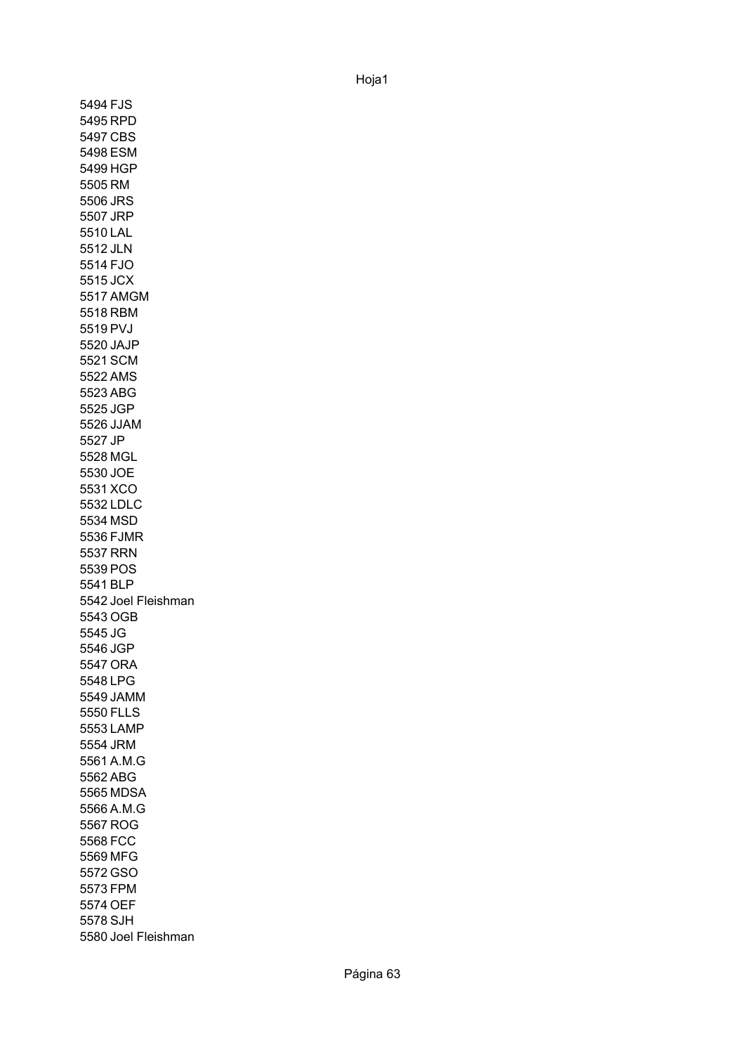5494 FJS 5495 RPD 5497 CBS 5498 ESM 5499 HGP 5505 RM 5506 JRS 5507 JRP 5510 LAL 5512 JLN 5514 FJO 5515 JCX 5517 AMGM 5518 RBM 5519 PVJ 5520 JAJP 5521 SCM 5522 AMS 5523 ABG 5525 JGP 5526 JJAM 5527 JP 5528 MGL 5530 JOE 5531 XCO 5532 LDLC 5534 MSD 5536 FJMR 5537 RRN 5539 POS 5541 BLP 5542 Joel Fleishman 5543 OGB 5545 JG 5546 JGP 5547 ORA 5548 LPG 5549 JAMM 5550 FLLS 5553 LAMP 5554 JRM 5561 A.M.G 5562 ABG 5565 MDSA 5566 A.M.G 5567 ROG 5568 FCC 5569 MFG 5572 GSO 5573 FPM 5574 OEF 5578 SJH 5580 Joel Fleishman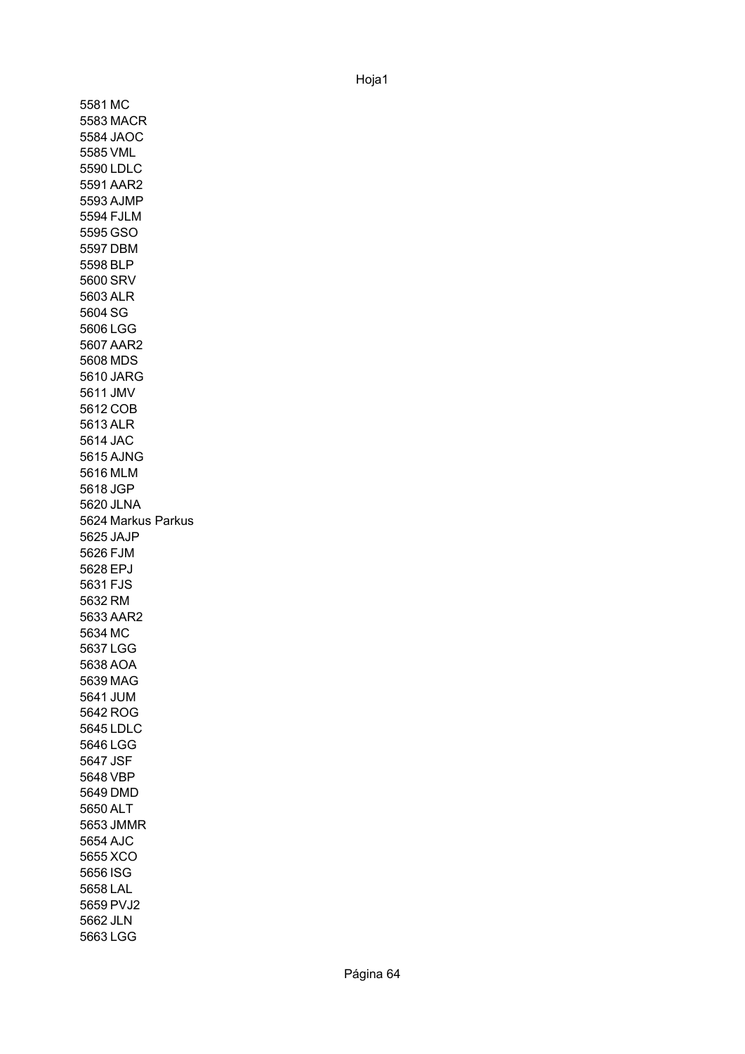5581 MC 5583 MACR 5584 JAOC 5585 VML 5590 LDLC 5591 AAR2 5593 AJMP 5594 FJLM 5595 GSO 5597 DBM 5598 BLP 5600 SRV 5603 ALR 5604 SG 5606 LGG 5607 AAR2 5608 MDS 5610 JARG 5611 JMV 5612 COB 5613 ALR 5614 JAC 5615 AJNG 5616 MLM 5618 JGP 5620 JLNA 5624 Markus Parkus5625 JAJP 5626 FJM 5628 EPJ 5631 FJS 5632 RM 5633 AAR2 5634 MC 5637 LGG 5638 AOA 5639 MAG 5641 JUM 5642 ROG 5645 LDLC 5646 LGG 5647 JSF 5648 VBP 5649 DMD 5650 ALT 5653 JMMR 5654 AJC 5655 XCO 5656 ISG 5658 LAL 5659 PVJ2 5662 JLN 5663 LGG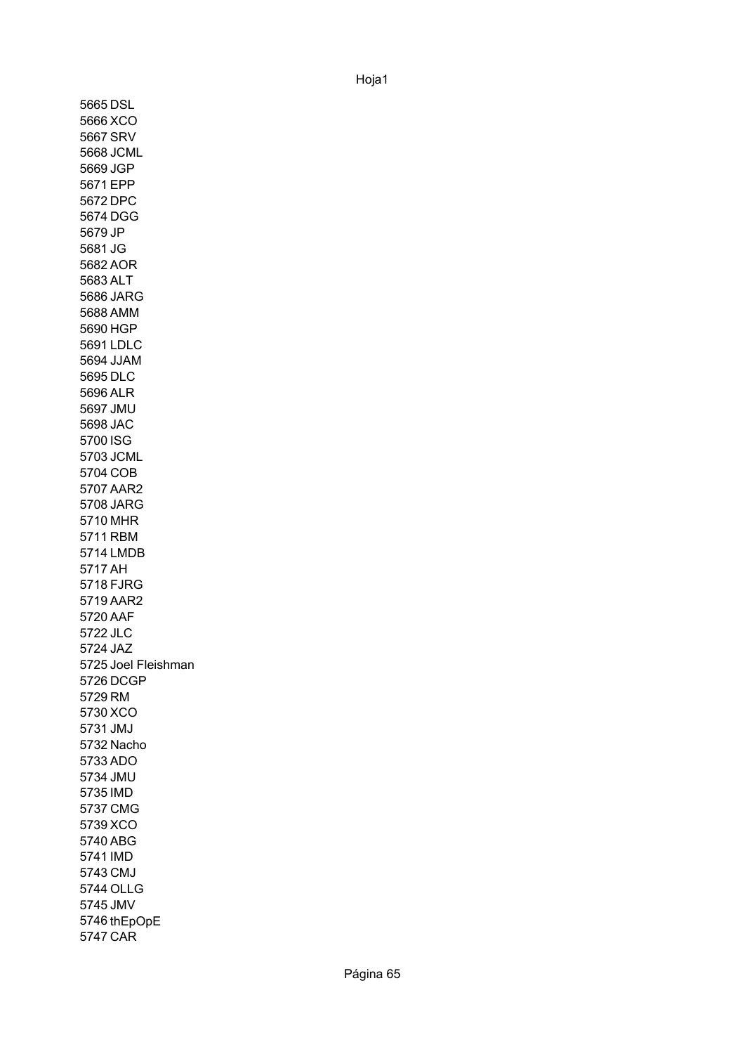5665 DSL 5666 XCO 5667 SRV 5668 JCML 5669 JGP 5671 EPP 5672 DPC 5674 DGG 5679 JP 5681 JG 5682 AOR 5683 ALT 5686 JARG 5688 AMM 5690 HGP 5691 LDLC 5694 JJAM 5695 DLC 5696 ALR 5697 JMU 5698 JAC 5700 ISG 5703 JCML 5704 COB 5707 AAR2 5708 JARG 5710 MHR 5711 RBM 5714 LMDB 5717 AH 5718 FJRG 5719 AAR2 5720 AAF 5722 JLC 5724 JAZ 5725 Joel Fleishman 5726 DCGP 5729 RM 5730 XCO 5731 JMJ 5732 Nacho 5733 ADO 5734 JMU 5735 IMD 5737 CMG 5739 XCO 5740 ABG 5741 IMD 5743 CMJ 5744 OLLG 5745 JMV 5746 thEpOpE5747 CAR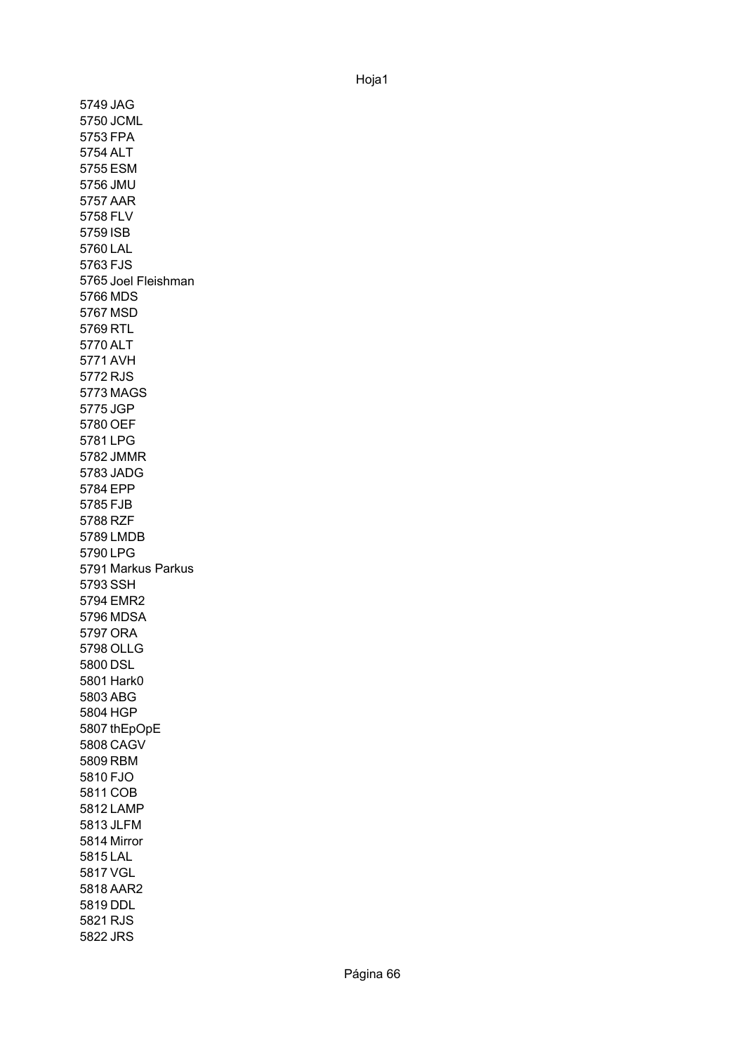5749 JAG 5750 JCML 5753 FPA 5754 ALT 5755 ESM 5756 JMU 5757 AAR 5758 FLV 5759 ISB 5760 LAL 5763 FJS 5765 Joel Fleishman 5766 MDS 5767 MSD 5769 RTL 5770 ALT 5771 AVH 5772 RJS 5773 MAGS 5775 JGP 5780 OEF 5781 LPG 5782 JMMR 5783 JADG 5784 EPP 5785 FJB 5788 RZF 5789 LMDB 5790 LPG 5791 Markus Parkus 5793 SSH 5794 EMR2 5796 MDSA 5797 ORA 5798 OLLG 5800 DSL 5801 Hark0 5803 ABG 5804 HGP 5807 thEpOpE 5808 CAGV 5809 RBM 5810 FJO 5811 COB 5812 LAMP 5813 JLFM 5814 Mirror5815 LAL 5817 VGL 5818 AAR2 5819 DDL 5821 RJS 5822 JRS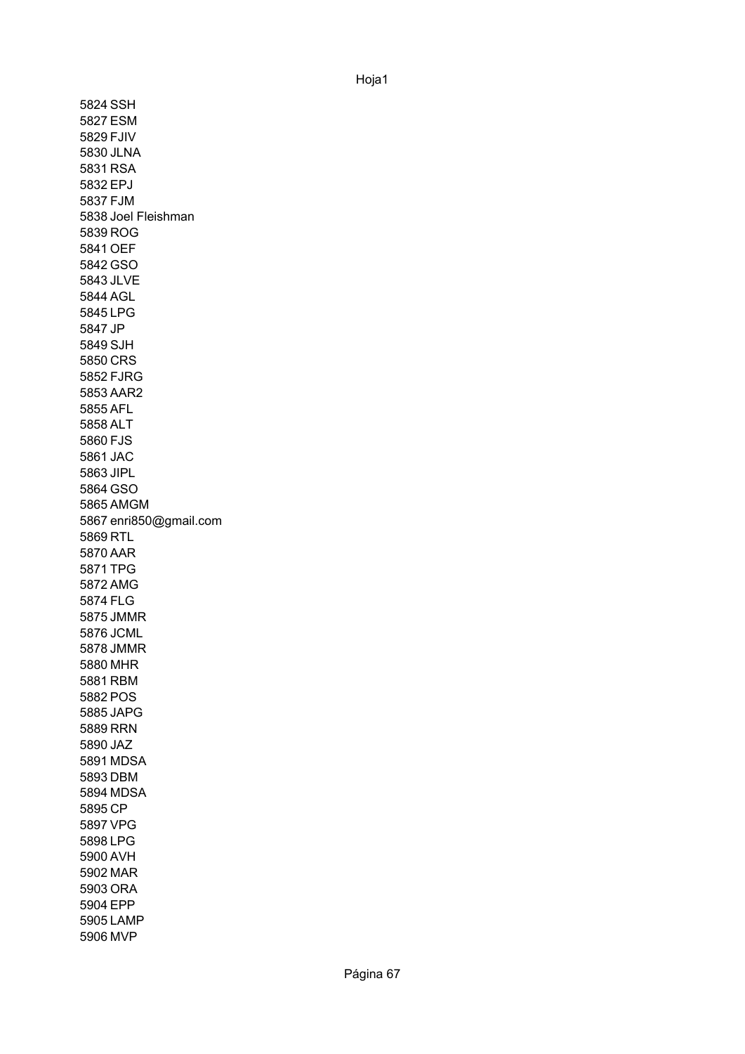5824 SSH 5827 ESM 5829 FJIV 5830 JLNA 5831 RSA 5832 EPJ 5837 FJM 5838 Joel Fleishman5839 ROG 5841 OEF 5842 GSO 5843 JLVE 5844 AGL 5845 LPG 5847 JP 5849 SJH 5850 CRS 5852 FJRG 5853 AAR2 5855 AFL 5858 ALT 5860 FJS 5861 JAC 5863 JIPL 5864 GSO 5865 AMGM 5867 enri850@gmail.com 5869 RTL 5870 AAR 5871 TPG 5872 AMG 5874 FLG 5875 JMMR 5876 JCML 5878 JMMR 5880 MHR 5881 RBM 5882 POS 5885 JAPG 5889 RRN 5890 JAZ 5891 MDSA 5893 DBM 5894 MDSA 5895 CP 5897 VPG 5898 LPG 5900 AVH 5902 MAR 5903 ORA 5904 EPP 5905 LAMP 5906 MVP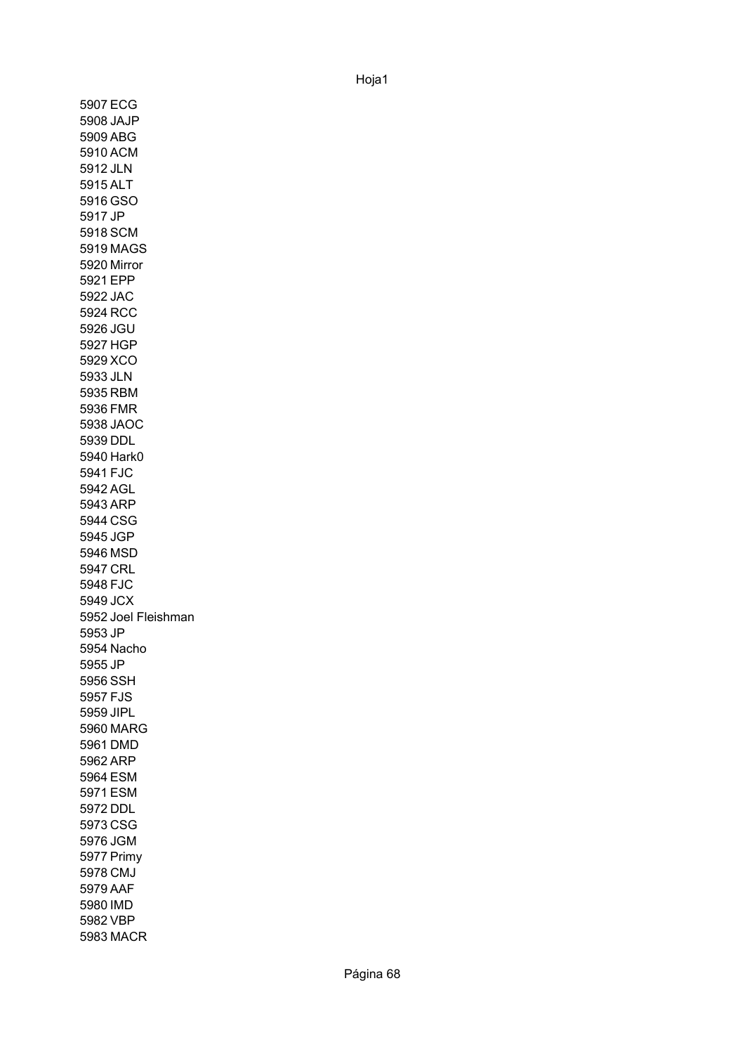5907 ECG 5908 JAJP 5909 ABG 5910 ACM 5912 JLN 5915 ALT 5916 GSO 5917 JP 5918 SCM 5919 MAGS 5920 Mirror 5921 EPP 5922 JAC 5924 RCC 5926 JGU 5927 HGP 5929 XCO 5933 JLN 5935 RBM 5936 FMR 5938 JAOC 5939 DDL 5940 Hark0 5941 FJC 5942 AGL 5943 ARP 5944 CSG 5945 JGP 5946 MSD 5947 CRL 5948 FJC 5949 JCX 5952 Joel Fleishman 5953 JP 5954 Nacho 5955 JP 5956 SSH 5957 FJS 5959 JIPL 5960 MARG 5961 DMD 5962 ARP 5964 ESM 5971 ESM 5972 DDL 5973 CSG 5976 JGM 5977 Primy5978 CMJ 5979 AAF 5980 IMD 5982 VBP 5983 MACR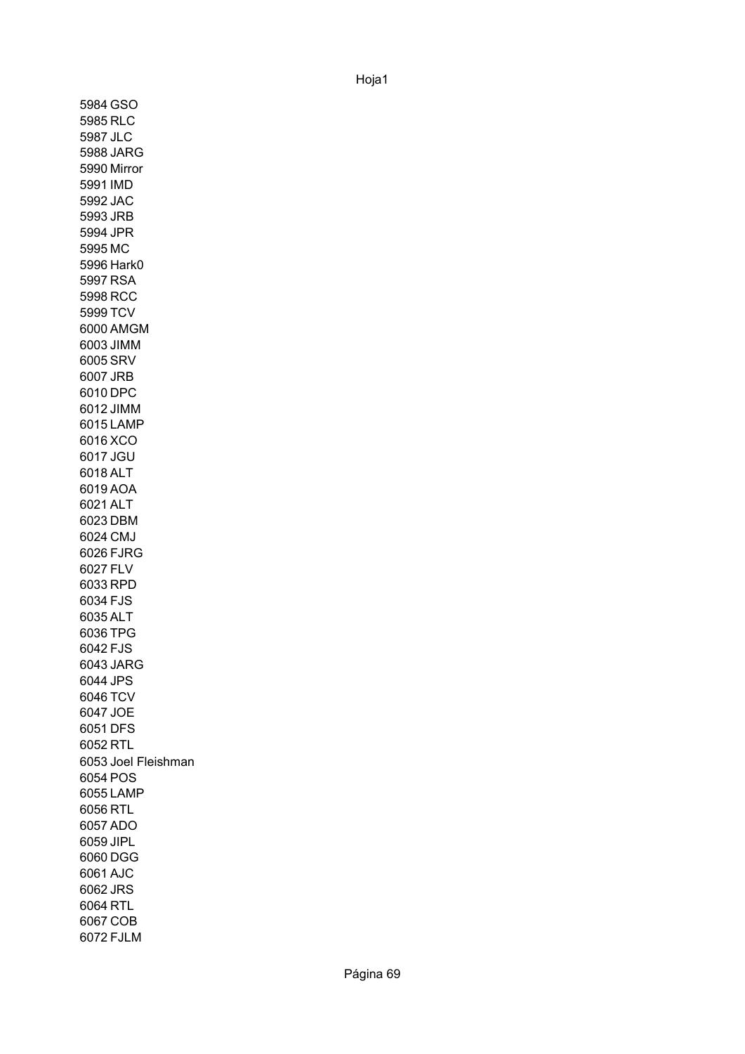5984 GSO 5985 RLC 5987 JLC 5988 JARG 5990 Mirror 5991 IMD 5992 JAC 5993 JRB 5994 JPR 5995 MC 5996 Hark0 5997 RSA 5998 RCC 5999 TCV 6000 AMGM 6003 JIMM 6005 SRV 6007 JRB 6010 DPC 6012 JIMM 6015 LAMP 6016 XCO 6017 JGU 6018 ALT 6019 AOA 6021 ALT 6023 DBM 6024 CMJ 6026 FJRG 6027 FLV 6033 RPD 6034 FJS 6035 ALT 6036 TPG 6042 FJS 6043 JARG 6044 JPS 6046 TCV 6047 JOE 6051 DFS 6052 RTL 6053 Joel Fleishman6054 POS 6055 LAMP 6056 RTL 6057 ADO 6059 JIPL 6060 DGG 6061 AJC 6062 JRS 6064 RTL 6067 COB 6072 FJLM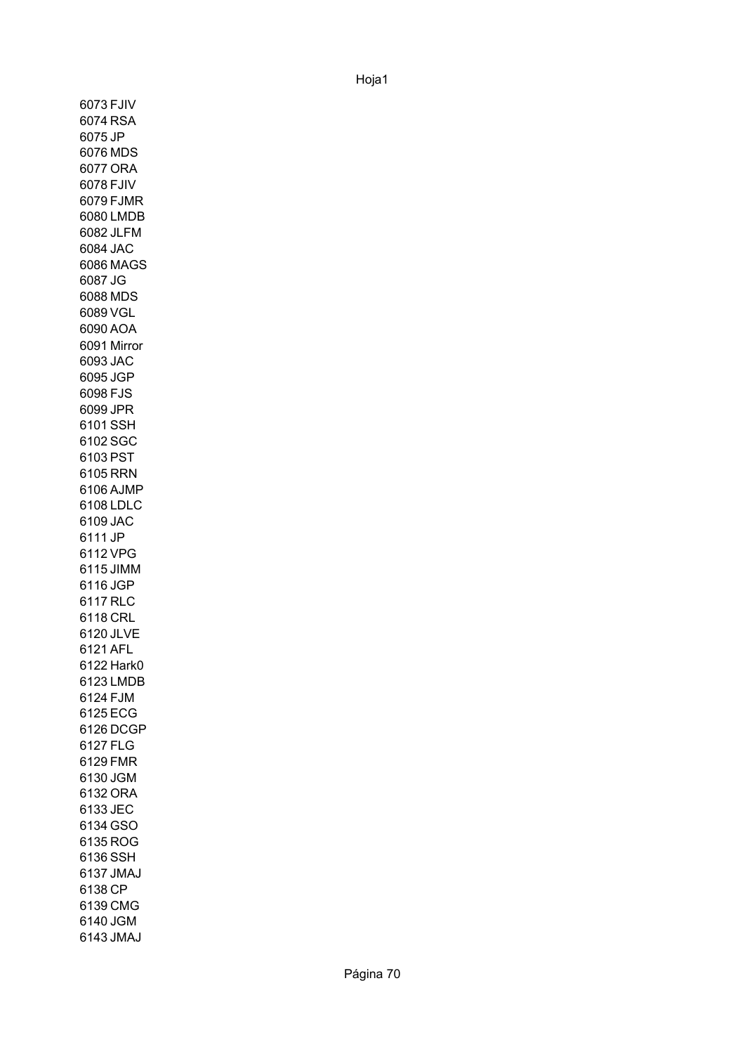6073 FJIV 6074 RSA 6075 JP 6076 MDS 6077 ORA 6078 FJIV 6079 FJMR 6080 LMDB 6082 JLFM 6084 JAC 6086 MAGS 6087 JG 6088 MDS 6089 VGL 6090 AOA 6091 Mirror6093 JAC 6095 JGP 6098 FJS 6099 JPR 6101 SSH 6102 SGC 6103 PST 6105 RRN 6106 AJMP 6108 LDLC 6109 JAC 6111 JP 6112 VPG 6115 JIMM 6116 JGP 6117 RLC 6118 CRL 6120 JLVE 6121 AFL 6122 Hark0 6123 LMDB 6124 FJM 6125 ECG 6126 DCGP 6127 FLG 6129 FMR 6130 JGM 6132 ORA 6133 JEC 6134 GSO 6135 ROG 6136 SSH 6137 JMAJ 6138 CP 6139 CMG 6140 JGM 6143 JMAJ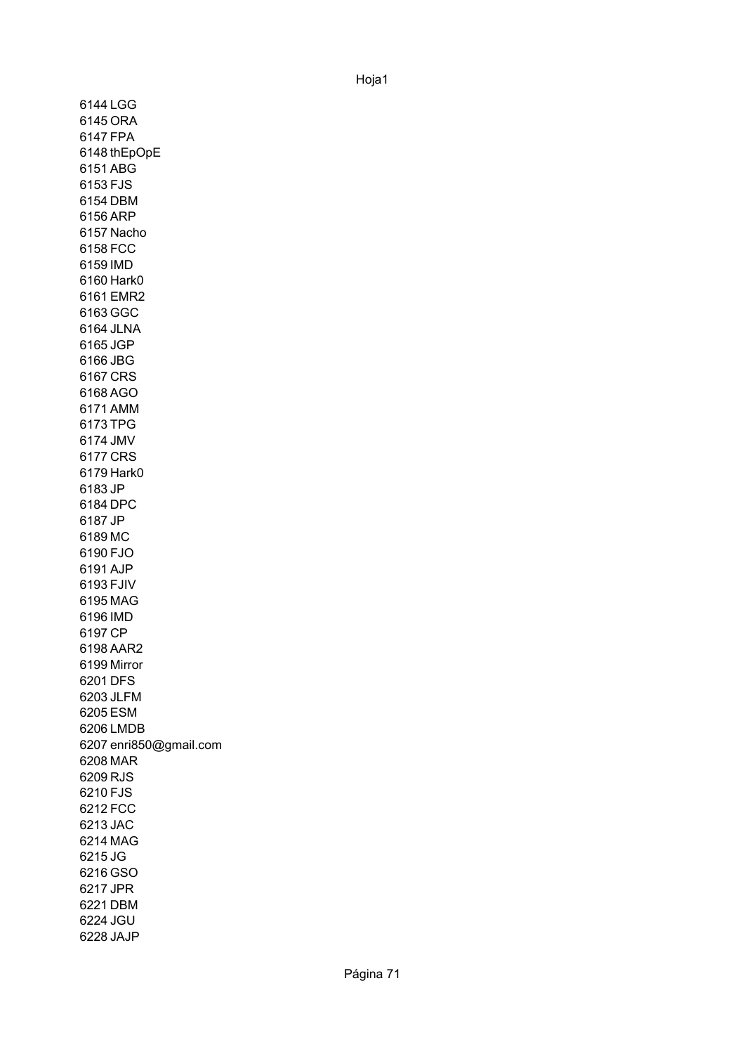6144 LGG 6145 ORA 6147 FPA 6148 thEpOpE 6151 ABG 6153 FJS 6154 DBM 6156 ARP 6157 Nacho 6158 FCC 6159 IMD 6160 Hark0 6161 EMR2 6163 GGC 6164 JLNA 6165 JGP 6166 JBG 6167 CRS 6168 AGO 6171 AMM 6173 TPG 6174 JMV 6177 CRS 6179 Hark0 6183 JP 6184 DPC 6187 JP 6189 MC 6190 FJO 6191 AJP 6193 FJIV 6195 MAG 6196 IMD 6197 CP 6198 AAR2 6199 Mirror6201 DFS 6203 JLFM 6205 ESM 6206 LMDB 6207 enri850@gmail.com 6208 MAR 6209 RJS 6210 FJS 6212 FCC 6213 JAC 6214 MAG 6215 JG 6216 GSO 6217 JPR 6221 DBM 6224 JGU 6228 JAJP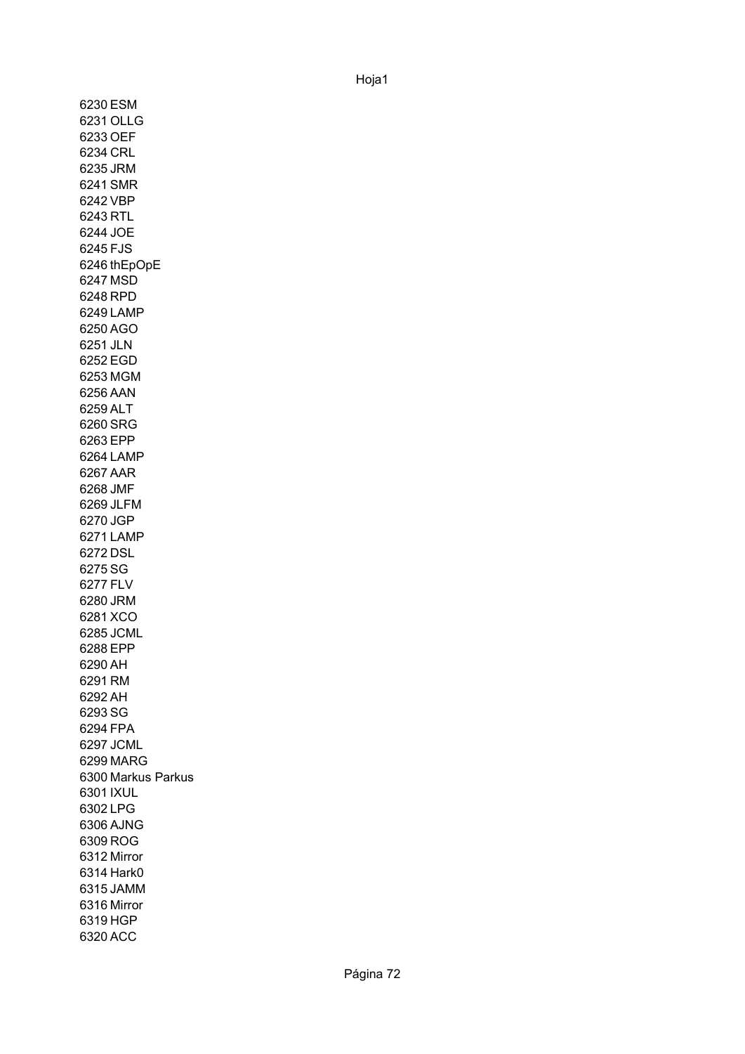6230 ESM 6231 OLLG 6233 OEF 6234 CRL 6235 JRM 6241 SMR 6242 VBP 6243 RTL 6244 JOE 6245 FJS 6246 thEpOpE 6247 MSD 6248 RPD 6249 LAMP 6250 AGO 6251 JLN 6252 EGD 6253 MGM 6256 AAN 6259 ALT 6260 SRG 6263 EPP 6264 LAMP 6267 AAR 6268 JMF 6269 JLFM 6270 JGP 6271 LAMP 6272 DSL 6275 SG 6277 FLV 6280 JRM 6281 XCO 6285 JCML 6288 EPP 6290 AH 6291 RM 6292 AH 6293 SG 6294 FPA 6297 JCML 6299 MARG 6300 Markus Parkus 6301 IXUL 6302 LPG 6306 AJNG 6309 ROG 6312 Mirror 6314 Hark0 6315 JAMM 6316 Mirror6319 HGP 6320 ACC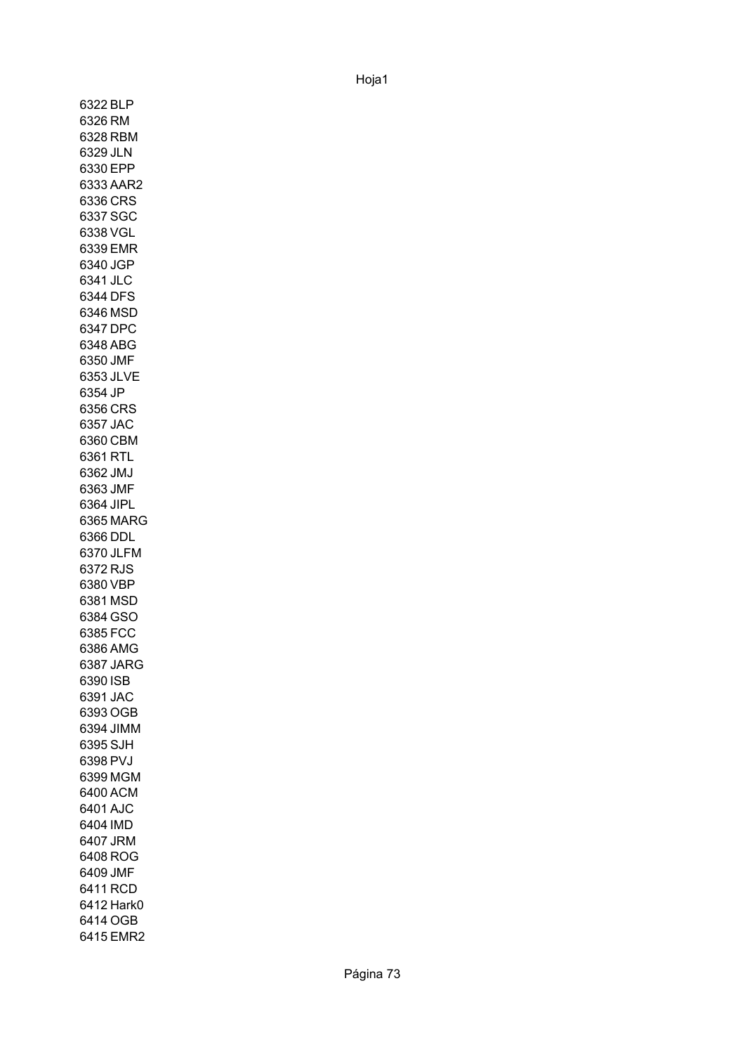6322 BLP 6326 RM 6328 RBM 6329 JLN 6330 EPP 6333 AAR2 6336 CRS 6337 SGC 6338 VGL 6339 EMR 6340 JGP 6341 JLC 6344 DFS 6346 MSD 6347 DPC 6348 ABG 6350 JMF 6353 JLVE 6354 JP 6356 CRS 6357 JAC 6360 CBM 6361 RTL 6362 JMJ 6363 JMF 6364 JIPL 6365 MARG 6366 DDL 6370 JLFM 6372 RJS 6380 VBP 6381 MSD 6384 GSO 6385 FCC 6386 AMG 6387 JARG 6390 ISB 6391 JAC 6393 OGB 6394 JIMM 6395 SJH 6398 PVJ 6399 MGM 6400 ACM 6401 AJC 6404 IMD 6407 JRM 6408 ROG 6409 JMF 6411 RCD 6412 Hark0 6414 OGB 6415 EMR2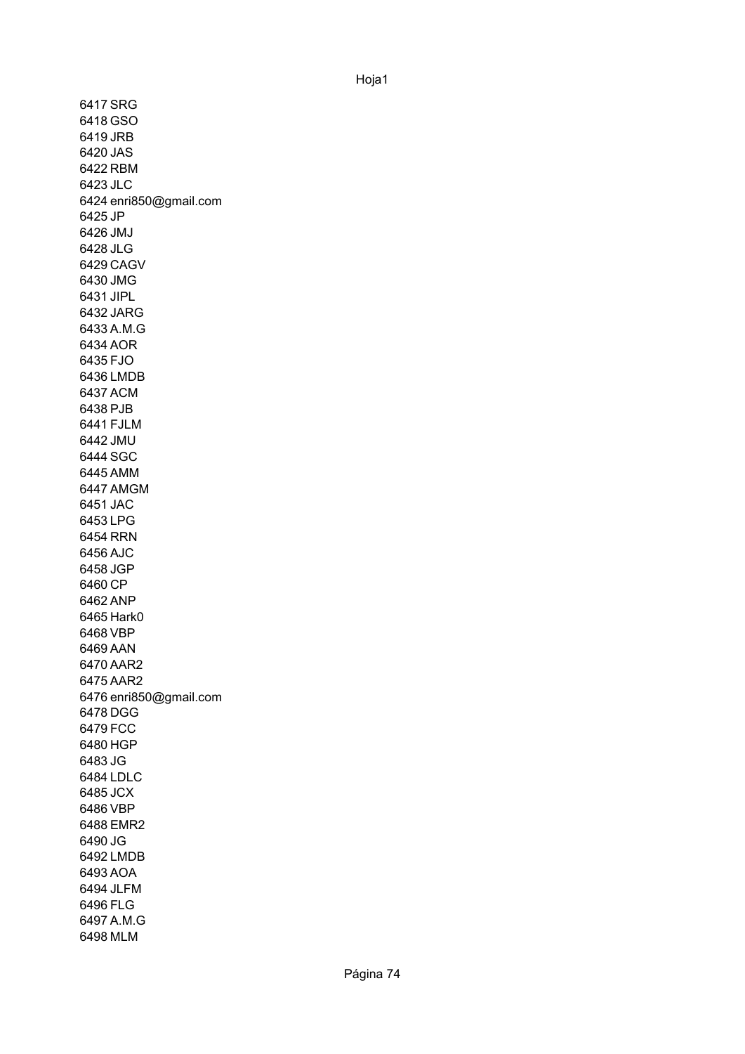6417 SRG 6418 GSO 6419 JRB 6420 JAS 6422 RBM 6423 JLC 6424 enri850@gmail.com 6425 JP 6426 JMJ 6428 JLG 6429 CAGV 6430 JMG 6431 JIPL 6432 JARG 6433 A.M.G 6434 AOR 6435 FJO 6436 LMDB 6437 ACM 6438 PJB 6441 FJLM 6442 JMU 6444 SGC 6445 AMM 6447 AMGM 6451 JAC 6453 LPG 6454 RRN 6456 AJC 6458 JGP 6460 CP 6462 ANP 6465 Hark0 6468 VBP 6469 AAN 6470 AAR2 6475 AAR2 6476 enri850@gmail.com 6478 DGG 6479 FCC 6480 HGP 6483 JG 6484 LDLC 6485 JCX 6486 VBP 6488 EMR2 6490 JG 6492 LMDB 6493 AOA 6494 JLFM 6496 FLG 6497 A.M.G 6498 MLM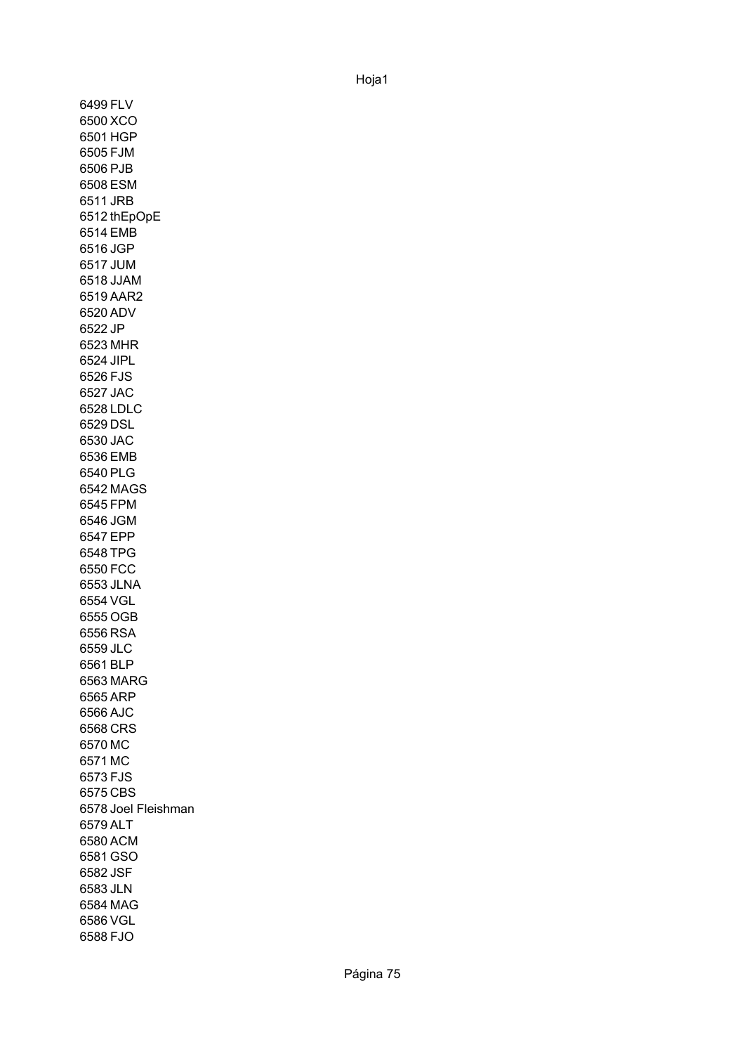6499 FLV 6500 XCO 6501 HGP 6505 FJM 6506 PJB 6508 ESM 6511 JRB 6512 thEpOpE 6514 EMB 6516 JGP 6517 JUM 6518 JJAM 6519 AAR2 6520 ADV 6522 JP 6523 MHR 6524 JIPL 6526 FJS 6527 JAC 6528 LDLC 6529 DSL 6530 JAC 6536 EMB 6540 PLG 6542 MAGS 6545 FPM 6546 JGM 6547 EPP 6548 TPG 6550 FCC 6553 JLNA 6554 VGL 6555 OGB 6556 RSA 6559 JLC 6561 BLP 6563 MARG 6565 ARP 6566 AJC 6568 CRS 6570 MC 6571 MC 6573 FJS 6575 CBS 6578 Joel Fleishman6579 ALT 6580 ACM 6581 GSO 6582 JSF 6583 JLN 6584 MAG 6586 VGL 6588 FJO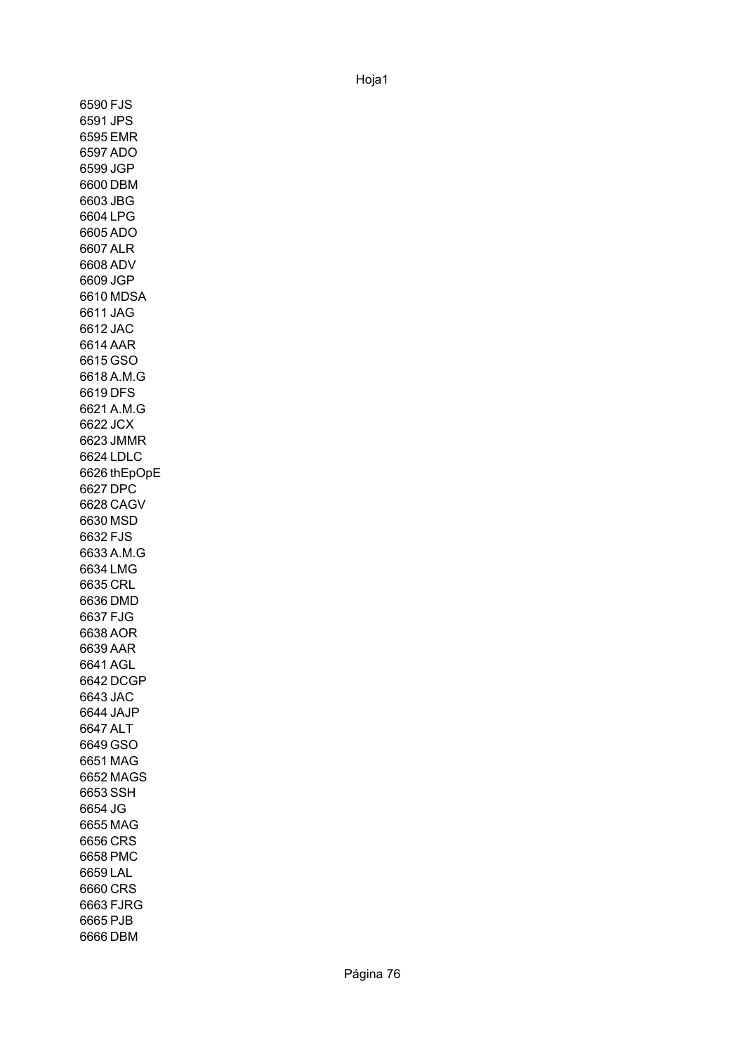6590 FJS 6591 JPS 6595 EMR 6597 ADO 6599 JGP 6600 DBM 6603 JBG 6604 LPG 6605 ADO 6607 ALR 6608 ADV 6609 JGP 6610 MDSA 6611 JAG 6612 JAC 6614 AAR 6615 GSO 6618 A.M.G 6619 DFS 6621 A.M.G 6622 JCX 6623 JMMR 6624 LDLC 6626 thEpOpE6627 DPC 6628 CAGV 6630 MSD 6632 FJS 6633 A.M.G 6634 LMG 6635 CRL 6636 DMD 6637 FJG 6638 AOR 6639 AAR 6641 AGL 6642 DCGP 6643 JAC 6644 JAJP 6647 ALT 6649 GSO 6651 MAG 6652 MAGS 6653 SSH 6654 JG 6655 MAG 6656 CRS 6658 PMC 6659 LAL 6660 CRS 6663 FJRG 6665 PJB 6666 DBM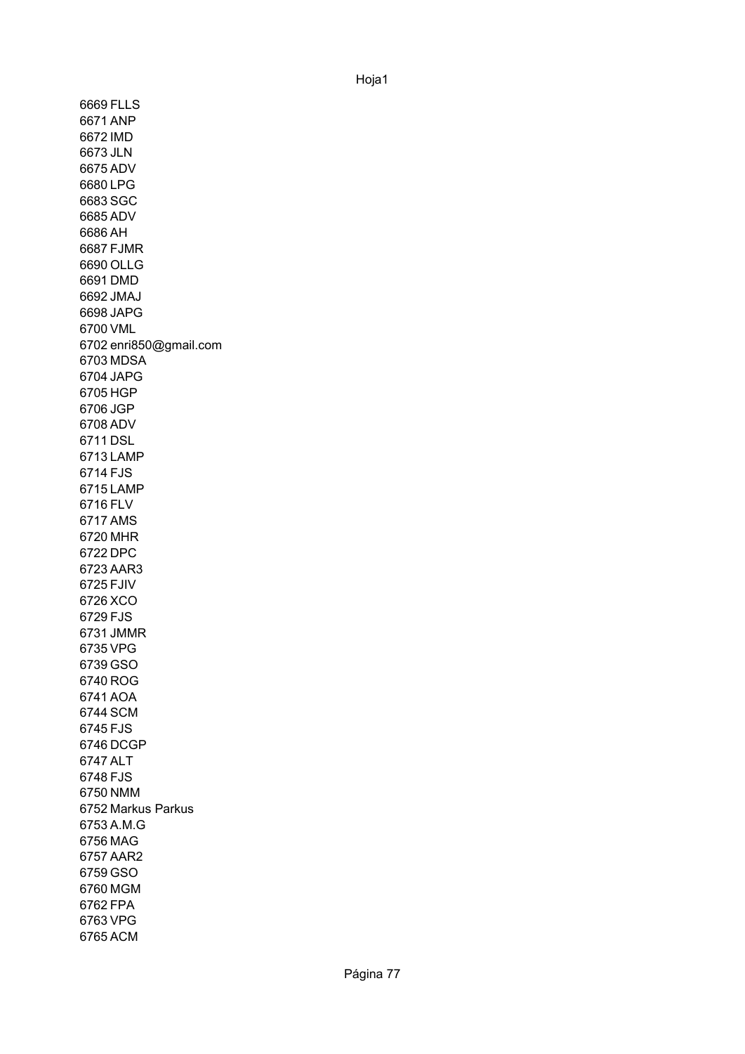6669 FLLS 6671 ANP 6672 IMD 6673 JLN 6675 ADV 6680 LPG 6683 SGC 6685 ADV 6686 AH 6687 FJMR 6690 OLLG 6691 DMD 6692 JMAJ 6698 JAPG 6700 VML 6702 enri850@gmail.com 6703 MDSA 6704 JAPG 6705 HGP 6706 JGP 6708 ADV 6711 DSL 6713 LAMP 6714 FJS 6715 LAMP 6716 FLV 6717 AMS 6720 MHR 6722 DPC 6723 AAR3 6725 FJIV 6726 XCO 6729 FJS 6731 JMMR 6735 VPG 6739 GSO 6740 ROG 6741 AOA 6744 SCM 6745 FJS 6746 DCGP 6747 ALT 6748 FJS 6750 NMM 6752 Markus Parkus6753 A.M.G 6756 MAG 6757 AAR2 6759 GSO 6760 MGM 6762 FPA 6763 VPG 6765 ACM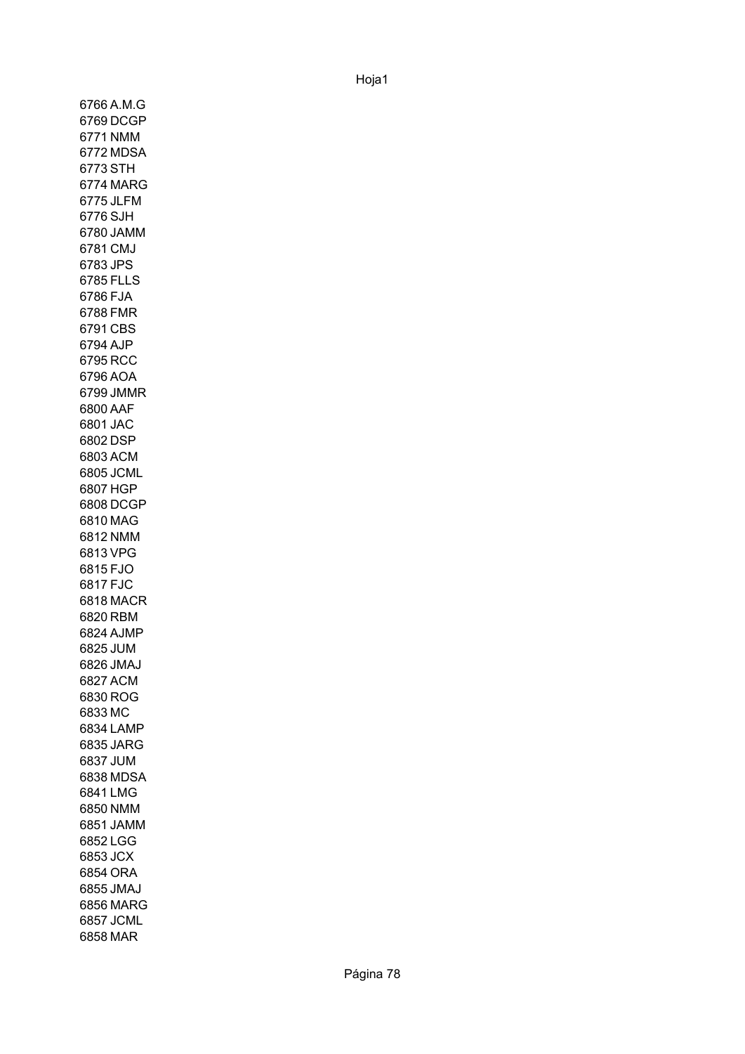6766 A.M.G 6769 DCGP 6771 NMM 6772 MDSA 6773 STH 6774 MARG 6775 JLFM 6776 SJH 6780 JAMM 6781 CMJ 6783 JPS 6785 FLLS 6786 FJA 6788 FMR 6791 CBS 6794 AJP 6795 RCC 6796 AOA 6799 JMMR 6800 AAF 6801 JAC 6802 DSP 6803 ACM 6805 JCML 6807 HGP 6808 DCGP 6810 MAG 6812 NMM 6813 VPG 6815 FJO 6817 FJC 6818 MACR 6820 RBM 6824 AJMP 6825 JUM 6826 JMAJ 6827 ACM 6830 ROG 6833 MC 6834 LAMP 6835 JARG 6837 JUM 6838 MDSA 6841 LMG 6850 NMM 6851 JAMM 6852 LGG 6853 JCX 6854 ORA 6855 JMAJ 6856 MARG 6857 JCML 6858 MAR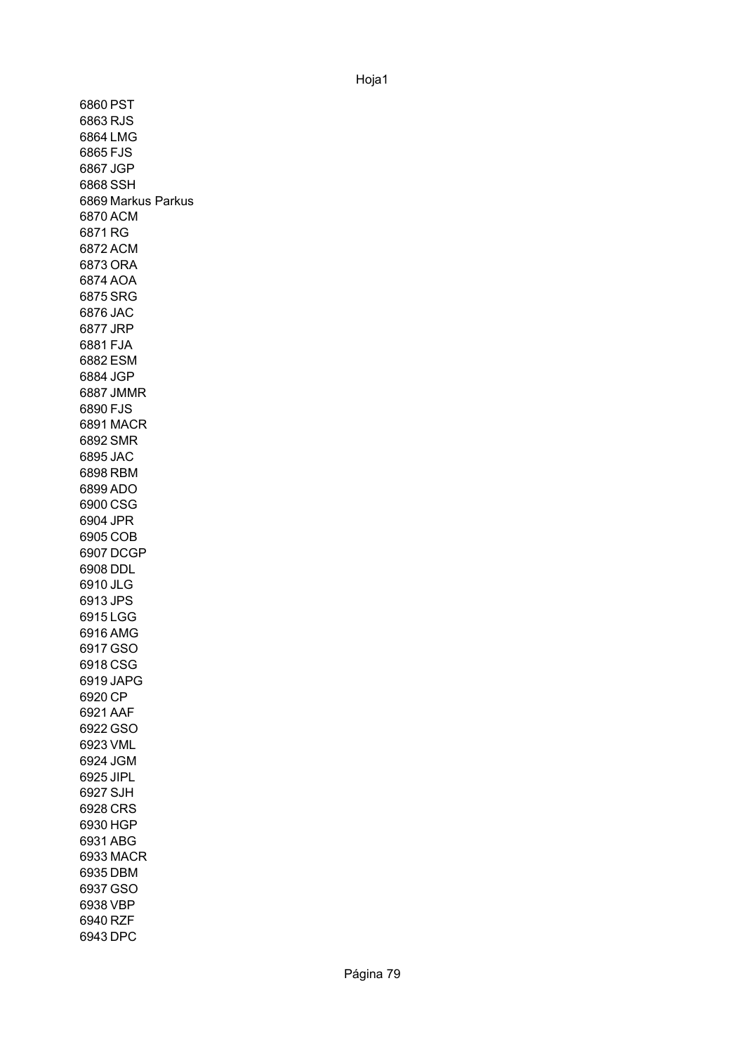6860 PST 6863 RJS 6864 LMG 6865 FJS 6867 JGP 6868 SSH 6869 Markus Parkus6870 ACM 6871 RG 6872 ACM 6873 ORA 6874 AOA 6875 SRG 6876 JAC 6877 JRP 6881 FJA 6882 ESM 6884 JGP 6887 JMMR 6890 FJS 6891 MACR 6892 SMR 6895 JAC 6898 RBM 6899 ADO 6900 CSG 6904 JPR 6905 COB 6907 DCGP 6908 DDL 6910 JLG 6913 JPS 6915 LGG 6916 AMG 6917 GSO 6918 CSG 6919 JAPG 6920 CP 6921 AAF 6922 GSO 6923 VML 6924 JGM 6925 JIPL 6927 SJH 6928 CRS 6930 HGP 6931 ABG 6933 MACR 6935 DBM 6937 GSO 6938 VBP 6940 RZF 6943 DPC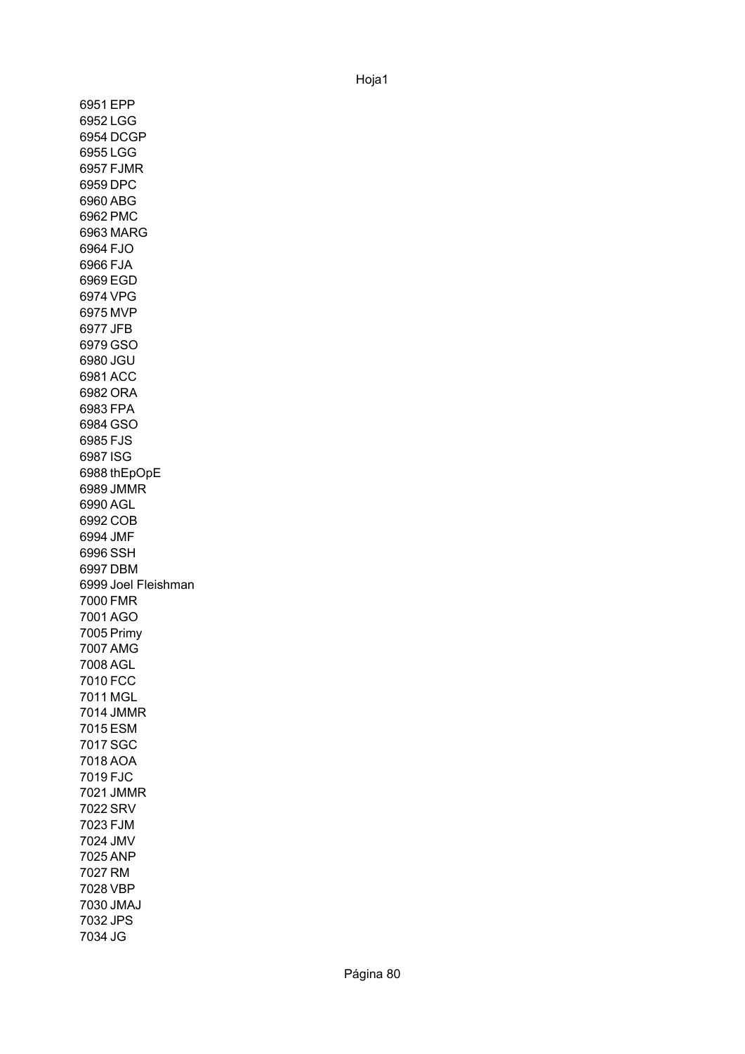6951 EPP 6952 LGG 6954 DCGP 6955 LGG 6957 FJMR 6959 DPC 6960 ABG 6962 PMC 6963 MARG 6964 FJO 6966 FJA 6969 EGD 6974 VPG 6975 MVP 6977 JFB 6979 GSO 6980 JGU 6981 ACC 6982 ORA 6983 FPA 6984 GSO 6985 FJS 6987 ISG 6988 thEpOpE 6989 JMMR 6990 AGL 6992 COB 6994 JMF 6996 SSH 6997 DBM 6999 Joel Fleishman 7000 FMR 7001 AGO 7005 Primy 7007 AMG 7008 AGL 7010 FCC 7011 MGL 7014 JMMR 7015 ESM 7017 SGC 7018 AOA 7019 FJC 7021 JMMR 7022 SRV 7023 FJM 7024 JMV 7025 ANP 7027 RM 7028 VBP 7030 JMAJ 7032 JPS 7034 JG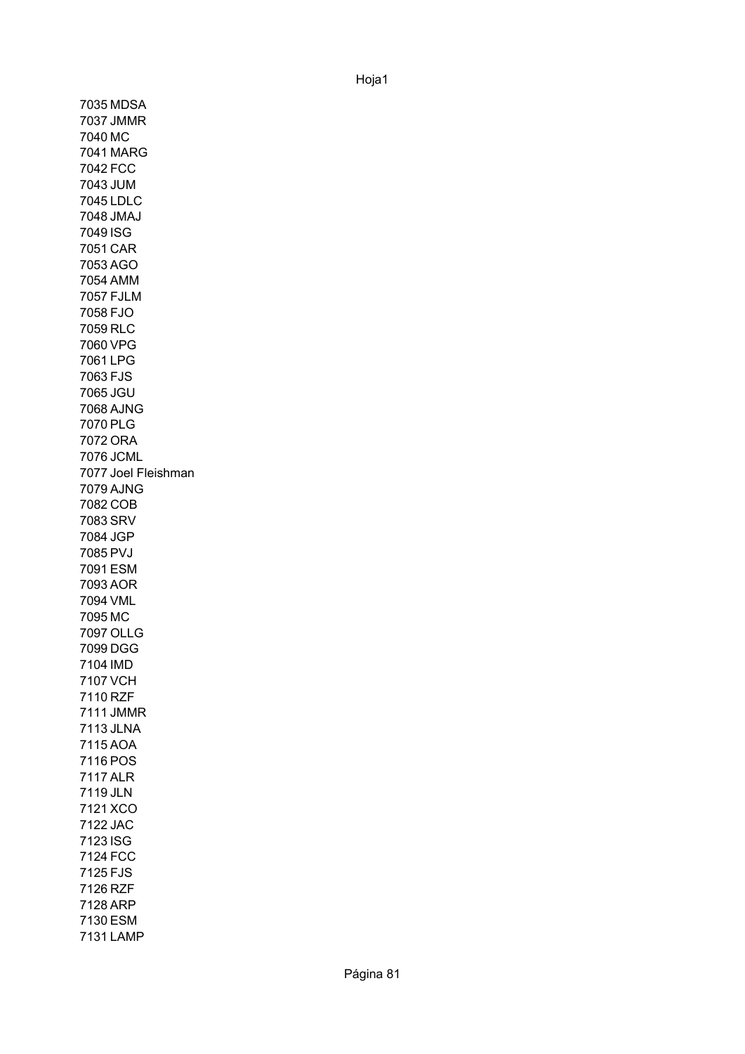7035 MDSA 7037 JMMR 7040 MC 7041 MARG 7042 FCC 7043 JUM 7045 LDLC 7048 JMAJ 7049 ISG 7051 CAR 7053 AGO 7054 AMM 7057 FJLM 7058 FJO 7059 RLC 7060 VPG 7061 LPG 7063 FJS 7065 JGU 7068 AJNG 7070 PLG 7072 ORA 7076 JCML 7077 Joel Fleishman 7079 AJNG 7082 COB 7083 SRV 7084 JGP 7085 PVJ 7091 ESM 7093 AOR 7094 VML 7095 MC 7097 OLLG 7099 DGG 7104 IMD 7107 VCH 7110 RZF 7111 JMMR 7113 JLNA 7115 AOA 7116 POS 7117 ALR 7119 JLN 7121 XCO 7122 JAC 7123 ISG 7124 FCC 7125 FJS 7126 RZF 7128 ARP 7130 ESM 7131 LAMP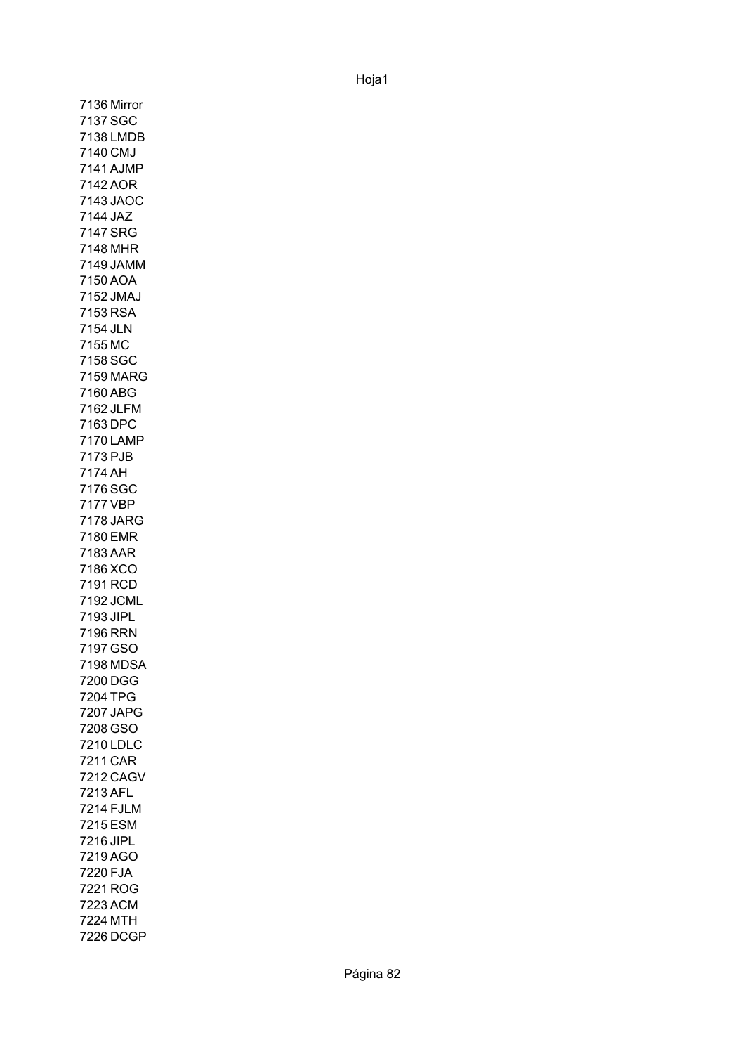7136 Mirror 7137 SGC 7138 LMDB 7140 CMJ 7141 AJMP 7142 AOR 7143 JAOC 7144 JAZ 7147 SRG 7148 MHR 7149 JAMM 7150 AOA 7152 JMAJ 7153 RSA 7154 JLN 7155 MC 7158 SGC 7159 MARG 7160 ABG 7162 JLFM 7163 DPC 7170 LAMP 7173 PJB 7174 AH 7176 SGC 7177 VBP 7178 JARG 7180 EMR 7183 AAR 7186 XCO 7191 RCD 7192 JCML 7193 JIPL 7196 RRN 7197 GSO 7198 MDSA 7200 DGG 7204 TPG 7207 JAPG 7208 GSO 7210 LDLC 7211 CAR 7212 CAGV 7213 AFL 7214 FJLM 7215 ESM 7216 JIPL 7219 AGO 7220 FJA 7221 ROG 7223 ACM 7224 MTH 7226 DCGP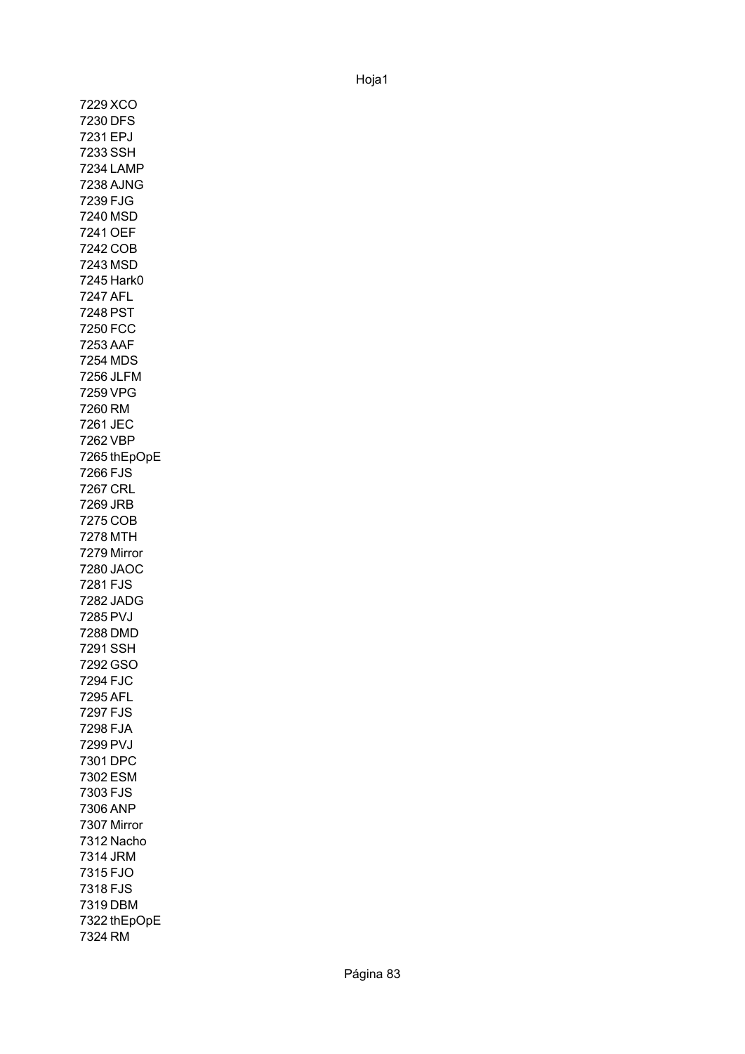7229 XCO 7230 DFS 7231 EPJ 7233 SSH 7234 LAMP 7238 AJNG 7239 FJG 7240 MSD 7241 OEF 7242 COB 7243 MSD 7245 Hark0 7247 AFL 7248 PST 7250 FCC 7253 AAF 7254 MDS 7256 JLFM 7259 VPG 7260 RM 7261 JEC 7262 VBP 7265 thEpOpE 7266 FJS 7267 CRL 7269 JRB 7275 COB 7278 MTH 7279 Mirror 7280 JAOC 7281 FJS 7282 JADG 7285 PVJ 7288 DMD 7291 SSH 7292 GSO 7294 FJC 7295 AFL 7297 FJS 7298 FJA 7299 PVJ 7301 DPC 7302 ESM 7303 FJS 7306 ANP 7307 Mirror 7312 Nacho 7314 JRM 7315 FJO 7318 FJS 7319 DBM 7322 thEpOpE 7324 RM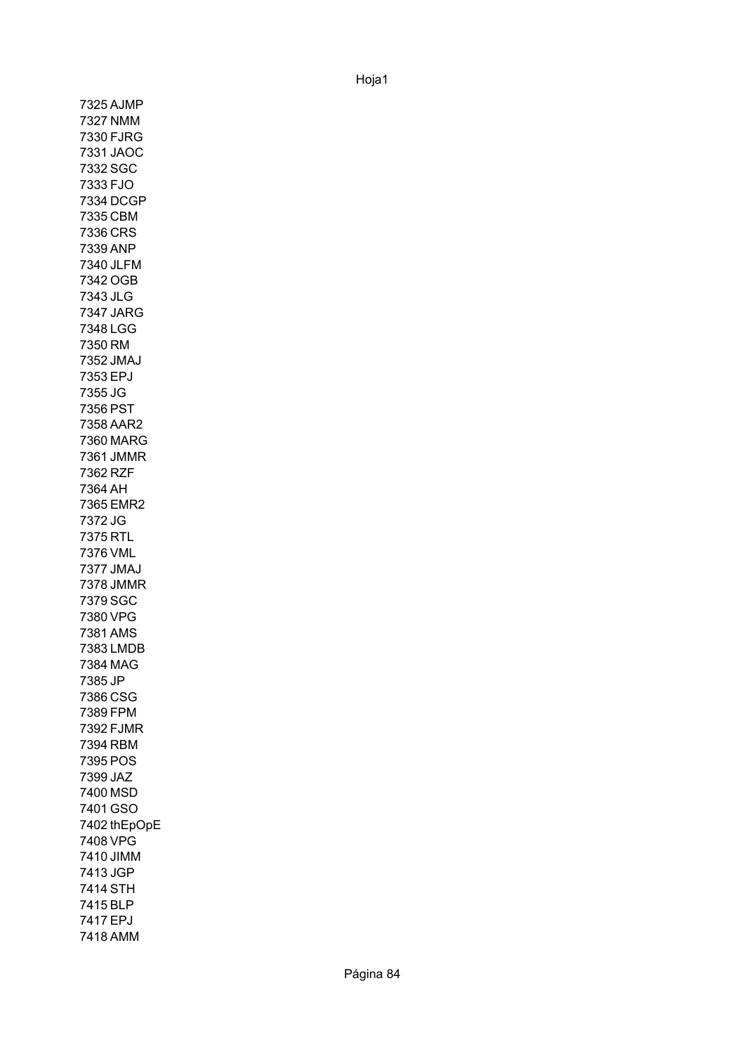7325 AJMP 7327 NMM 7330 FJRG 7331 JAOC 7332 SGC 7333 FJO 7334 DCGP 7335 CBM 7336 CRS 7339 ANP 7340 JLFM 7342 OGB 7343 JLG 7347 JARG 7348 LGG 7350 RM 7352 JMAJ 7353 EPJ 7355 JG 7356 PST 7358 AAR2 7360 MARG 7361 JMMR 7362 RZF 7364 AH 7365 EMR2 7372 JG 7375 RTL 7376 VML 7377 JMAJ 7378 JMMR 7379 SGC 7380 VPG 7381 AMS 7383 LMDB 7384 MAG 7385 JP 7386 CSG 7389 FPM 7392 FJMR 7394 RBM 7395 POS 7399 JAZ 7400 MSD 7401 GSO 7402 thEpOpE 7408 VPG 7410 JIMM 7413 JGP 7414 STH 7415 BLP 7417 EPJ 7418 AMM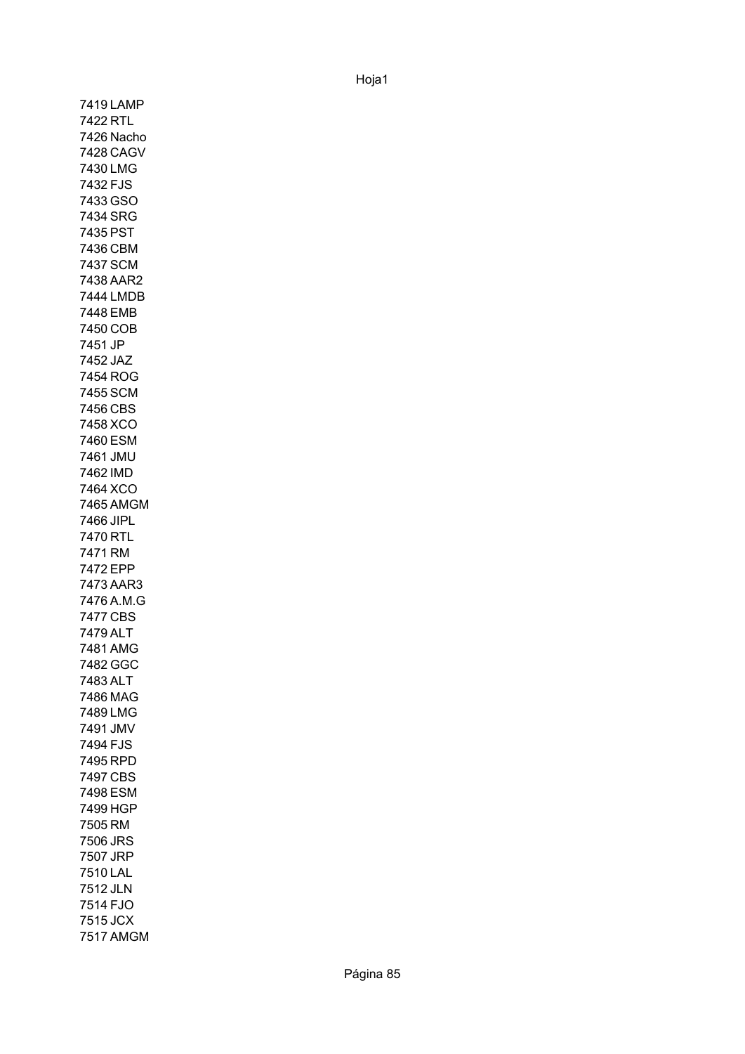7419 LAMP 7422 RTL 7426 Nacho 7428 CAGV 7430 LMG 7432 FJS 7433 GSO 7434 SRG 7435 PST 7436 CBM 7437 SCM 7438 AAR2 7444 LMDB 7448 EMB 7450 COB 7451 JP 7452 JAZ 7454 ROG 7455 SCM 7456 CBS 7458 XCO 7460 ESM 7461 JMU 7462 IMD 7464 XCO 7465 AMGM 7466 JIPL 7470 RTL 7471 RM 7472 EPP 7473 AAR3 7476 A.M.G 7477 CBS 7479 ALT 7481 AMG 7482 GGC 7483 ALT 7486 MAG 7489 LMG 7491 JMV 7494 FJS 7495 RPD 7497 CBS 7498 ESM 7499 HGP 7505 RM 7506 JRS 7507 JRP 7510 LAL 7512 JLN 7514 FJO 7515 JCX 7517 AMGM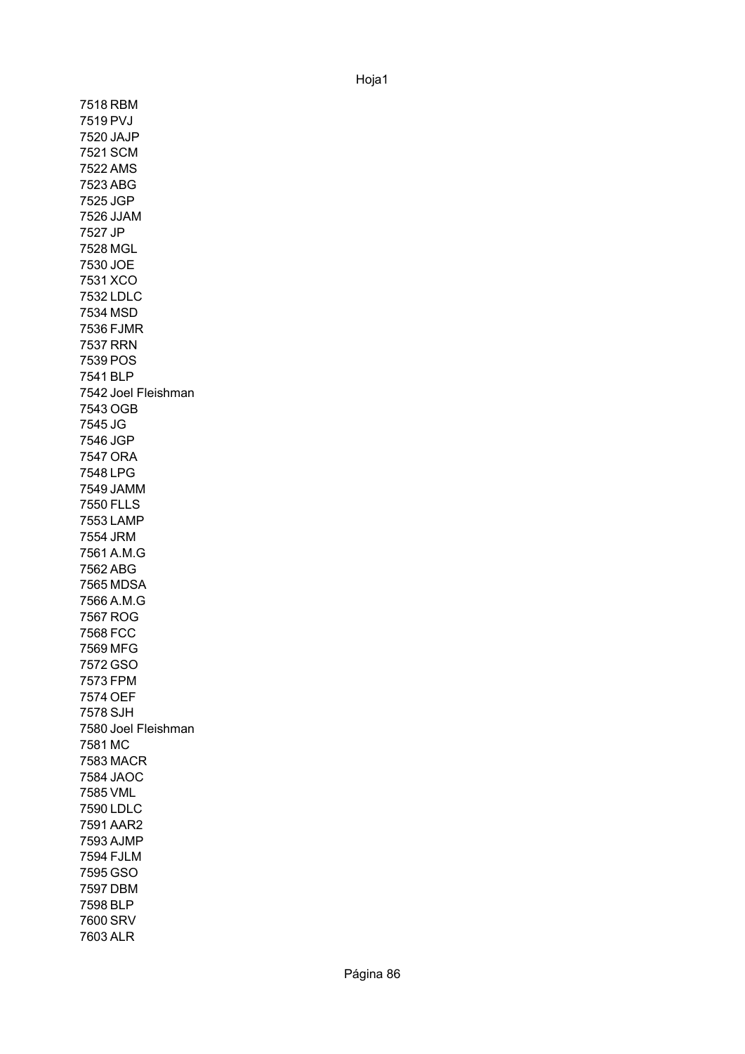7518 RBM 7519 PVJ 7520 JAJP 7521 SCM 7522 AMS 7523 ABG 7525 JGP 7526 JJAM 7527 JP 7528 MGL 7530 JOE 7531 XCO 7532 LDLC 7534 MSD 7536 FJMR 7537 RRN 7539 POS 7541 BLP 7542 Joel Fleishman 7543 OGB 7545 JG 7546 JGP 7547 ORA 7548 LPG 7549 JAMM 7550 FLLS 7553 LAMP 7554 JRM 7561 A.M.G 7562 ABG 7565 MDSA 7566 A.M.G 7567 ROG 7568 FCC 7569 MFG 7572 GSO 7573 FPM 7574 OEF 7578 SJH 7580 Joel Fleishman 7581 MC 7583 MACR 7584 JAOC 7585 VML 7590 LDLC 7591 AAR2 7593 AJMP 7594 FJLM 7595 GSO 7597 DBM 7598 BLP 7600 SRV 7603 ALR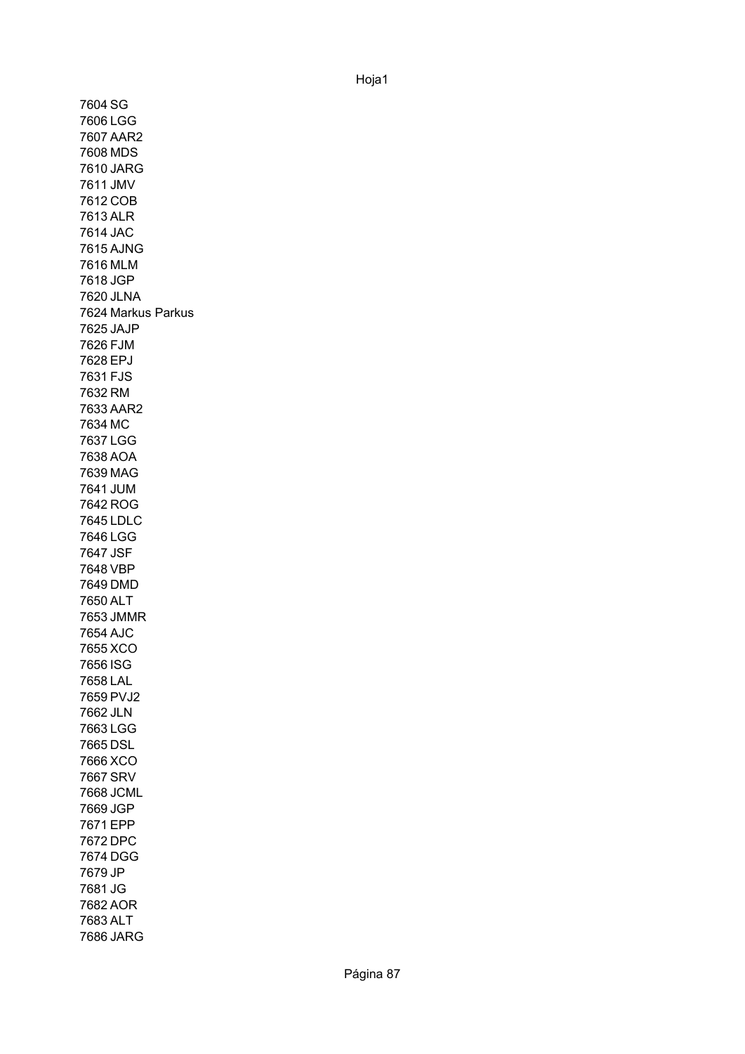7604 SG 7606 LGG 7607 AAR2 7608 MDS 7610 JARG 7611 JMV 7612 COB 7613 ALR 7614 JAC 7615 AJNG 7616 MLM 7618 JGP 7620 JLNA 7624 Markus Parkus 7625 JAJP 7626 FJM 7628 EPJ 7631 FJS 7632 RM 7633 AAR2 7634 MC 7637 LGG 7638 AOA 7639 MAG 7641 JUM 7642 ROG 7645 LDLC 7646 LGG 7647 JSF 7648 VBP 7649 DMD 7650 ALT 7653 JMMR 7654 AJC 7655 XCO 7656 ISG 7658 LAL 7659 PVJ2 7662 JLN 7663 LGG 7665 DSL 7666 XCO 7667 SRV 7668 JCML 7669 JGP 7671 EPP 7672 DPC 7674 DGG 7679 JP 7681 JG 7682 AOR 7683 ALT 7686 JARG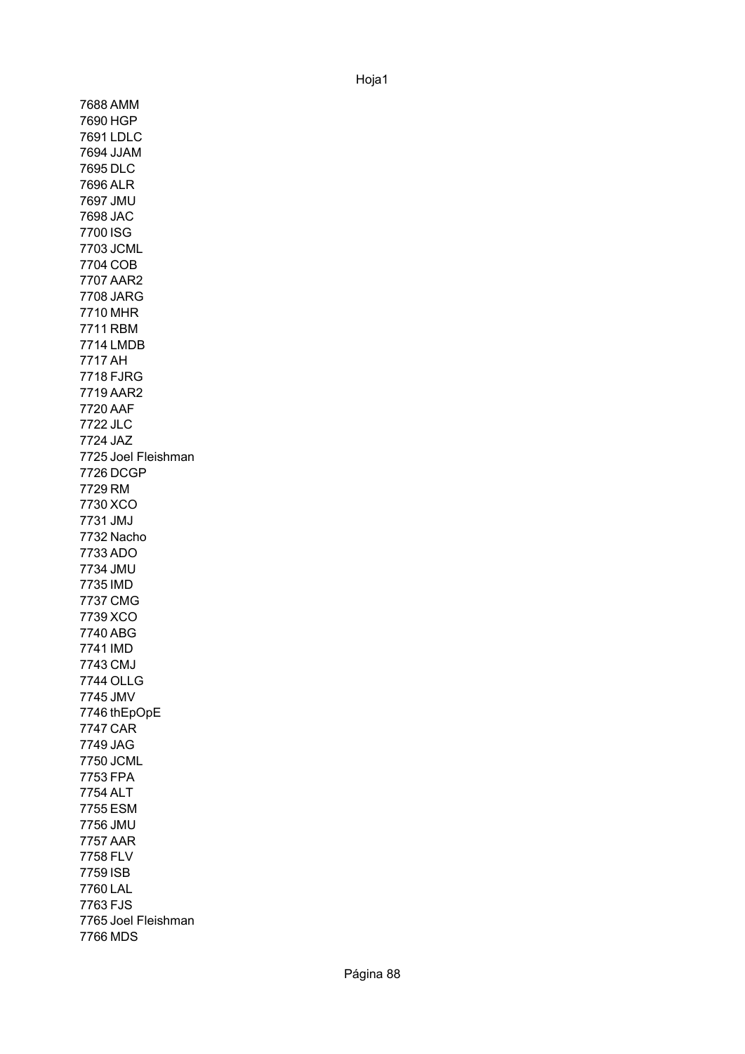7688 AMM 7690 HGP 7691 LDLC 7694 JJAM 7695 DLC 7696 ALR 7697 JMU 7698 JAC 7700 ISG 7703 JCML 7704 COB 7707 AAR2 7708 JARG 7710 MHR 7711 RBM 7714 LMDB 7717 AH 7718 FJRG 7719 AAR2 7720 AAF 7722 JLC 7724 JAZ 7725 Joel Fleishman 7726 DCGP 7729 RM 7730 XCO 7731 JMJ 7732 Nacho 7733 ADO 7734 JMU 7735 IMD 7737 CMG 7739 XCO 7740 ABG 7741 IMD 7743 CMJ 7744 OLLG 7745 JMV 7746 thEpOpE 7747 CAR 7749 JAG 7750 JCML 7753 FPA 7754 ALT 7755 ESM 7756 JMU 7757 AAR 7758 FLV 7759 ISB 7760 LAL 7763 FJS 7765 Joel Fleishman 7766 MDS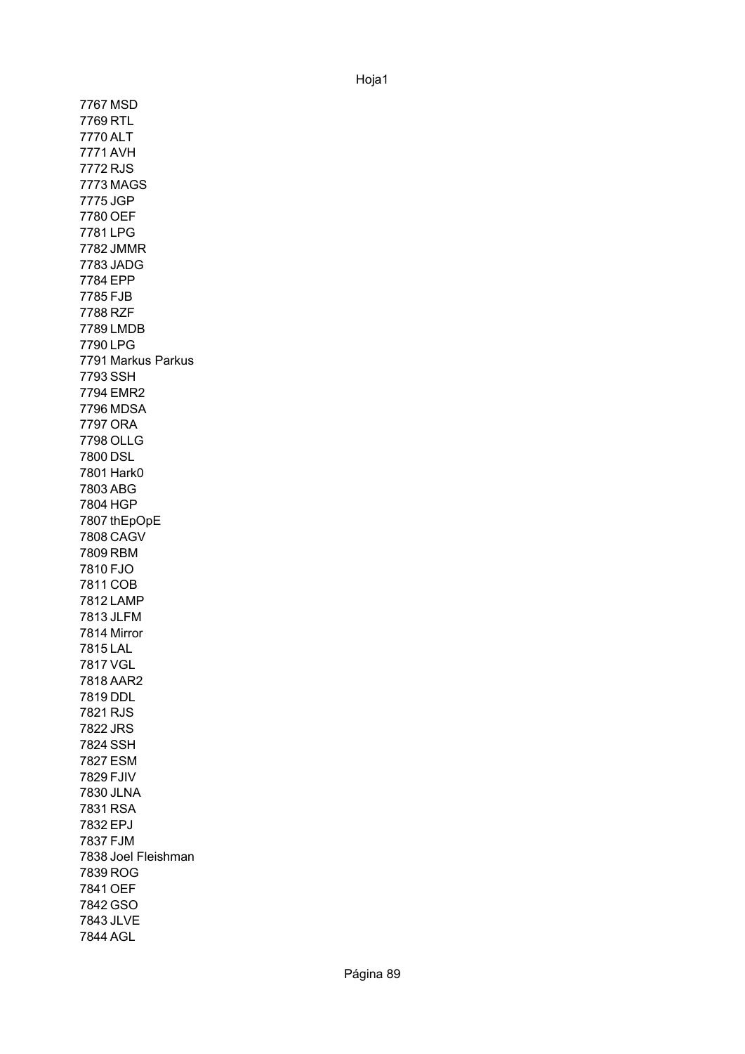7767 MSD 7769 RTL 7770 ALT 7771 AVH 7772 RJS 7773 MAGS 7775 JGP 7780 OEF 7781 LPG 7782 JMMR 7783 JADG 7784 EPP 7785 FJB 7788 RZF 7789 LMDB 7790 LPG 7791 Markus Parkus 7793 SSH 7794 EMR2 7796 MDSA 7797 ORA 7798 OLLG 7800 DSL 7801 Hark0 7803 ABG 7804 HGP 7807 thEpOpE 7808 CAGV 7809 RBM 7810 FJO 7811 COB 7812 LAMP 7813 JLFM 7814 Mirror 7815 LAL 7817 VGL 7818 AAR2 7819 DDL 7821 RJS 7822 JRS 7824 SSH 7827 ESM 7829 FJIV 7830 JLNA 7831 RSA 7832 EPJ 7837 FJM 7838 Joel Fleishman 7839 ROG 7841 OEF 7842 GSO 7843 JLVE 7844 AGL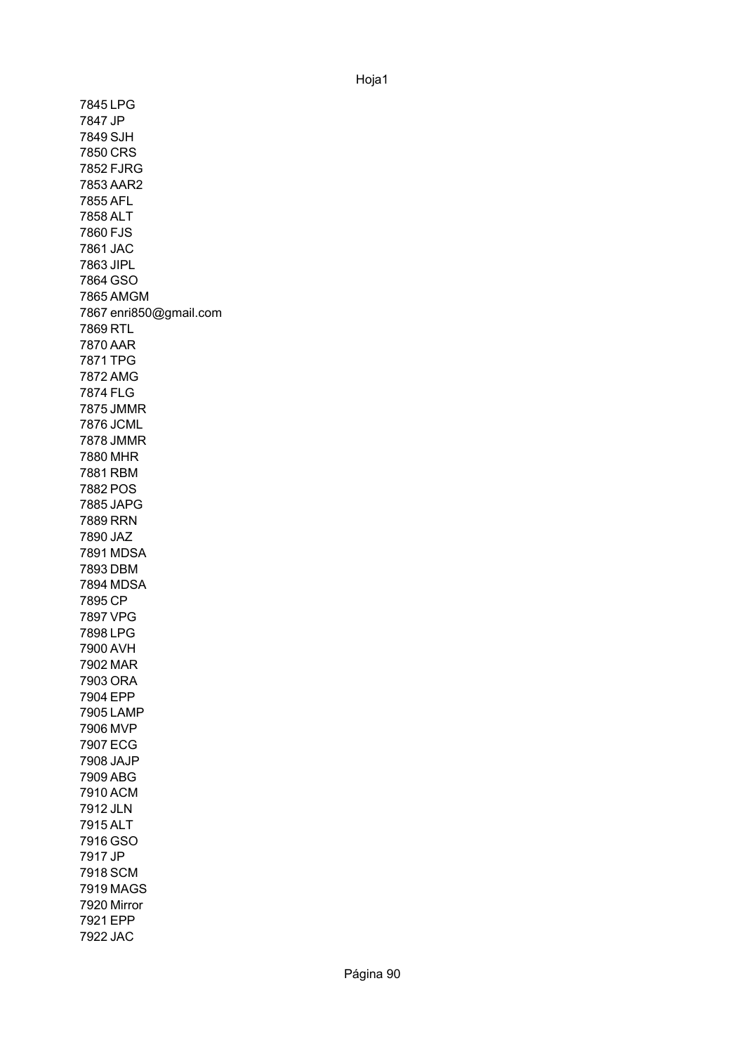7845 LPG 7847 JP 7849 SJH 7850 CRS 7852 FJRG 7853 AAR2 7855 AFL 7858 ALT 7860 FJS 7861 JAC 7863 JIPL 7864 GSO 7865 AMGM 7867 enri850@gmail.com 7869 RTL 7870 AAR 7871 TPG 7872 AMG 7874 FLG 7875 JMMR 7876 JCML 7878 JMMR 7880 MHR 7881 RBM 7882 POS 7885 JAPG 7889 RRN 7890 JAZ 7891 MDSA 7893 DBM 7894 MDSA 7895 CP 7897 VPG 7898 LPG 7900 AVH 7902 MAR 7903 ORA 7904 EPP 7905 LAMP 7906 MVP 7907 ECG 7908 JAJP 7909 ABG 7910 ACM 7912 JLN 7915 ALT 7916 GSO 7917 JP 7918 SCM 7919 MAGS 7920 Mirror 7921 EPP 7922 JAC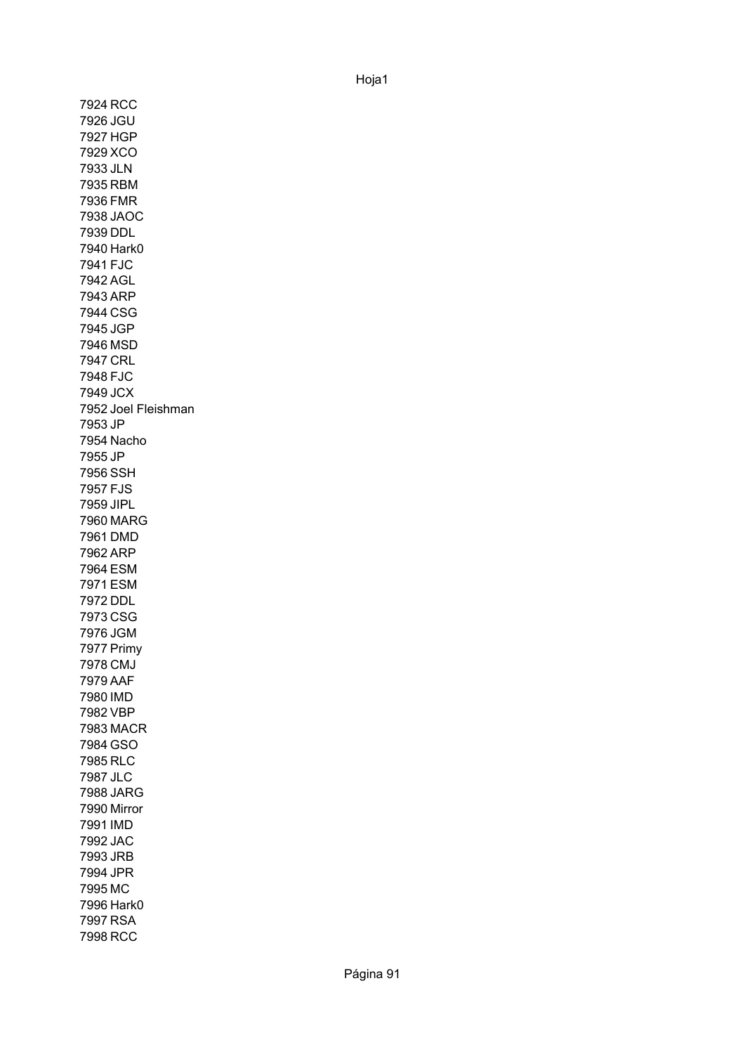7924 RCC 7926 JGU 7927 HGP 7929 XCO 7933 JLN 7935 RBM 7936 FMR 7938 JAOC 7939 DDL 7940 Hark0 7941 FJC 7942 AGL 7943 ARP 7944 CSG 7945 JGP 7946 MSD 7947 CRL 7948 FJC 7949 JCX 7952 Joel Fleishman 7953 JP 7954 Nacho 7955 JP 7956 SSH 7957 FJS 7959 JIPL 7960 MARG 7961 DMD 7962 ARP 7964 ESM 7971 ESM 7972 DDL 7973 CSG 7976 JGM 7977 Primy 7978 CMJ 7979 AAF 7980 IMD 7982 VBP 7983 MACR 7984 GSO 7985 RLC 7987 JLC 7988 JARG 7990 Mirror 7991 IMD 7992 JAC 7993 JRB 7994 JPR 7995 MC 7996 Hark0 7997 RSA 7998 RCC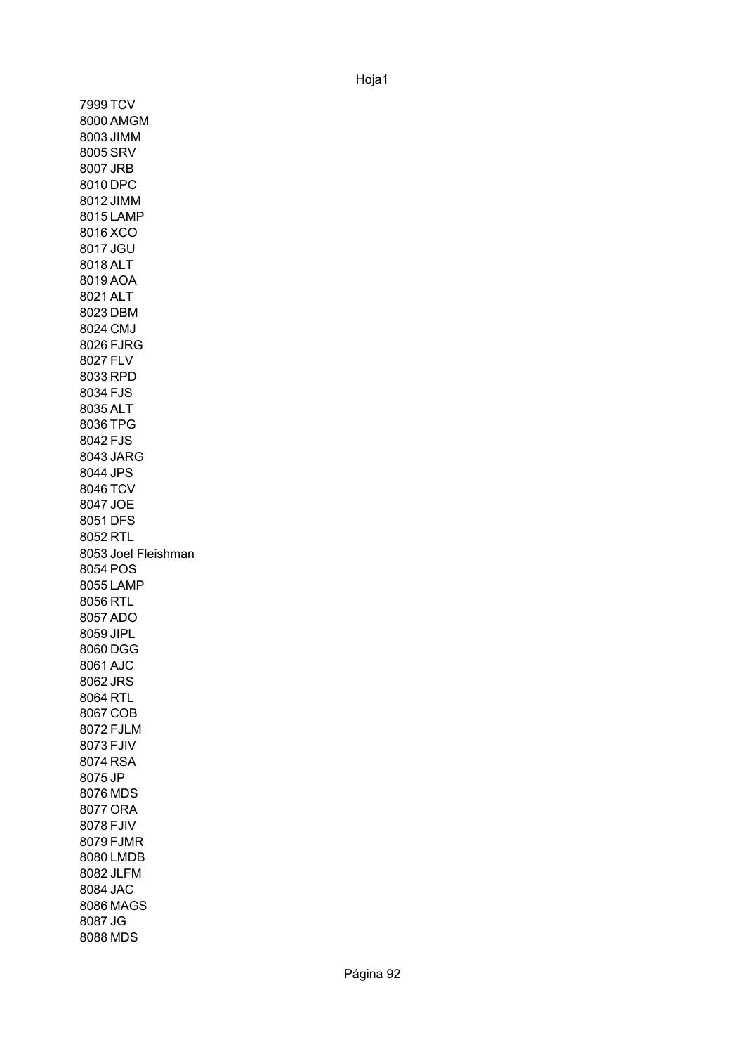7999 TCV 8000 AMGM 8003 JIMM 8005 SRV 8007 JRB 8010 DPC 8012 JIMM 8015 LAMP 8016 XCO 8017 JGU 8018 ALT 8019 AOA 8021 ALT 8023 DBM 8024 CMJ 8026 FJRG 8027 FLV 8033 RPD 8034 FJS 8035 ALT 8036 TPG 8042 FJS 8043 JARG 8044 JPS 8046 TCV 8047 JOE 8051 DFS 8052 RTL 8053 Joel Fleishman8054 POS 8055 LAMP 8056 RTL 8057 ADO 8059 JIPL 8060 DGG 8061 AJC 8062 JRS 8064 RTL 8067 COB 8072 FJLM 8073 FJIV 8074 RSA 8075 JP 8076 MDS 8077 ORA 8078 FJIV 8079 FJMR 8080 LMDB 8082 JLFM 8084 JAC 8086 MAGS 8087 JG 8088 MDS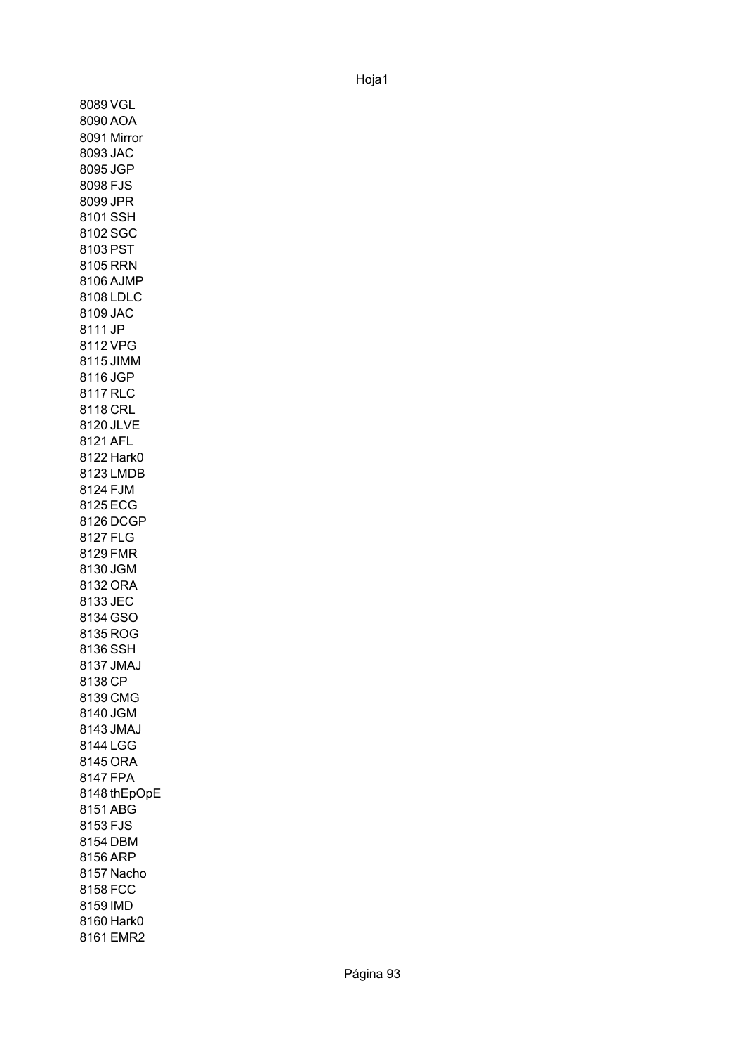8089 VGL 8090 AOA 8091 Mirror8093 JAC 8095 JGP 8098 FJS 8099 JPR 8101 SSH 8102 SGC 8103 PST 8105 RRN 8106 AJMP 8108 LDLC 8109 JAC 8111 JP 8112 VPG 8115 JIMM 8116 JGP 8117 RLC 8118 CRL 8120 JLVE 8121 AFL 8122 Hark0 8123 LMDB 8124 FJM 8125 ECG 8126 DCGP 8127 FLG 8129 FMR 8130 JGM 8132 ORA 8133 JEC 8134 GSO 8135 ROG 8136 SSH 8137 JMAJ 8138 CP 8139 CMG 8140 JGM 8143 JMAJ 8144 LGG 8145 ORA 8147 FPA 8148 thEpOpE 8151 ABG 8153 FJS 8154 DBM 8156 ARP 8157 Nacho 8158 FCC 8159 IMD 8160 Hark0 8161 EMR2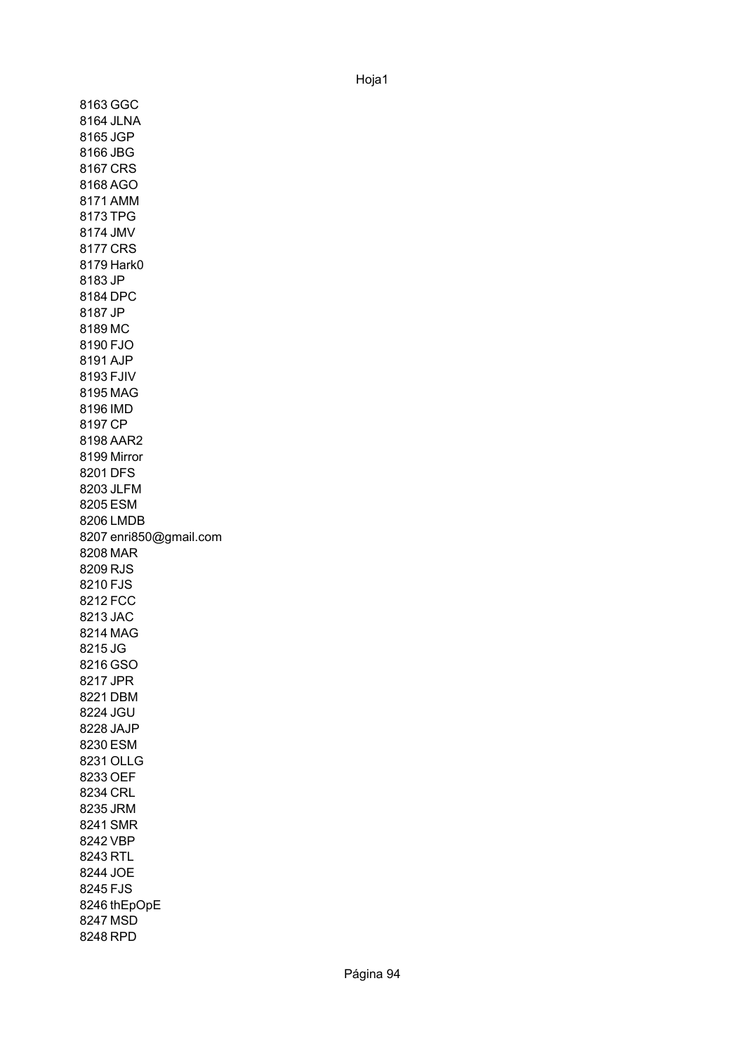8163 GGC 8164 JLNA 8165 JGP 8166 JBG 8167 CRS 8168 AGO 8171 AMM 8173 TPG 8174 JMV 8177 CRS 8179 Hark0 8183 JP 8184 DPC 8187 JP 8189 MC 8190 FJO 8191 AJP 8193 FJIV 8195 MAG 8196 IMD 8197 CP 8198 AAR2 8199 Mirror 8201 DFS 8203 JLFM 8205 ESM 8206 LMDB 8207 enri850@gmail.com 8208 MAR 8209 RJS 8210 FJS 8212 FCC 8213 JAC 8214 MAG 8215 JG 8216 GSO 8217 JPR 8221 DBM 8224 JGU 8228 JAJP 8230 ESM 8231 OLLG 8233 OEF 8234 CRL 8235 JRM 8241 SMR 8242 VBP 8243 RTL 8244 JOE 8245 FJS 8246 thEpOpE 8247 MSD 8248 RPD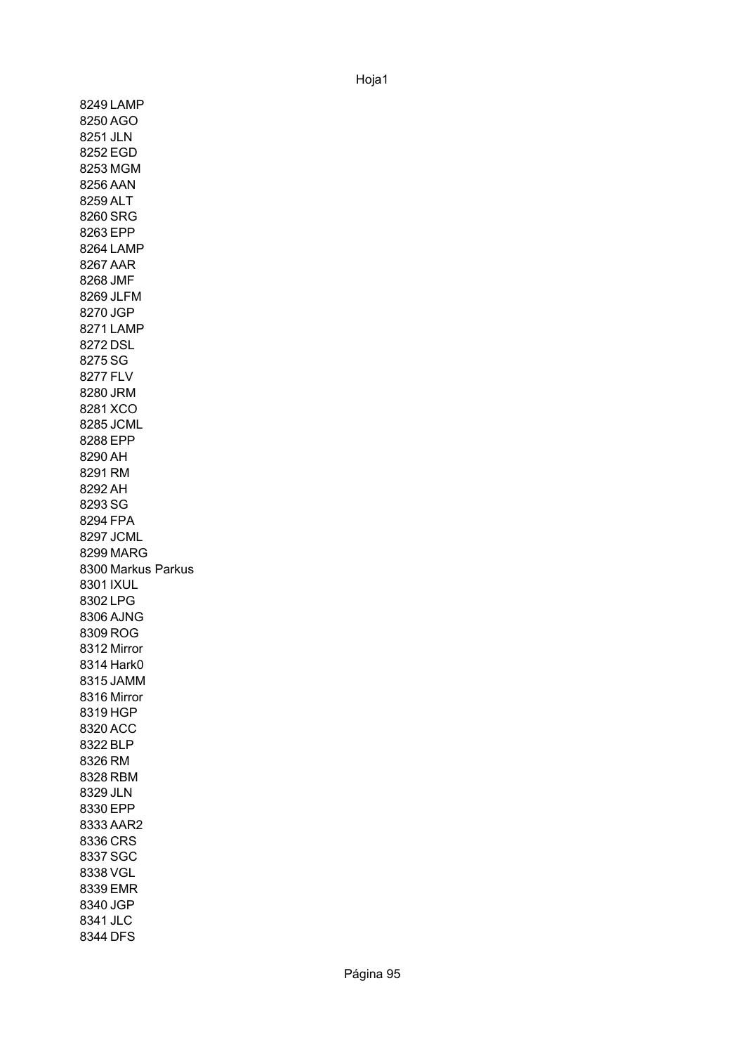8249 LAMP 8250 AGO 8251 JLN 8252 EGD 8253 MGM 8256 AAN 8259 ALT 8260 SRG 8263 EPP 8264 LAMP 8267 AAR 8268 JMF 8269 JLFM 8270 JGP 8271 LAMP 8272 DSL 8275 SG 8277 FLV 8280 JRM 8281 XCO 8285 JCML 8288 EPP 8290 AH 8291 RM 8292 AH 8293 SG 8294 FPA 8297 JCML 8299 MARG 8300 Markus Parkus 8301 IXUL 8302 LPG 8306 AJNG 8309 ROG 8312 Mirror 8314 Hark0 8315 JAMM 8316 Mirror 8319 HGP 8320 ACC 8322 BLP 8326 RM 8328 RBM 8329 JLN 8330 EPP 8333 AAR2 8336 CRS 8337 SGC 8338 VGL 8339 EMR 8340 JGP 8341 JLC 8344 DFS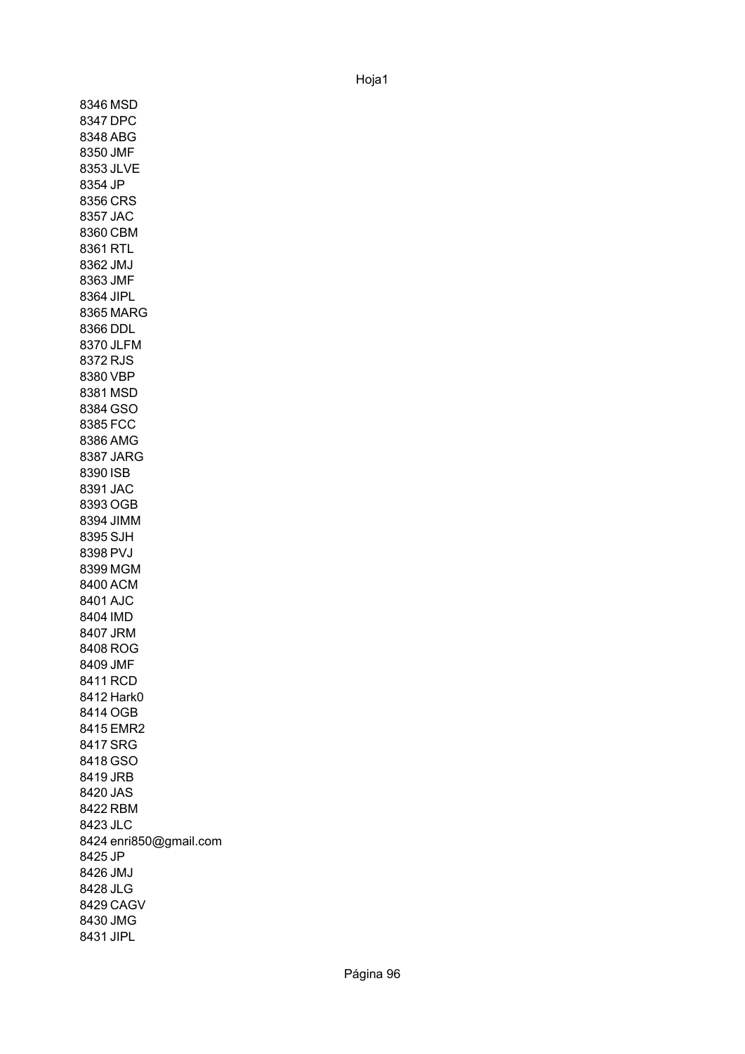8346 MSD 8347 DPC 8348 ABG 8350 JMF 8353 JLVE 8354 JP 8356 CRS 8357 JAC 8360 CBM 8361 RTL 8362 JMJ 8363 JMF 8364 JIPL 8365 MARG 8366 DDL 8370 JLFM 8372 RJS 8380 VBP 8381 MSD 8384 GSO 8385 FCC 8386 AMG 8387 JARG 8390 ISB 8391 JAC 8393 OGB 8394 JIMM 8395 SJH 8398 PVJ 8399 MGM 8400 ACM 8401 AJC 8404 IMD 8407 JRM 8408 ROG 8409 JMF 8411 RCD 8412 Hark0 8414 OGB 8415 EMR2 8417 SRG 8418 GSO 8419 JRB 8420 JAS 8422 RBM 8423 JLC 8424 enri850@gmail.com 8425 JP 8426 JMJ 8428 JLG 8429 CAGV 8430 JMG 8431 JIPL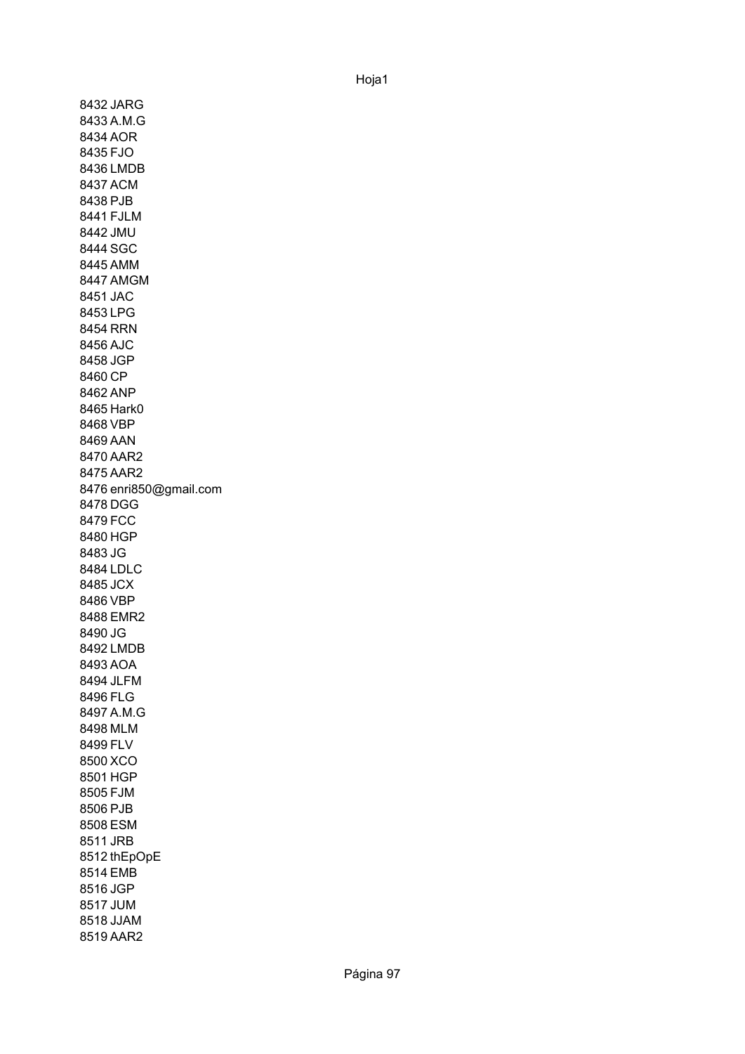8432 JARG 8433 A.M.G 8434 AOR 8435 FJO 8436 LMDB 8437 ACM 8438 PJB 8441 FJLM 8442 JMU 8444 SGC 8445 AMM 8447 AMGM 8451 JAC 8453 LPG 8454 RRN 8456 AJC 8458 JGP 8460 CP 8462 ANP 8465 Hark0 8468 VBP 8469 AAN 8470 AAR2 8475 AAR2 8476 enri850@gmail.com 8478 DGG 8479 FCC 8480 HGP 8483 JG 8484 LDLC 8485 JCX 8486 VBP 8488 EMR2 8490 JG 8492 LMDB 8493 AOA 8494 JLFM 8496 FLG 8497 A.M.G 8498 MLM 8499 FLV 8500 XCO 8501 HGP 8505 FJM 8506 PJB 8508 ESM 8511 JRB 8512 thEpOpE 8514 EMB 8516 JGP 8517 JUM 8518 JJAM 8519 AAR2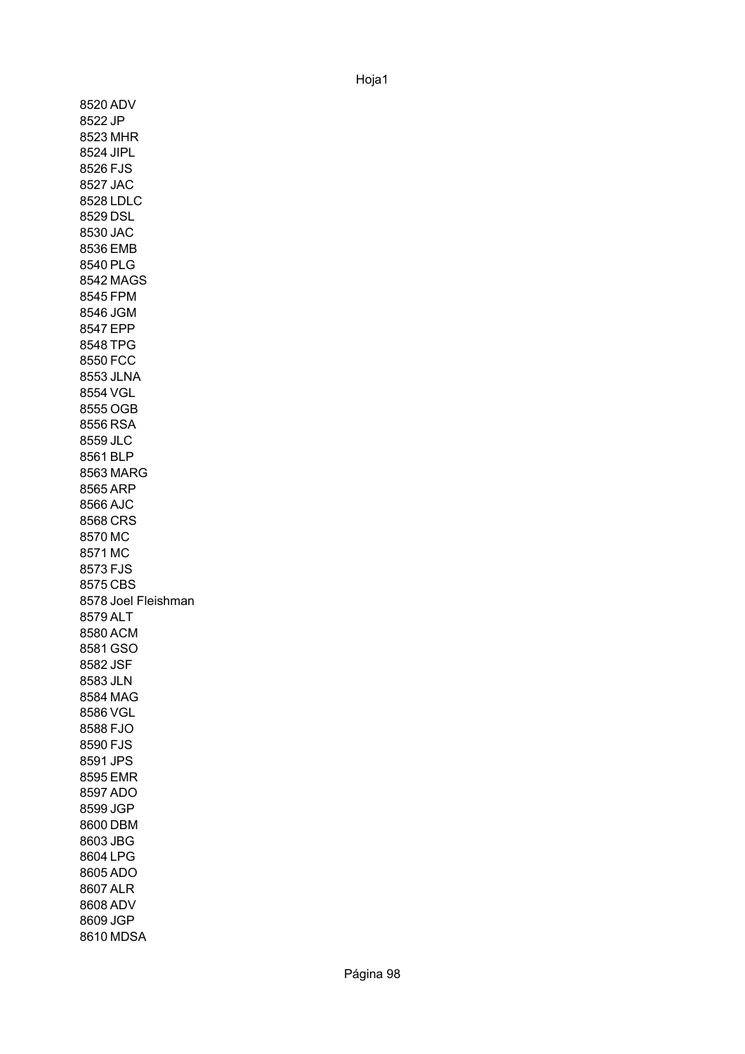8520 ADV 8522 JP 8523 MHR 8524 JIPL 8526 FJS 8527 JAC 8528 LDLC 8529 DSL 8530 JAC 8536 EMB 8540 PLG 8542 MAGS 8545 FPM 8546 JGM 8547 EPP 8548 TPG 8550 FCC 8553 JLNA 8554 VGL 8555 OGB 8556 RSA 8559 JLC 8561 BLP 8563 MARG 8565 ARP 8566 AJC 8568 CRS 8570 MC 8571 MC 8573 FJS 8575 CBS 8578 Joel Fleishman 8579 ALT 8580 ACM 8581 GSO 8582 JSF 8583 JLN 8584 MAG 8586 VGL 8588 FJO 8590 FJS 8591 JPS 8595 EMR 8597 ADO 8599 JGP 8600 DBM 8603 JBG 8604 LPG 8605 ADO 8607 ALR 8608 ADV 8609 JGP 8610 MDSA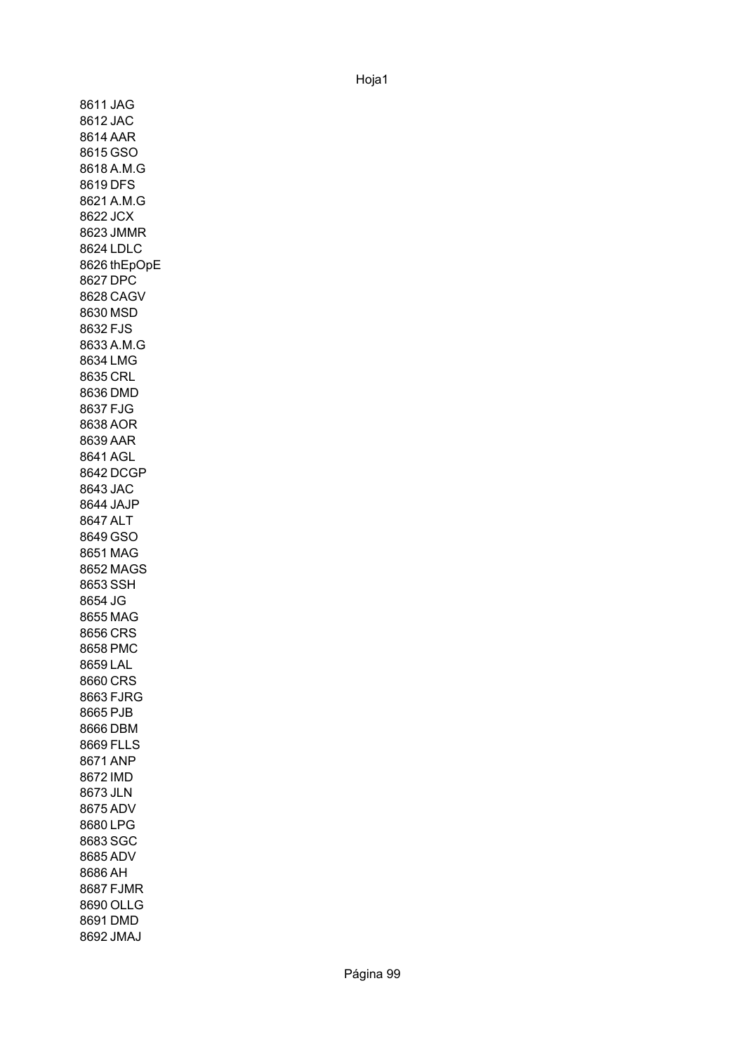8611 JAG 8612 JAC 8614 AAR 8615 GSO 8618 A.M.G 8619 DFS 8621 A.M.G 8622 JCX 8623 JMMR 8624 LDLC 8626 thEpOpE 8627 DPC 8628 CAGV 8630 MSD 8632 FJS 8633 A.M.G 8634 LMG 8635 CRL 8636 DMD 8637 FJG 8638 AOR 8639 AAR 8641 AGL 8642 DCGP 8643 JAC 8644 JAJP 8647 ALT 8649 GSO 8651 MAG 8652 MAGS 8653 SSH 8654 JG 8655 MAG 8656 CRS 8658 PMC 8659 LAL 8660 CRS 8663 FJRG 8665 PJB 8666 DBM 8669 FLLS 8671 ANP 8672 IMD 8673 JLN 8675 ADV 8680 LPG 8683 SGC 8685 ADV 8686 AH 8687 FJMR 8690 OLLG 8691 DMD 8692 JMAJ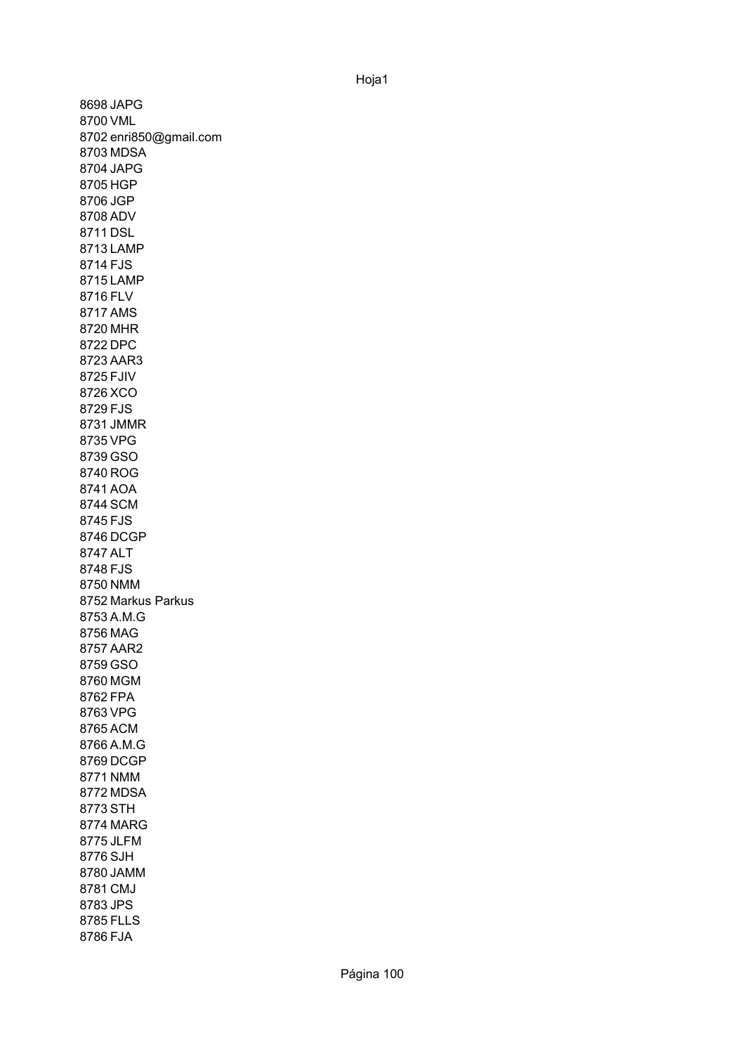8698 JAPG 8700 VML 8702 enri850@gmail.com 8703 MDSA 8704 JAPG 8705 HGP 8706 JGP 8708 ADV 8711 DSL 8713 LAMP 8714 FJS 8715 LAMP 8716 FLV 8717 AMS 8720 MHR 8722 DPC 8723 AAR3 8725 FJIV 8726 XCO 8729 FJS 8731 JMMR 8735 VPG 8739 GSO 8740 ROG 8741 AOA 8744 SCM 8745 FJS 8746 DCGP 8747 ALT 8748 FJS 8750 NMM 8752 Markus Parkus 8753 A.M.G 8756 MAG 8757 AAR2 8759 GSO 8760 MGM 8762 FPA 8763 VPG 8765 ACM 8766 A.M.G 8769 DCGP 8771 NMM 8772 MDSA 8773 STH 8774 MARG 8775 JLFM 8776 SJH 8780 JAMM 8781 CMJ 8783 JPS 8785 FLLS 8786 FJA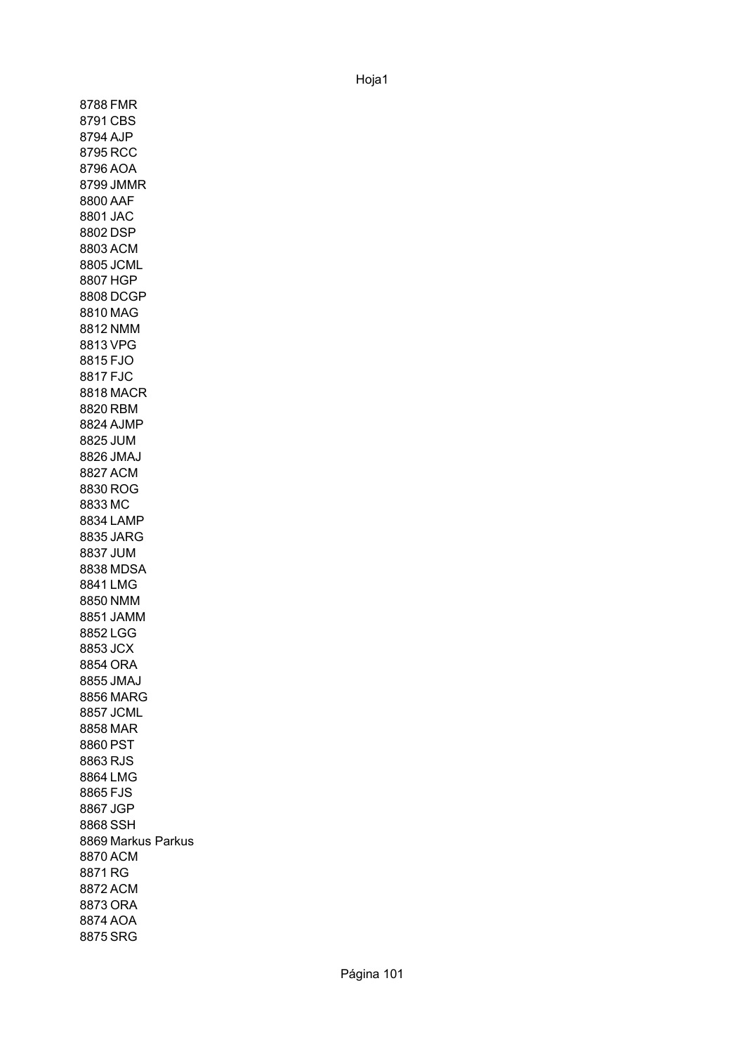8788 FMR 8791 CBS 8794 AJP 8795 RCC 8796 AOA 8799 JMMR 8800 AAF 8801 JAC 8802 DSP 8803 ACM 8805 JCML 8807 HGP 8808 DCGP 8810 MAG 8812 NMM 8813 VPG 8815 FJO 8817 FJC 8818 MACR 8820 RBM 8824 AJMP 8825 JUM 8826 JMAJ 8827 ACM 8830 ROG 8833 MC 8834 LAMP 8835 JARG 8837 JUM 8838 MDSA 8841 LMG 8850 NMM 8851 JAMM 8852 LGG 8853 JCX 8854 ORA 8855 JMAJ 8856 MARG 8857 JCML 8858 MAR 8860 PST 8863 RJS 8864 LMG 8865 FJS 8867 JGP 8868 SSH 8869 Markus Parkus 8870 ACM 8871 RG 8872 ACM 8873 ORA 8874 AOA 8875 SRG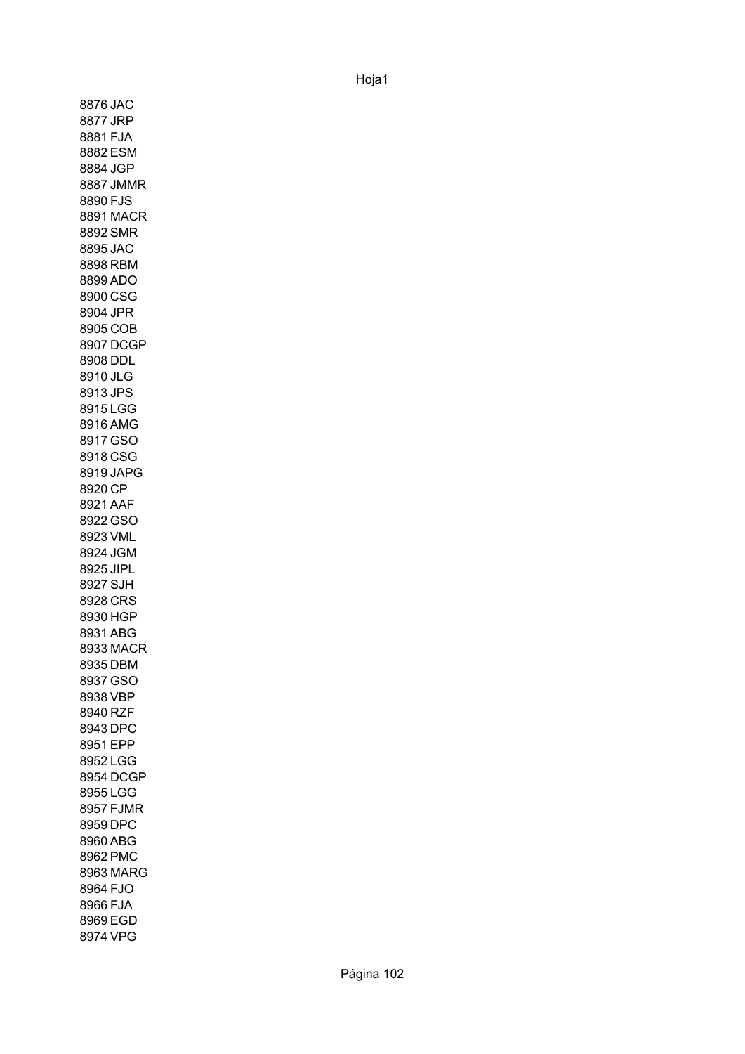8876 JAC 8877 JRP 8881 FJA 8882 ESM 8884 JGP 8887 JMMR 8890 FJS 8891 MACR 8892 SMR 8895 JAC 8898 RBM 8899 ADO 8900 CSG 8904 JPR 8905 COB 8907 DCGP 8908 DDL 8910 JLG 8913 JPS 8915 LGG 8916 AMG 8917 GSO 8918 CSG 8919 JAPG 8920 CP 8921 AAF 8922 GSO 8923 VML 8924 JGM 8925 JIPL 8927 SJH 8928 CRS 8930 HGP 8931 ABG 8933 MACR 8935 DBM 8937 GSO 8938 VBP 8940 RZF 8943 DPC 8951 EPP 8952 LGG 8954 DCGP 8955 LGG 8957 FJMR 8959 DPC 8960 ABG 8962 PMC 8963 MARG 8964 FJO 8966 FJA 8969 EGD 8974 VPG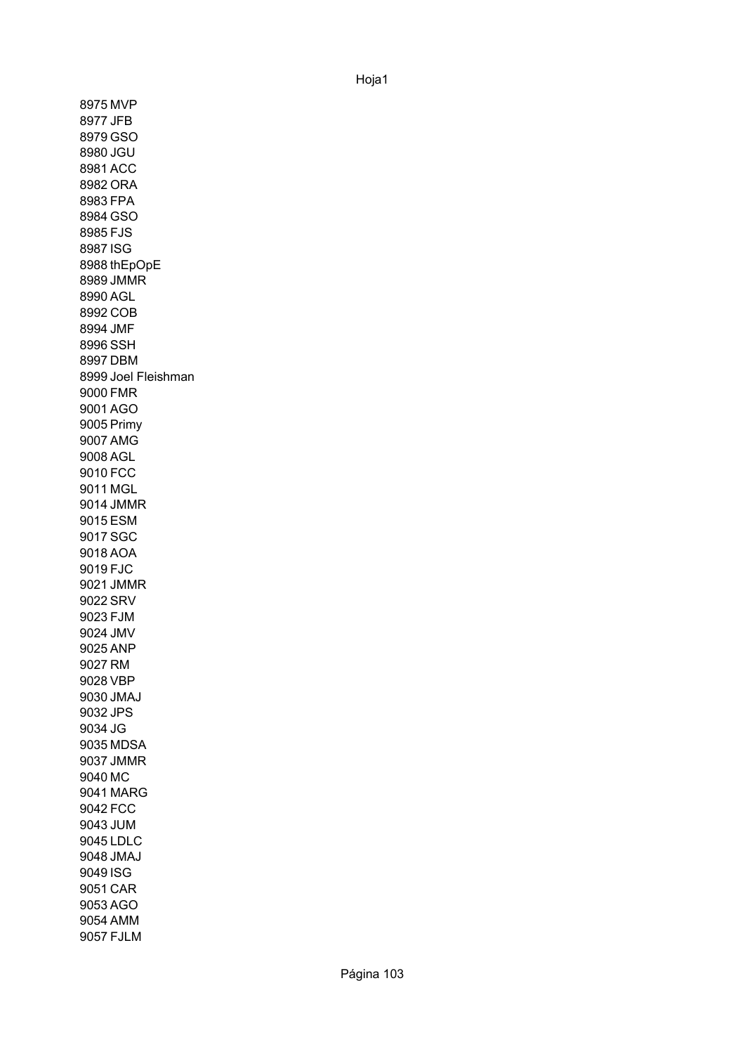8975 MVP 8977 JFB 8979 GSO 8980 JGU 8981 ACC 8982 ORA 8983 FPA 8984 GSO 8985 FJS 8987 ISG 8988 thEpOpE 8989 JMMR 8990 AGL 8992 COB 8994 JMF 8996 SSH 8997 DBM 8999 Joel Fleishman 9000 FMR 9001 AGO 9005 Primy 9007 AMG 9008 AGL 9010 FCC 9011 MGL 9014 JMMR 9015 ESM 9017 SGC 9018 AOA 9019 FJC 9021 JMMR 9022 SRV 9023 FJM 9024 JMV 9025 ANP 9027 RM 9028 VBP 9030 JMAJ 9032 JPS 9034 JG 9035 MDSA 9037 JMMR 9040 MC 9041 MARG 9042 FCC 9043 JUM 9045 LDLC 9048 JMAJ 9049 ISG 9051 CAR 9053 AGO 9054 AMM 9057 FJLM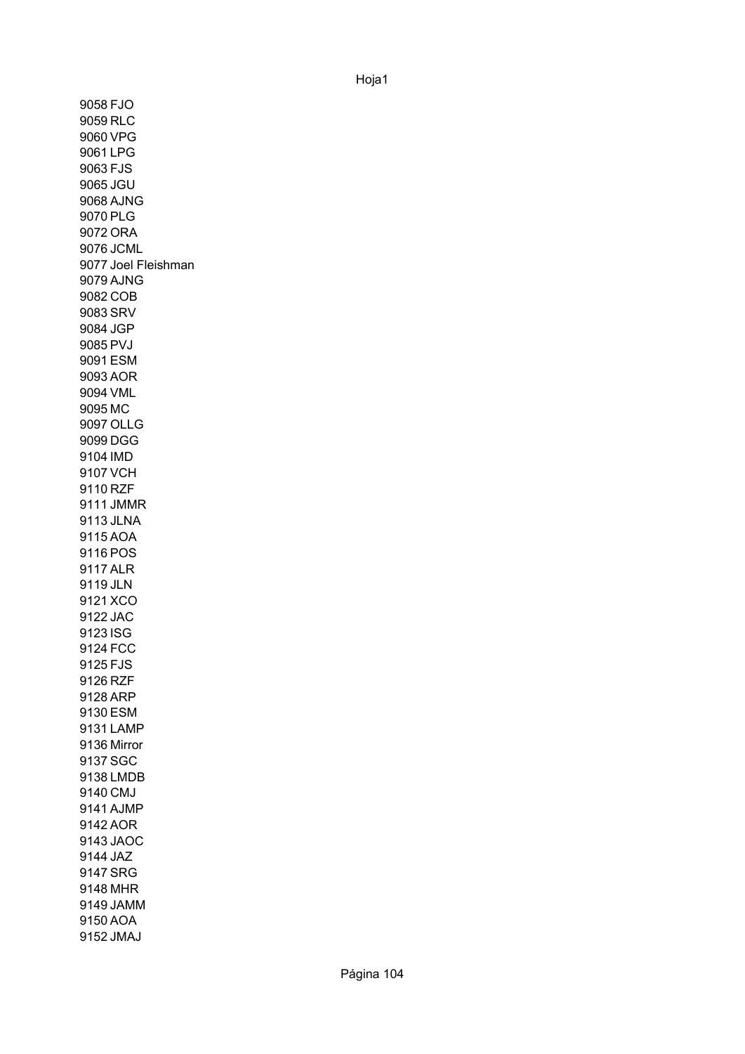9058 FJO 9059 RLC 9060 VPG 9061 LPG 9063 FJS 9065 JGU 9068 AJNG 9070 PLG 9072 ORA 9076 JCML 9077 Joel Fleishman 9079 AJNG 9082 COB 9083 SRV 9084 JGP 9085 PVJ 9091 ESM 9093 AOR 9094 VML 9095 MC 9097 OLLG 9099 DGG 9104 IMD 9107 VCH 9110 RZF 9111 JMMR 9113 JLNA 9115 AOA 9116 POS 9117 ALR 9119 JLN 9121 XCO 9122 JAC 9123 ISG 9124 FCC 9125 FJS 9126 RZF 9128 ARP 9130 ESM 9131 LAMP 9136 Mirror 9137 SGC 9138 LMDB 9140 CMJ 9141 AJMP 9142 AOR 9143 JAOC 9144 JAZ 9147 SRG 9148 MHR 9149 JAMM 9150 AOA 9152 JMAJ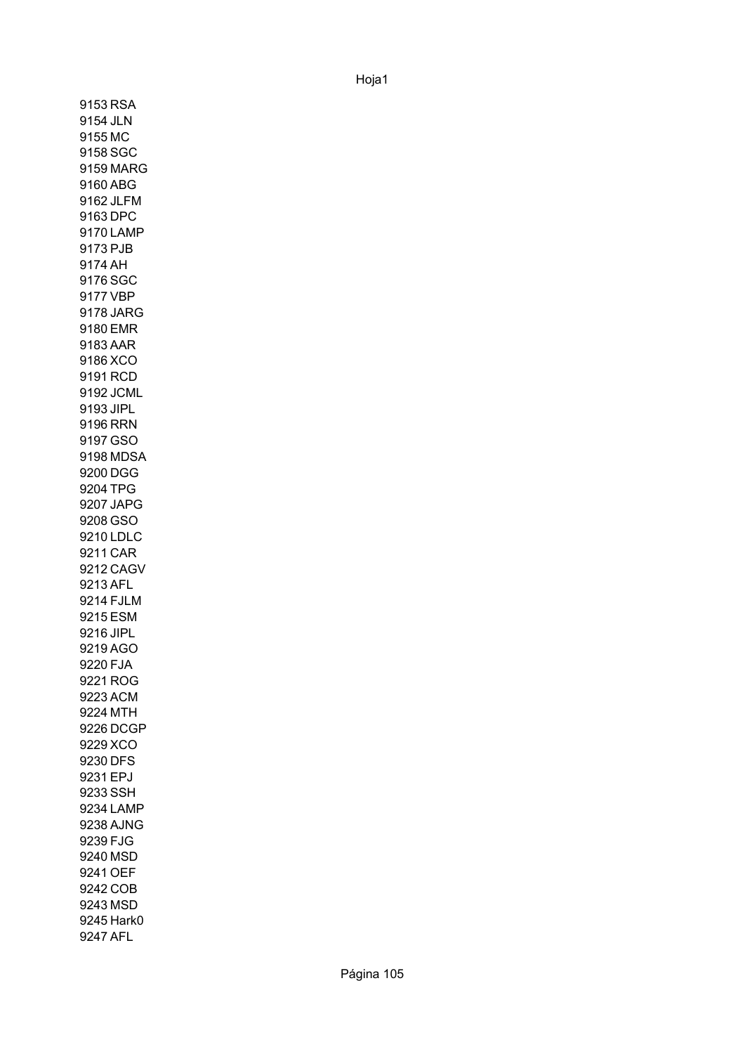9153 RSA 9154 JLN 9155 MC 9158 SGC 9159 MARG 9160 ABG 9162 JLFM 9163 DPC 9170 LAMP 9173 PJB 9174 AH 9176 SGC 9177 VBP 9178 JARG 9180 EMR 9183 AAR 9186 XCO 9191 RCD 9192 JCML 9193 JIPL 9196 RRN 9197 GSO 9198 MDSA 9200 DGG 9204 TPG 9207 JAPG 9208 GSO 9210 LDLC 9211 CAR 9212 CAGV 9213 AFL 9214 FJLM 9215 ESM 9216 JIPL 9219 AGO 9220 FJA 9221 ROG 9223 ACM 9224 MTH 9226 DCGP 9229 XCO 9230 DFS 9231 EPJ 9233 SSH 9234 LAMP 9238 AJNG 9239 FJG 9240 MSD 9241 OEF 9242 COB 9243 MSD 9245 Hark0 9247 AFL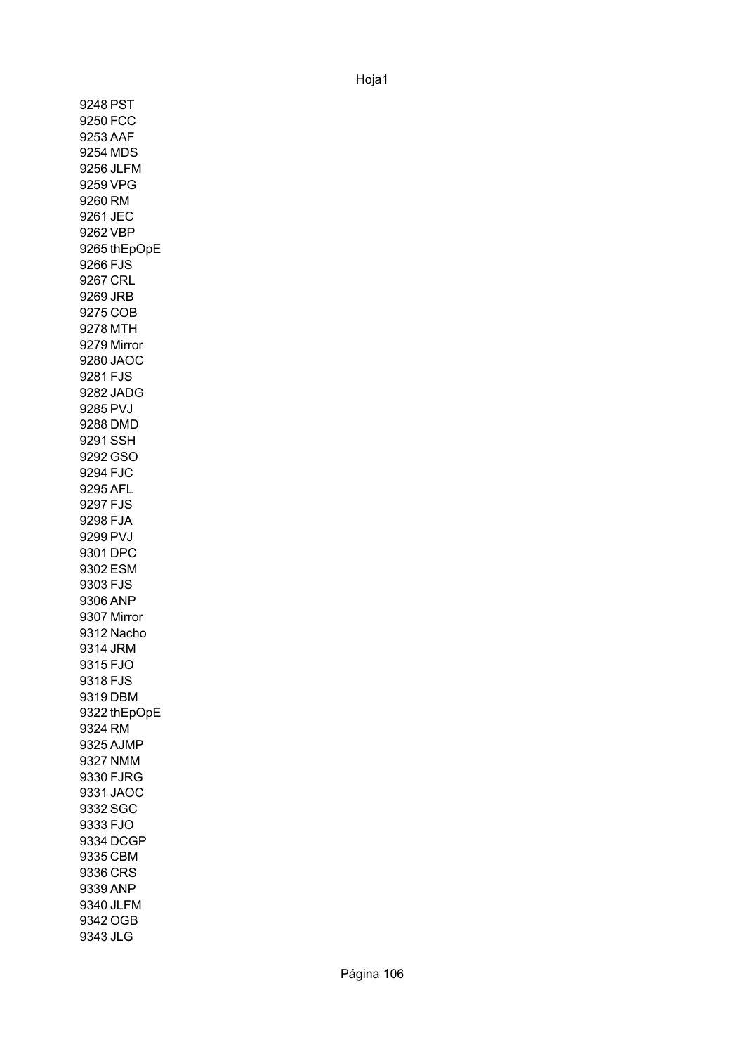9248 PST 9250 FCC 9253 AAF 9254 MDS 9256 JLFM 9259 VPG 9260 RM 9261 JEC 9262 VBP 9265 thEpOpE 9266 FJS 9267 CRL 9269 JRB 9275 COB 9278 MTH 9279 Mirror 9280 JAOC 9281 FJS 9282 JADG 9285 PVJ 9288 DMD 9291 SSH 9292 GSO 9294 FJC 9295 AFL 9297 FJS 9298 FJA 9299 PVJ 9301 DPC 9302 ESM 9303 FJS 9306 ANP 9307 Mirror 9312 Nacho 9314 JRM 9315 FJO 9318 FJS 9319 DBM 9322 thEpOpE 9324 RM 9325 AJMP 9327 NMM 9330 FJRG 9331 JAOC 9332 SGC 9333 FJO 9334 DCGP 9335 CBM 9336 CRS 9339 ANP 9340 JLFM 9342 OGB 9343 JLG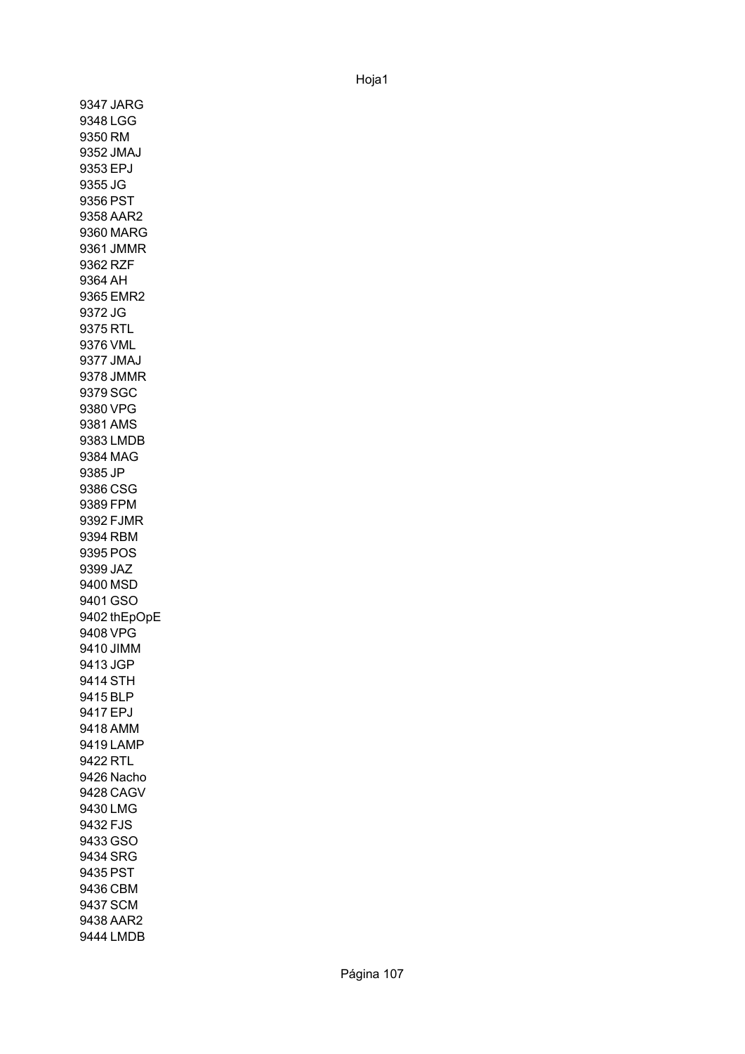9347 JARG 9348 LGG 9350 RM 9352 JMAJ 9353 EPJ 9355 JG 9356 PST 9358 AAR2 9360 MARG 9361 JMMR 9362 RZF 9364 AH 9365 EMR2 9372 JG 9375 RTL 9376 VML 9377 JMAJ 9378 JMMR 9379 SGC 9380 VPG 9381 AMS 9383 LMDB 9384 MAG 9385 JP 9386 CSG 9389 FPM 9392 FJMR 9394 RBM 9395 POS 9399 JAZ 9400 MSD 9401 GSO 9402 thEpOpE 9408 VPG 9410 JIMM 9413 JGP 9414 STH 9415 BLP 9417 EPJ 9418 AMM 9419 LAMP 9422 RTL 9426 Nacho 9428 CAGV 9430 LMG 9432 FJS 9433 GSO 9434 SRG 9435 PST 9436 CBM 9437 SCM 9438 AAR2 9444 LMDB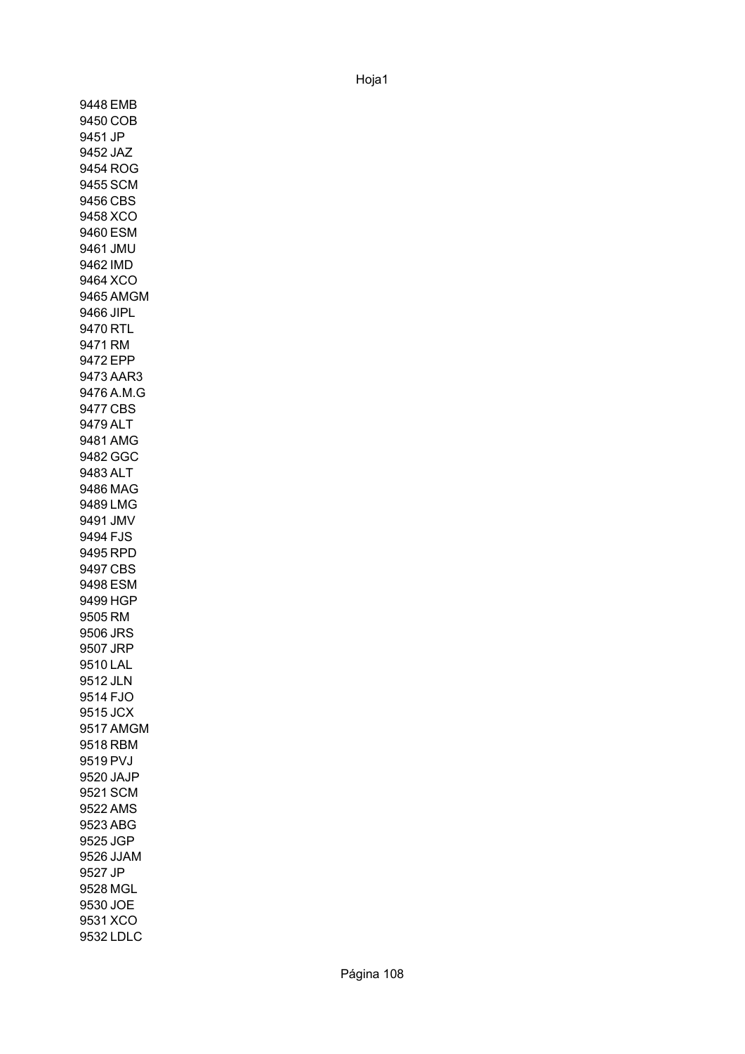9448 EMB 9450 COB 9451 JP 9452 JAZ 9454 ROG 9455 SCM 9456 CBS 9458 XCO 9460 ESM 9461 JMU 9462 IMD 9464 XCO 9465 AMGM 9466 JIPL 9470 RTL 9471 RM 9472 EPP 9473 AAR3 9476 A.M.G 9477 CBS 9479 ALT 9481 AMG 9482 GGC 9483 ALT 9486 MAG 9489 LMG 9491 JMV 9494 FJS 9495 RPD 9497 CBS 9498 ESM 9499 HGP 9505 RM 9506 JRS 9507 JRP 9510 LAL 9512 JLN 9514 FJO 9515 JCX 9517 AMGM 9518 RBM 9519 PVJ 9520 JAJP 9521 SCM 9522 AMS 9523 ABG 9525 JGP 9526 JJAM 9527 JP 9528 MGL 9530 JOE 9531 XCO 9532 LDLC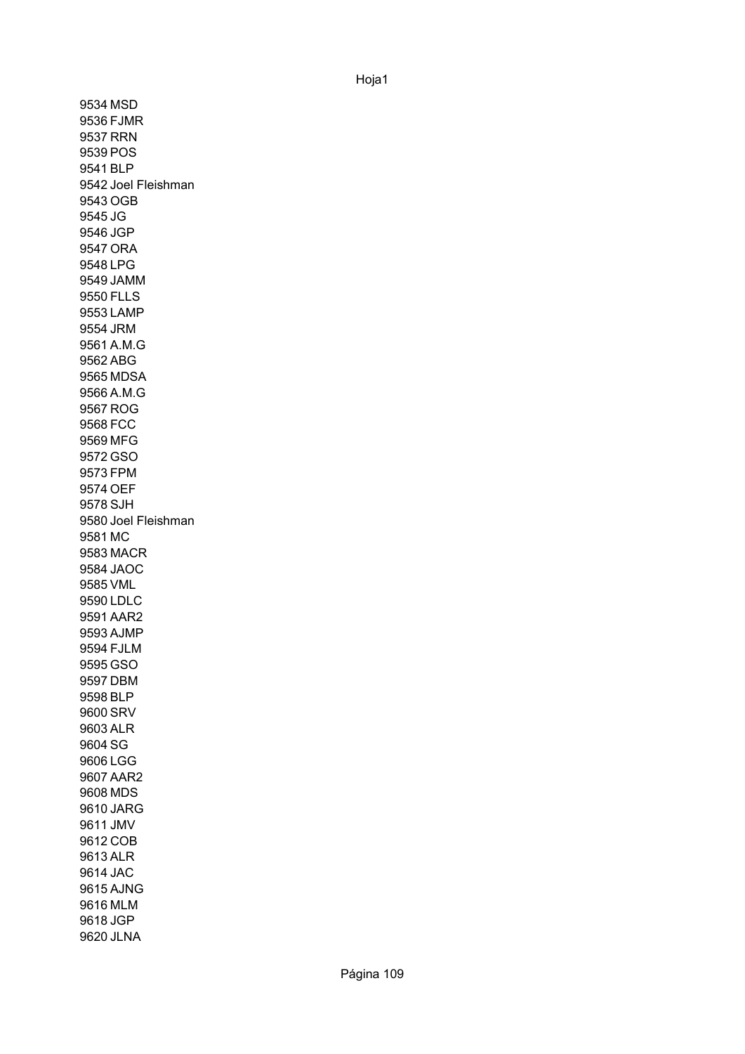9534 MSD 9536 FJMR 9537 RRN 9539 POS 9541 BLP 9542 Joel Fleishman 9543 OGB 9545 JG 9546 JGP 9547 ORA 9548 LPG 9549 JAMM 9550 FLLS 9553 LAMP 9554 JRM 9561 A.M.G 9562 ABG 9565 MDSA 9566 A.M.G 9567 ROG 9568 FCC 9569 MFG 9572 GSO 9573 FPM 9574 OEF 9578 SJH 9580 Joel Fleishman 9581 MC 9583 MACR 9584 JAOC 9585 VML 9590 LDLC 9591 AAR2 9593 AJMP 9594 FJLM 9595 GSO 9597 DBM 9598 BLP 9600 SRV 9603 ALR 9604 SG 9606 LGG 9607 AAR2 9608 MDS 9610 JARG 9611 JMV 9612 COB 9613 ALR 9614 JAC 9615 AJNG 9616 MLM 9618 JGP 9620 JLNA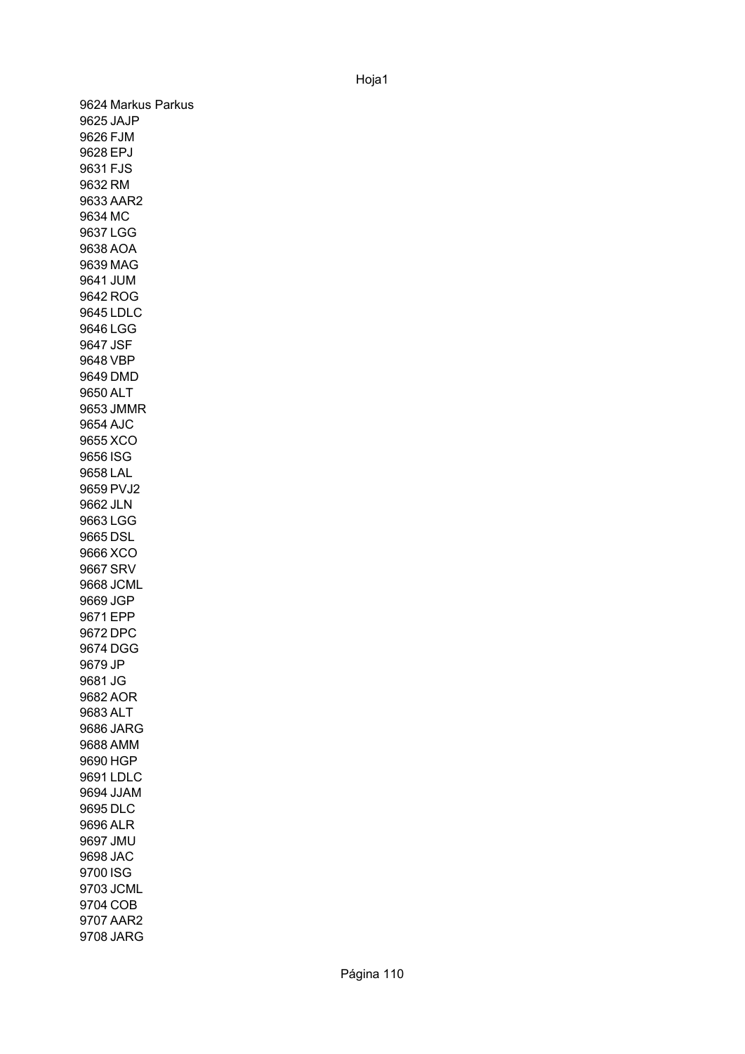9624 Markus Parkus 9625 JAJP 9626 FJM 9628 EPJ 9631 FJS 9632 RM 9633 AAR2 9634 MC 9637 LGG 9638 AOA 9639 MAG 9641 JUM 9642 ROG 9645 LDLC 9646 LGG 9647 JSF 9648 VBP 9649 DMD 9650 ALT 9653 JMMR 9654 AJC 9655 XCO 9656 ISG 9658 LAL 9659 PVJ2 9662 JLN 9663 LGG 9665 DSL 9666 XCO 9667 SRV 9668 JCML 9669 JGP 9671 EPP 9672 DPC 9674 DGG 9679 JP 9681 JG 9682 AOR 9683 ALT 9686 JARG 9688 AMM 9690 HGP 9691 LDLC 9694 JJAM 9695 DLC 9696 ALR 9697 JMU 9698 JAC 9700 ISG 9703 JCML 9704 COB 9707 AAR2 9708 JARG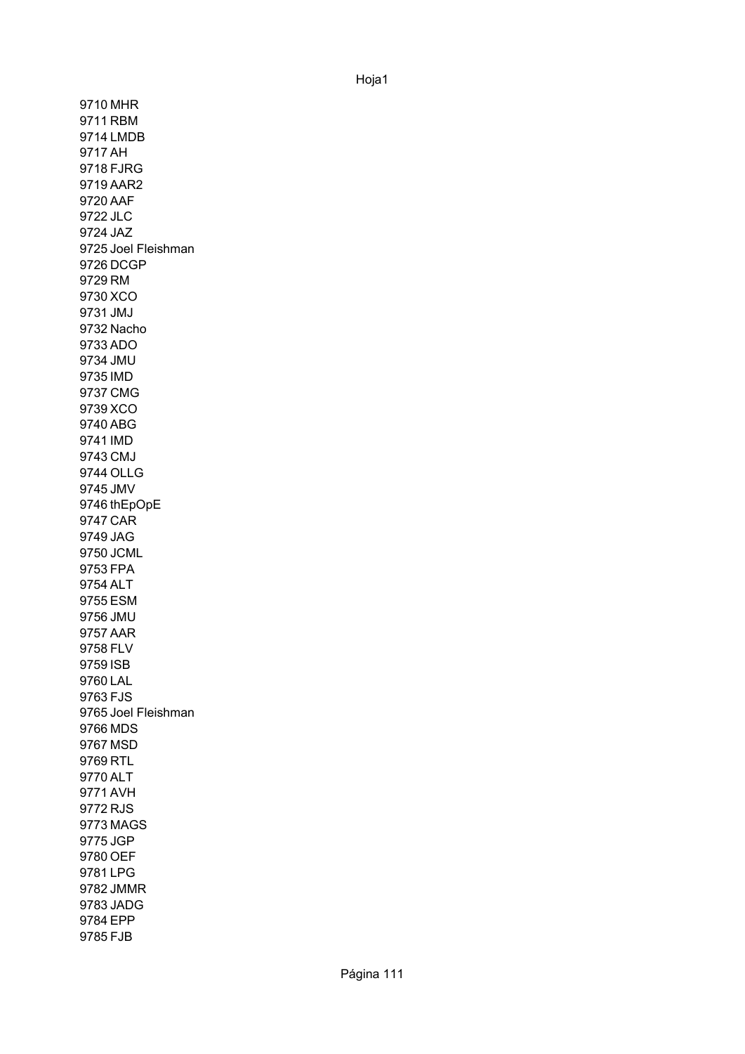9710 MHR 9711 RBM 9714 LMDB 9717 AH 9718 FJRG 9719 AAR2 9720 AAF 9722 JLC 9724 JAZ 9725 Joel Fleishman 9726 DCGP 9729 RM 9730 XCO 9731 JMJ 9732 Nacho 9733 ADO 9734 JMU 9735 IMD 9737 CMG 9739 XCO 9740 ABG 9741 IMD 9743 CMJ 9744 OLLG 9745 JMV 9746 thEpOpE 9747 CAR 9749 JAG 9750 JCML 9753 FPA 9754 ALT 9755 ESM 9756 JMU 9757 AAR 9758 FLV 9759 ISB 9760 LAL 9763 FJS 9765 Joel Fleishman 9766 MDS 9767 MSD 9769 RTL 9770 ALT 9771 AVH 9772 RJS 9773 MAGS 9775 JGP 9780 OEF 9781 LPG 9782 JMMR 9783 JADG 9784 EPP 9785 FJB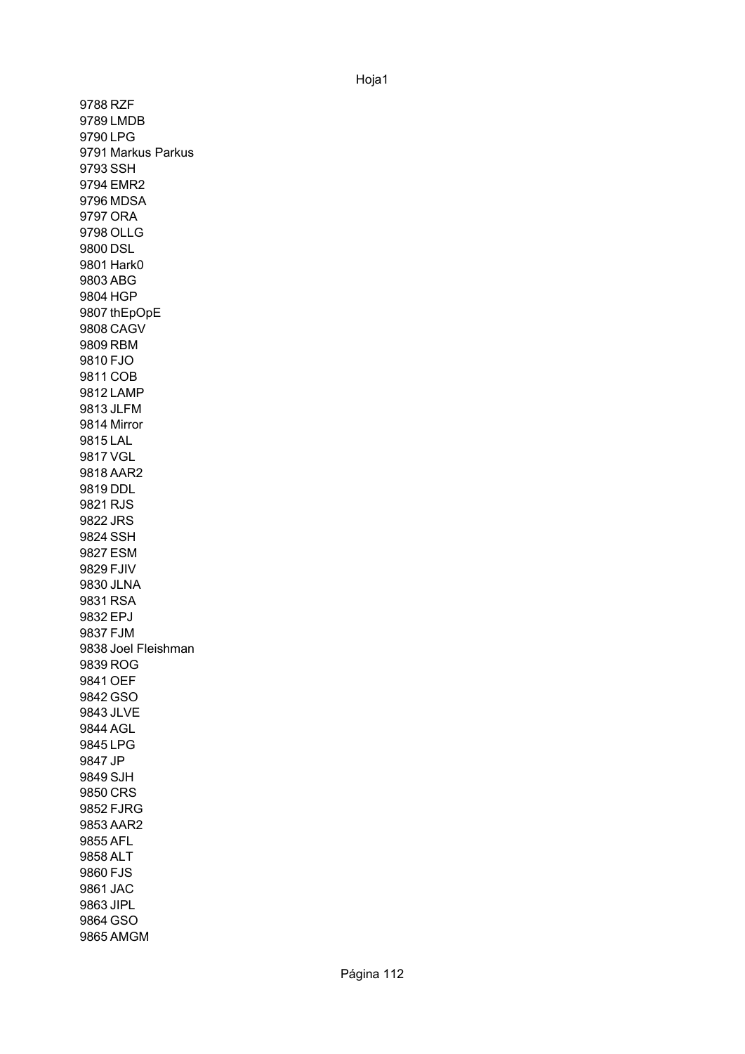9788 RZF 9789 LMDB 9790 LPG 9791 Markus Parkus 9793 SSH 9794 EMR2 9796 MDSA 9797 ORA 9798 OLLG 9800 DSL 9801 Hark0 9803 ABG 9804 HGP 9807 thEpOpE 9808 CAGV 9809 RBM 9810 FJO 9811 COB 9812 LAMP 9813 JLFM 9814 Mirror 9815 LAL 9817 VGL 9818 AAR2 9819 DDL 9821 RJS 9822 JRS 9824 SSH 9827 ESM 9829 FJIV 9830 JLNA 9831 RSA 9832 EPJ 9837 FJM 9838 Joel Fleishman 9839 ROG 9841 OEF 9842 GSO 9843 JLVE 9844 AGL 9845 LPG 9847 JP 9849 SJH 9850 CRS 9852 FJRG 9853 AAR2 9855 AFL 9858 ALT 9860 FJS 9861 JAC 9863 JIPL 9864 GSO 9865 AMGM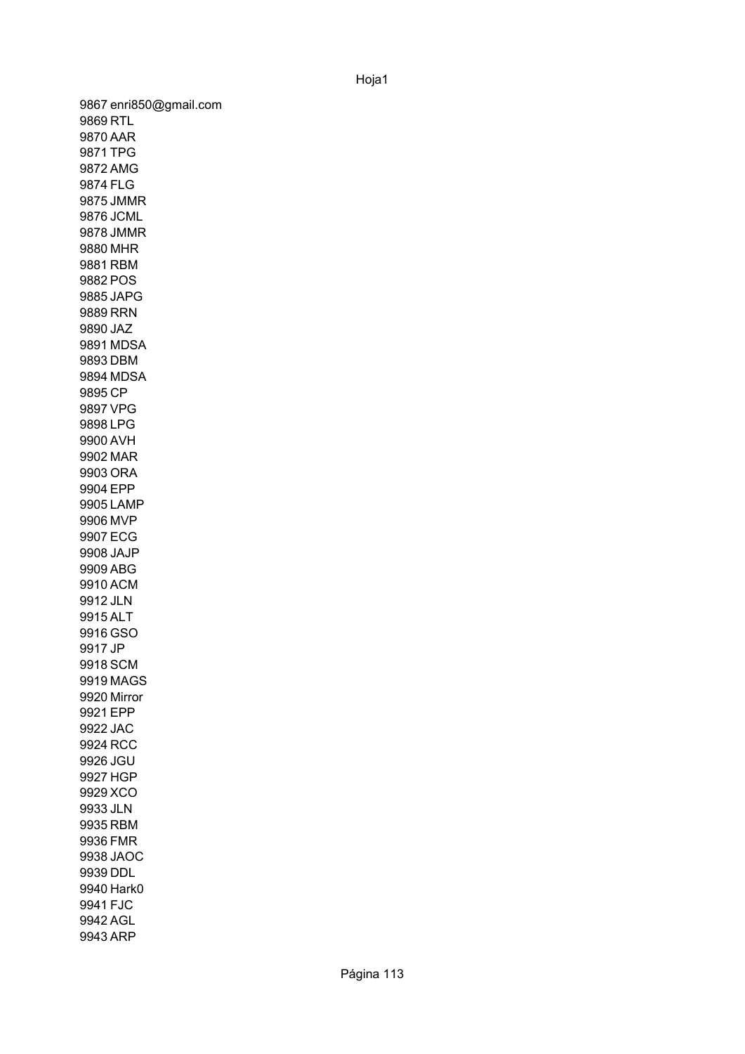9867 enri850@gmail.com 9869 RTL 9870 AAR 9871 TPG 9872 AMG 9874 FLG 9875 JMMR 9876 JCML 9878 JMMR 9880 MHR 9881 RBM 9882 POS 9885 JAPG 9889 RRN 9890 JAZ 9891 MDSA 9893 DBM 9894 MDSA 9895 CP 9897 VPG 9898 LPG 9900 AVH 9902 MAR 9903 ORA 9904 EPP 9905 LAMP 9906 MVP 9907 ECG 9908 JAJP 9909 ABG 9910 ACM 9912 JLN 9915 ALT 9916 GSO 9917 JP 9918 SCM 9919 MAGS 9920 Mirror 9921 EPP 9922 JAC 9924 RCC 9926 JGU 9927 HGP 9929 XCO 9933 JLN 9935 RBM 9936 FMR 9938 JAOC 9939 DDL 9940 Hark0 9941 FJC 9942 AGL 9943 ARP

## Hoja1